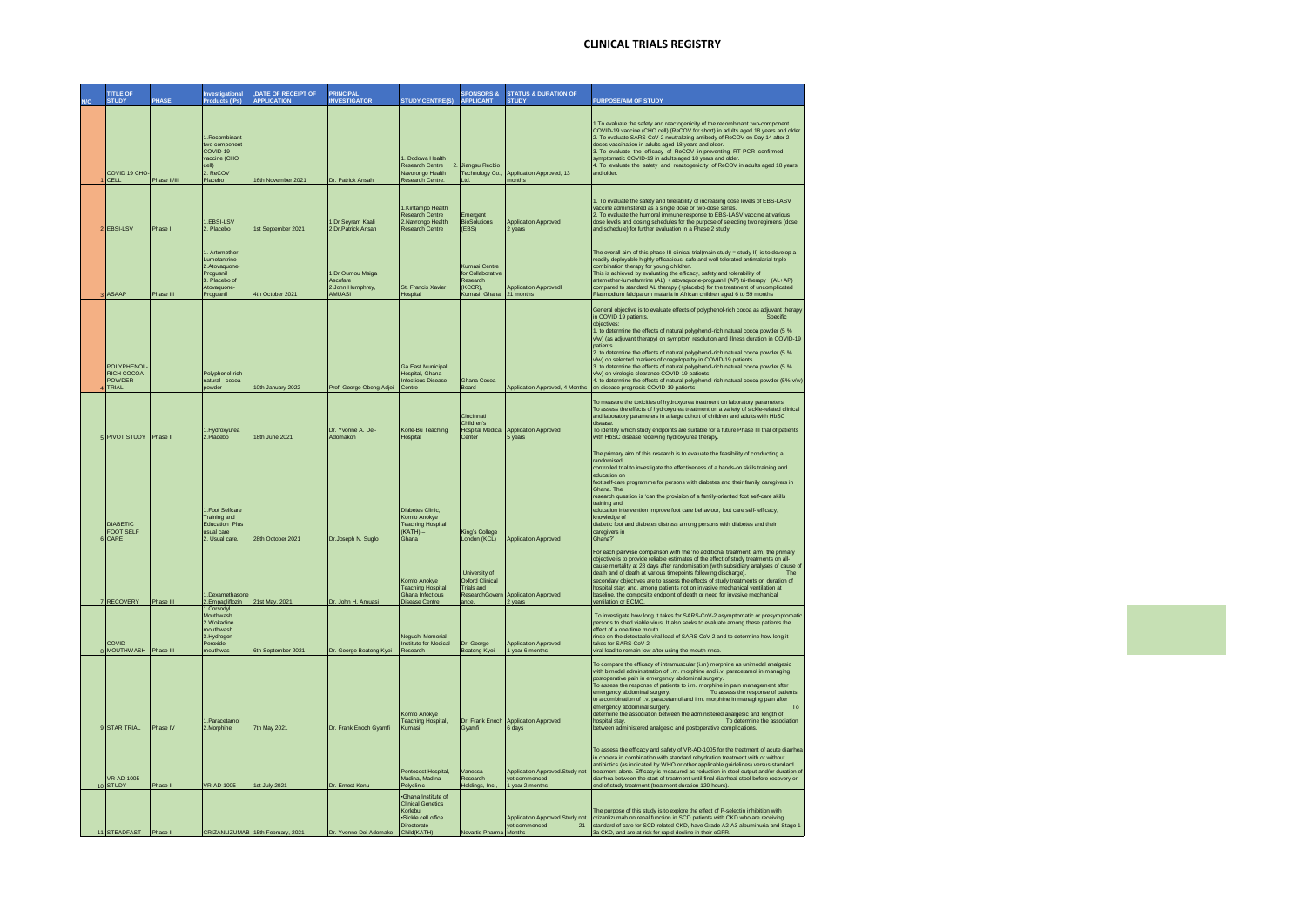| <b>TITLE OF</b><br><b>STUDY</b>                    | PHASE        | <b>Investigational</b><br><b>Products (IPs)</b>                                                         | <b>.DATE OF RECEIPT OF</b><br><b>APPLICATION</b> | <b>PRINCIPAL</b><br><b>INVESTIGATOR</b>                    | <b>STUDY CENTRE(S)</b>                                                                                          | <b>SPONSORS &amp;</b><br><b>APPLICANT</b>                                             | <b>STATUS &amp; DURATION OF</b><br><b>STUDY</b>                    | <b>PURPOSE/AIM OF STUDY</b>                                                                                                                                                                                                                                                                                                                                                                                                                                                                                                                                                                                                                                                                                                                                |
|----------------------------------------------------|--------------|---------------------------------------------------------------------------------------------------------|--------------------------------------------------|------------------------------------------------------------|-----------------------------------------------------------------------------------------------------------------|---------------------------------------------------------------------------------------|--------------------------------------------------------------------|------------------------------------------------------------------------------------------------------------------------------------------------------------------------------------------------------------------------------------------------------------------------------------------------------------------------------------------------------------------------------------------------------------------------------------------------------------------------------------------------------------------------------------------------------------------------------------------------------------------------------------------------------------------------------------------------------------------------------------------------------------|
| COVID 19 CHO-<br><b>CELL</b>                       | Phase II/III | 1.Recombinant<br>wo-component<br>COVID-19<br>vaccine (CHO<br>cell)<br>2. ReCOV<br>Placebo               | 16th November 2021                               | Dr. Patrick Ansah                                          | 1. Dodowa Health<br>Research Centre<br>Navorongo Health<br>Research Centre                                      | Jianosu Recbio<br>Technology Co.<br>Ltd.                                              | Application Approved, 13<br>nonths                                 | 1. To evaluate the safety and reactogenicity of the recombinant two-component<br>COVID-19 vaccine (CHO cell) (ReCOV for short) in adults aged 18 years and older<br>2. To evaluate SARS-CoV-2 neutralizing antibody of ReCOV on Day 14 after 2<br>doses vaccination in adults aged 18 years and older.<br>3. To evaluate the efficacy of ReCOV in preventing RT-PCR confirmed<br>symptomatic COVID-19 in adults aged 18 years and older<br>4. To evaluate the safety and reactogenicity of ReCOV in adults aged 18 years<br>and older.                                                                                                                                                                                                                     |
| <b>EBSI-LSV</b>                                    | Phase I      | .EBSI-LSV<br>2. Placebo                                                                                 | 1st September 2021                               | I.Dr Sevram Kaali<br>2.Dr.Patrick Ansah                    | 1.Kintampo Health<br>Research Centre<br>2.Navrongo Health<br><b>Research Centre</b>                             | Emergent<br><b>BioSolutions</b><br>(EBS)                                              | <b>Application Approved</b><br>2 years                             | 1. To evaluate the safety and tolerability of increasing dose levels of EBS-LASV<br>vaccine administered as a single dose or two-dose s<br>2. To evaluate the humoral immune response to EBS-LASV vaccine at various<br>dose levels and dosing schedules for the purpose of selecting two regimens (dose<br>and schedule) for further evaluation in a Phase 2 study.                                                                                                                                                                                                                                                                                                                                                                                       |
| <b>ASAAP</b>                                       | Phase III    | . Artemether<br>Lumefantrine<br>2.Atovaquone-<br>Proguanil<br>3. Placebo of<br>Atovaguone-<br>Proguanil | 4th October 2021                                 | I.Dr Oumou Maiga<br>Ascofare<br>2.John Humphrey.<br>AMUASI | <b>St. Francis Xavier</b><br>Hospital                                                                           | Kumasi Centre<br>for Collaborative<br>Research<br>(KCCR)<br>Kumasi, Ghana             | <b>Application Approved</b><br>21 months                           | The overall aim of this phase III clinical trial(main study = study II) is to develop a<br>readily deployable highly efficacious, safe and well tolerated antimalarial triple<br>combination therapy for young children.<br>This is achieved by evaluating the efficacy, safety and tolerability of<br>artemether-lumefantrine (AL) + atovaquone-proguanil (AP) tri-therapy (AL+AP)<br>compared to standard AL therapy (+placebo) for the treatment of uncomplicated<br>Plasmodium falciparum malaria in African children aged 6 to 59 months                                                                                                                                                                                                              |
| POLYPHENOL<br><b>RICH COCOA</b><br>POWDER<br>TRIAL |              | Polyphenol-rich<br>natural cocoa<br>powder                                                              | 10th January 2022                                | Prof. George Obeng Adjei                                   | <b>Ga East Municipal</b><br>Hospital, Ghana<br>Infectious Disease<br>Centre                                     | Ghana Cocoa<br>Board                                                                  | Application Approved, 4 Months                                     | General objective is to evaluate effects of polyphenol-rich cocoa as adjuvant therapy<br>in COVID 19 patients.<br>Snecific<br>objectives:<br>1. to determine the effects of natural polyphenol-rich natural cocoa powder (5 %<br>v/w) (as adjuvant therapy) on symptom resolution and illness duration in COVID-19<br>patients<br>2. to determine the effects of natural polyphenol-rich natural cocoa powder (5 %<br>v/w) on selected markers of coagulopathy in COVID-19 patients<br>3. to determine the effects of natural polyphenol-rich natural cocoa powder (5 %<br>v/w) on virologic clearance COVID-19 patients<br>4. to determine the effects of natural polyphenol-rich natural cocoa powder (5% v/w)<br>on disease prognosis COVID-19 patients |
| <b>PIVOT STUDY</b>                                 | Phase II     | 1. Hydroxyurea<br>2.Placebo                                                                             | 18th June 2021                                   | Dr. Yvonne A. Dei-<br>Adomakoh                             | Korle-Bu Teaching<br>Hospital                                                                                   | Cincinnati<br>Children's<br>Center                                                    | <b>Hospital Medical Application Approved</b><br>5 years            | To measure the toxicities of hydroxyurea treatment on laboratory parameters.<br>To assess the effects of hydroxyurea treatment on a variety of sickle-related clinical<br>and laboratory parameters in a large cohort of children and adults with HbSC<br>disops<br>To identify which study endpoints are suitable for a future Phase III trial of patients<br>with HbSC disease receiving hydroxyurea therapy.                                                                                                                                                                                                                                                                                                                                            |
| <b>DIABETIC</b><br><b>FOOT SELF</b><br>CARE        |              | 1.Foot Selfcare<br>Training and<br><b>Education Plus</b><br>usual care<br>2. Usual care                 | 28th October 2021                                | Dr.Joseph N. Suglo                                         | Diabetes Clinic,<br>Komfo Anokye<br><b>Teaching Hospital</b><br>(KATH)-<br><b>Shana</b>                         | King's College<br>London (KCL)                                                        | <b>Application Approved</b>                                        | The primary aim of this research is to evaluate the feasibility of conducting a<br>randomised<br>controlled trial to investigate the effectiveness of a hands-on skills training and<br>education on<br>foot self-care programme for persons with diabetes and their family caregivers in<br>Ghana. The<br>research question is 'can the provision of a family-oriented foot self-care skills<br>training and<br>education intervention improve foot care behaviour, foot care self- efficacy.<br>knowledge of<br>diabetic foot and diabetes distress among persons with diabetes and their<br>caregivers in<br>Shana?"                                                                                                                                    |
| 7 RECOVERY                                         | Phase III    | .Dexamethasone<br>2.Empagliflozin                                                                       | 21st May, 2021                                   | Dr. John H. Amuasi                                         | Komfo Anokve<br><b>Teaching Hospital</b><br>Ghana Infectious<br>Disease Centre                                  | <b>University of</b><br>Oxford Clinical<br><b>Trials and</b><br>ResearchGove<br>ance. | <b>Application Approved</b><br>2 years                             | For each pairwise comparison with the 'no additional treatment' arm, the primary<br>objective is to provide reliable estimates of the effect of study treatments on all-<br>cause mortality at 28 days after randomisation (with subsidiary analyses of cause of<br>death and of death at various timepoints following discharge).<br>The<br>secondary objectives are to assess the effects of study treatments on duration of<br>hospital stay; and, among patients not on invasive mechanical ventilation at<br>baseline, the composite endpoint of death or need for invasive mechanical<br>ventilation or ECMO.                                                                                                                                        |
| COVID<br>8 MOUTHWASH Phase III                     |              | 1.Corsodvl<br>Mouthwash<br>2.Wokadine<br>mouthwash<br>3.Hydrogen<br>Peroxide<br>mouthwas                | 6th September 2021                               | Dr. George Boateng Kyei                                    | Noguchi Memorial<br>Institute for Medical<br>Research                                                           | Dr. George<br><b>Boateng Kyei</b>                                                     | <b>Application Approved</b><br>1 year 6 months                     | To investigate how long it takes for SARS-CoV-2 asymptomatic or presymptomatic<br>persons to shed viable virus. It also seeks to evaluate among these patients the<br>effect of a one-time mouth<br>rinse on the detectable viral load of SARS-CoV-2 and to determine how long it<br>takes for SARS-CoV-2<br>viral load to remain low after using the mouth rinse                                                                                                                                                                                                                                                                                                                                                                                          |
| 9 STAR TRIAL                                       | Phase IV     | I.Paracetamol<br>Morphine                                                                               | 7th May 2021                                     | Dr. Frank Enoch Gyamf                                      | Komfo Anokve<br>Teaching Hospital,<br>Kumasi                                                                    | Gyamfi                                                                                | Dr. Frank Enoch Application Approved<br>6 days                     | To compare the efficacy of intramuscular (i.m) morphine as unimodal analgesic<br>with bimodal administration of i.m. morphine and i.v. paracetamol in managing<br>postoperative pain in emergency abdominal surgery.<br>To assess the response of patients to i.m. morphine in pain management after<br>emergency abdominal surgery.<br>To assess the response of patients<br>to a combination of i.v. paracetamol and i.m. morphine in managing pain after<br>emergency abdominal surgery.<br>To<br>determine the association between the administered analgesic and length of<br>To determine the association<br>hospital stav.<br>etween admini<br>ed analgesic and postoperative complications.                                                        |
| <b>VR-AD-1005</b><br>10 STUDY                      | Phase II     | VR-AD-1005                                                                                              | 1st July 2021                                    | Dr. Ernest Kenu                                            | Pentecost Hospital.<br>Madina, Madina<br>Polyclinic                                                             | Vanessa<br>Research<br>Holdings, Inc.                                                 | Application Approved Study not<br>yet commenced<br>1 year 2 months | To assess the efficacy and safety of VR-AD-1005 for the treatment of acute diarrhea<br>in cholera in combination with standard rehydration treatment with or without<br>antibiotics (as indicated by WHO or other applicable guidelines) versus standard<br>treatment alone. Efficacy is measured as reduction in stool output and/or duration of<br>diarrhea between the start of treatment until final diarrheal stool before recovery or<br>end of study treatment (treatment duration 120 hours).                                                                                                                                                                                                                                                      |
| 11 STEADFAST                                       | Phase II     |                                                                                                         | CRIZANLIZUMAB 15th February, 2021                | Dr. Yvonne Dei Adomako                                     | ·Ghana Institute of<br><b>Clinical Genetics</b><br>Korlebu<br>·Sickle cell office<br>Directorate<br>Child(KATH) | Novartis Pharma Months                                                                | Application Approved.Study not<br>yet commenced<br>21              | The purpose of this study is to explore the effect of P-selectin inhibition with<br>crizanlizumab on renal function in SCD patients with CKD who are receiving<br>standard of care for SCD-related CKD, have Grade A2-A3 albuminuria and Stage 1<br>3a CKD, and are at risk for rapid decline in their eGFR.                                                                                                                                                                                                                                                                                                                                                                                                                                               |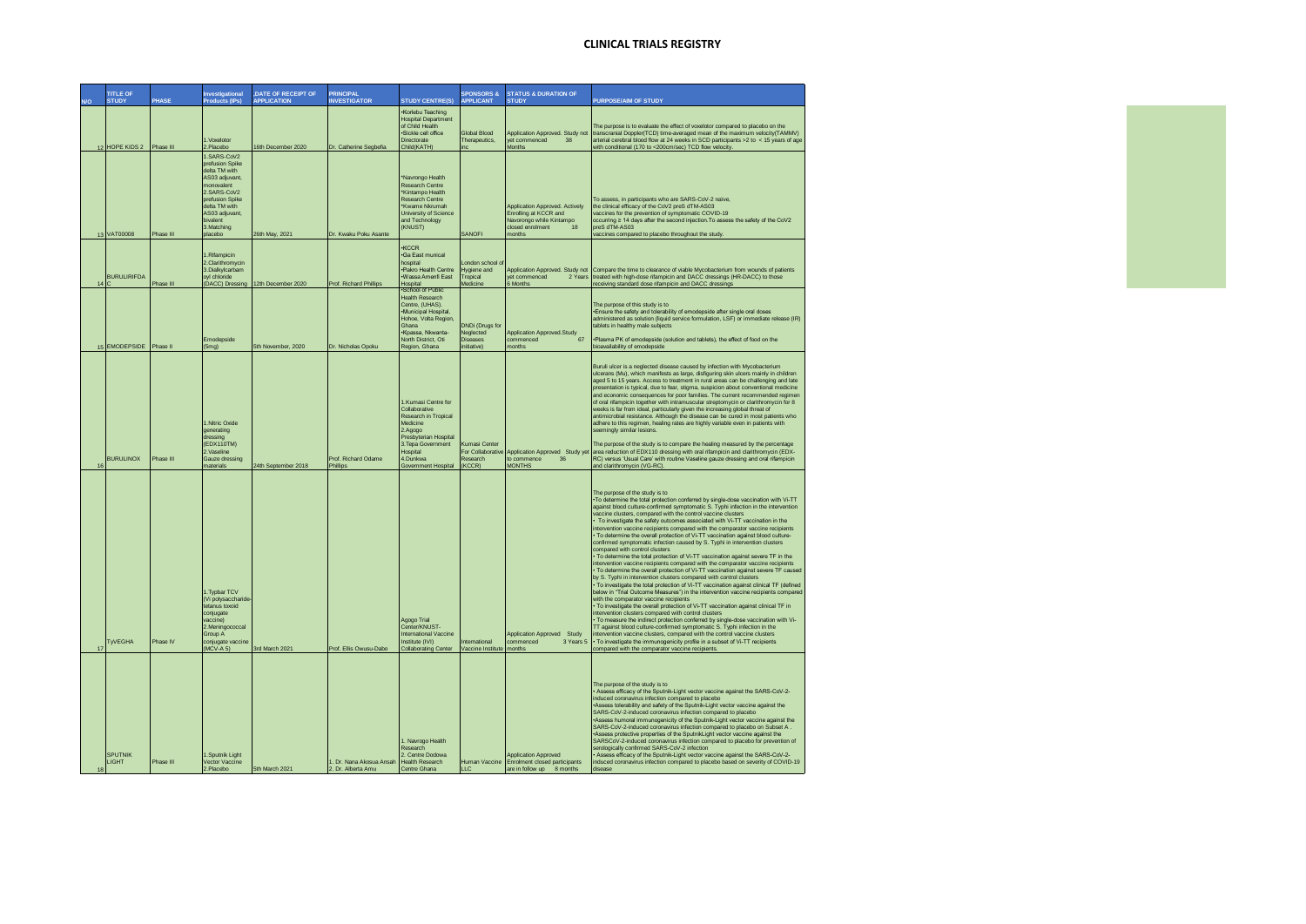|    | <b>TITLE OF</b><br><b>STUDY</b> | PHASE     | Investigational<br><b>Products (IPs)</b>                                                                                                                                   | <b>,DATE OF RECEIPT OF</b><br><b>APPLICATION</b> | <b>PRINCIPAL</b><br><b>INVESTIGATOR</b>        | <b>STUDY CENTRE(S</b>                                                                                                                                                             | <b>SPONSORS &amp;</b><br><b>APPLICANT</b>                      | <b>STATUS &amp; DURATION OF</b><br><b>STUDY</b>                                                                         | <b>URPOSE/AIM OF STUDY</b>                                                                                                                                                                                                                                                                                                                                                                                                                                                                                                                                                                                                                                                                                                                                                                                                                                                                                                                                                                                                                                                                                                                                                                                                                                                                                                                                                                                                                                                                                                                                                                                                                                                                                                                           |
|----|---------------------------------|-----------|----------------------------------------------------------------------------------------------------------------------------------------------------------------------------|--------------------------------------------------|------------------------------------------------|-----------------------------------------------------------------------------------------------------------------------------------------------------------------------------------|----------------------------------------------------------------|-------------------------------------------------------------------------------------------------------------------------|------------------------------------------------------------------------------------------------------------------------------------------------------------------------------------------------------------------------------------------------------------------------------------------------------------------------------------------------------------------------------------------------------------------------------------------------------------------------------------------------------------------------------------------------------------------------------------------------------------------------------------------------------------------------------------------------------------------------------------------------------------------------------------------------------------------------------------------------------------------------------------------------------------------------------------------------------------------------------------------------------------------------------------------------------------------------------------------------------------------------------------------------------------------------------------------------------------------------------------------------------------------------------------------------------------------------------------------------------------------------------------------------------------------------------------------------------------------------------------------------------------------------------------------------------------------------------------------------------------------------------------------------------------------------------------------------------------------------------------------------------|
|    | 12 HOPE KIDS 2 Phase III        |           | 1.Voxelotor<br>2.Placebo<br>1.SARS-CoV2                                                                                                                                    | 16th December 2020                               | Dr. Catherine Segbefia                         | Korlebu Teaching<br><b>Hospital Department</b><br>of Child Health<br>·Sickle cell office<br>Directorate<br>Child(KATH)                                                            | Global Blood<br>Therapeutics,<br>inc                           | Application Approved. Study not<br>yet commenced<br>38<br>Months                                                        | The purpose is to evaluate the effect of voxelotor compared to placebo on the<br>transcranial Doppler(TCD) time-averaged mean of the maximum velocity(TAMMV)<br>arterial cerebral blood flow at 24 weeks in SCD participants >2 to < 15 years of age<br>with conditional (170 to <200cm/sec) TCD flow velocity.                                                                                                                                                                                                                                                                                                                                                                                                                                                                                                                                                                                                                                                                                                                                                                                                                                                                                                                                                                                                                                                                                                                                                                                                                                                                                                                                                                                                                                      |
|    | 13 VAT00008                     | Phase III | prefusion Spike<br>delta TM with<br>AS03 adjuvant,<br>monovalent<br>2.SARS-CoV2<br>prefusion Spike<br>delta TM with<br>AS03 adjuvant,<br>bivalent<br>3.Matching<br>placebo | 26th May, 2021                                   | Dr. Kwaku Poku Asante                          | *Navrongo Health<br>Research Centre<br>*Kintampo Health<br>Research Centre<br>Kwame Nkrumah<br>University of Science<br>and Technology<br>(KNUST)                                 | SANOFI                                                         | Application Approved. Actively<br>Enrolling at KCCR and<br>Navorongo while Kintampo<br>closed enrolment<br>18<br>months | To assess, in participants who are SARS-CoV-2 naïve,<br>the clinical efficacy of the CoV2 preS dTM-AS03<br>vaccines for the prevention of symptomatic COVID-19<br>occurring ≥ 14 days after the second injection. To assess the safety of the CoV2<br>preS dTM-AS03<br>vaccines compared to placebo throughout the study.                                                                                                                                                                                                                                                                                                                                                                                                                                                                                                                                                                                                                                                                                                                                                                                                                                                                                                                                                                                                                                                                                                                                                                                                                                                                                                                                                                                                                            |
| 14 | <b>BURULIRIFDA</b>              | Phase III | 1.Rifampicin<br>2.Clarithromycin<br>3.Dialkylcarbam<br>oyl chloride                                                                                                        | (DACC) Dressing 12th December 2020               | Prof. Richard Phillips                         | KCCR <sup></sup><br>Ga East munical<br>hospital<br>·Pakro Health Centre<br>Wassa Amenfi Fast<br>Hospital<br>School of Public                                                      | ondon school a<br><b>lygiene</b> and<br>Tropical<br>Medicine   | Application Approved. Study not<br>vet commenced<br>2 Years<br>6 Months                                                 | Compare the time to clearance of viable Mycobacterium from wounds of patients<br>treated with high-dose rifampicin and DACC dressings (HR-DACC) to those<br>receiving standard dose rifampicin and DACC dressings                                                                                                                                                                                                                                                                                                                                                                                                                                                                                                                                                                                                                                                                                                                                                                                                                                                                                                                                                                                                                                                                                                                                                                                                                                                                                                                                                                                                                                                                                                                                    |
|    | 15 EMODEPSIDE Phase II          |           | Emodepside<br>(5mg)                                                                                                                                                        | 5th November, 2020                               | Dr. Nicholas Opoku                             | <b>Health Research</b><br>Centre, (UHAS).<br>Municipal Hospital,<br>Hohoe, Volta Region,<br>Ghana<br>Kpassa, Nkwanta-<br>North District, Oti<br>Region, Ghana                     | <b>DNDi</b> (Drugs for<br>Neglected<br>Diseases<br>initiative) | <b>Application Approved.Study</b><br>67<br>commenced<br>months                                                          | The purpose of this study is to<br>*Ensure the safety and tolerability of emodepside after single oral doses<br>administered as solution (liquid service formulation, LSF) or immediate release (IR)<br>tablets in healthy male subiects<br>*Plasma PK of emodepside (solution and tablets), the effect of food on the<br>bioavailability of emodepside                                                                                                                                                                                                                                                                                                                                                                                                                                                                                                                                                                                                                                                                                                                                                                                                                                                                                                                                                                                                                                                                                                                                                                                                                                                                                                                                                                                              |
| 16 | <b>BURULINOX</b>                | Phase III | 1.Nitric Oxide<br>generating<br>dressing<br>(FDX110TM)<br>2.Vaseline<br>Gauze dressing<br>materials                                                                        | 24th September 2018                              | Prof. Richard Odame<br>Phillips                | 1.Kumasi Centre for<br>Collaborative<br>Research in Tropical<br>Medicine<br>2.Agogo<br>Presbyterian Hospital<br>3. Tepa Government<br>Hospital<br>4.Dunkwa<br>Government Hospital | <b>Kumasi Center</b><br>For Collaborativ<br>Research<br>(KCCR) | Application Approved Study yet<br>to commence<br>36<br><b>MONTHS</b>                                                    | Buruli ulcer is a neglected disease caused by infection with Mycobacterium<br>ulcerans (Mu), which manifests as large, disfiguring skin ulcers mainly in children<br>aged 5 to 15 years. Access to treatment in rural areas can be challenging and late<br>presentation is typical, due to fear, stigma, suspicion about conventional medicine<br>and economic consequences for poor families. The current recommended regimen<br>of oral rifampicin together with intramuscular streptomycin or clarithromycin for 8<br>weeks is far from ideal, particularly given the increasing global threat of<br>antimicrobial resistance. Although the disease can be cured in most patients who<br>adhere to this regimen, healing rates are highly variable even in patients with<br>seemingly similar lesions.<br>The purpose of the study is to compare the healing measured by the percentage<br>area reduction of EDX110 dressing with oral rifampicin and clarithromycin (EDX-<br>RC) versus 'Usual Care' with routine Vaseline gauze dressing and oral rifampicin<br>and clarithromycin (VG-RC)                                                                                                                                                                                                                                                                                                                                                                                                                                                                                                                                                                                                                                                      |
| 17 | <b>TyVEGHA</b>                  | Phase IV  | 1.Typbar TCV<br>Vi polysaccharide<br>tetanus toxoid<br>conjugate<br>vaccine)<br>2.Meningococcal<br>Group A<br>conjugate vaccine<br>(MCV-A 5)                               | 3rd March 2021                                   | Prof. Ellis Owusu-Dabo                         | Agogo Trial<br>Center/KNUST-<br><b>International Vaccine</b><br>Institute (IVI)<br><b>Collaborating Cente</b>                                                                     | International<br>Vaccine Institut                              | Application Approved Study<br>commenced<br>3 Years 5<br>months                                                          | The purpose of the study is to<br>. To determine the total protection conferred by single-dose vaccination with Vi-TT<br>against blood culture-confirmed symptomatic S. Typhi infection in the intervention<br>vaccine clusters, compared with the control vaccine clusters<br>To investigate the safety outcomes associated with Vi-TT vaccination in the<br>intervention vaccine recipients compared with the comparator vaccine recipients<br>. To determine the overall protection of Vi-TT vaccination against blood culture-<br>confirmed symptomatic infection caused by S. Typhi in intervention clusters<br>compared with control clusters<br>. To determine the total protection of Vi-TT vaccination against severe TF in the<br>intervention vaccine recipients compared with the comparator vaccine recipients<br>· To determine the overall protection of Vi-TT vaccination against severe TF caused<br>by S. Typhi in intervention clusters compared with control clusters<br>· To investigate the total protection of Vi-TT vaccination against clinical TF (defined<br>below in "Trial Outcome Measures") in the intervention vaccine recipients compared<br>with the comparator vaccine recipients<br>. To investigate the overall protection of Vi-TT vaccination against clinical TF in<br>intervention clusters compared with control clusters<br>. To measure the indirect protection conferred by single-dose vaccination with Vi-<br>TT against blood culture-confirmed symptomatic S. Typhi infection in the<br>intervention vaccine clusters, compared with the control vaccine clusters<br>· To investigate the immunogenicity profile in a subset of Vi-TT recipients<br>compared with the comparator vaccine recipients |
| 18 | <b>SPUTNIK</b><br><b>LIGHT</b>  | Phase III | 1.Sputnik Light<br>Vector Vaccine<br>2.Placebo                                                                                                                             | 5th March 2021                                   | 1. Dr. Nana Akosua Ansah<br>2. Dr. Alberta Amu | 1. Navrogo Health<br>Research<br>2. Centre Dodowa<br><b>Health Research</b><br>Centre Ghana                                                                                       | <b>LLC</b>                                                     | <b>Application Approved</b><br>Human Vaccine Enrolment closed participants<br>are in follow up 8 months                 | The purpose of the study is to<br>Assess efficacy of the Sputnik-Light vector vaccine against the SARS-CoV-2-<br>induced coronavirus infection compared to placebo<br>Assess tolerability and safety of the Sputnik-Light vector vaccine against the<br>SARS-CoV-2-induced coronavirus infection compared to placebo<br>Assess humoral immunogenicity of the Sputnik-Light vector vaccine against the<br>SARS-CoV-2-induced coronavirus infection compared to placebo on Subset A.<br>Assess protective properties of the SputnikLight vector vaccine against the<br>SARSCoV-2-induced coronavirus infection compared to placebo for prevention of<br>serologically confirmed SARS-CoV-2 infection<br>Assess efficacy of the Sputnik-Light vector vaccine against the SARS-CoV-2-<br>induced coronavirus infection compared to placebo based on severity of COVID-19<br>disease                                                                                                                                                                                                                                                                                                                                                                                                                                                                                                                                                                                                                                                                                                                                                                                                                                                                      |

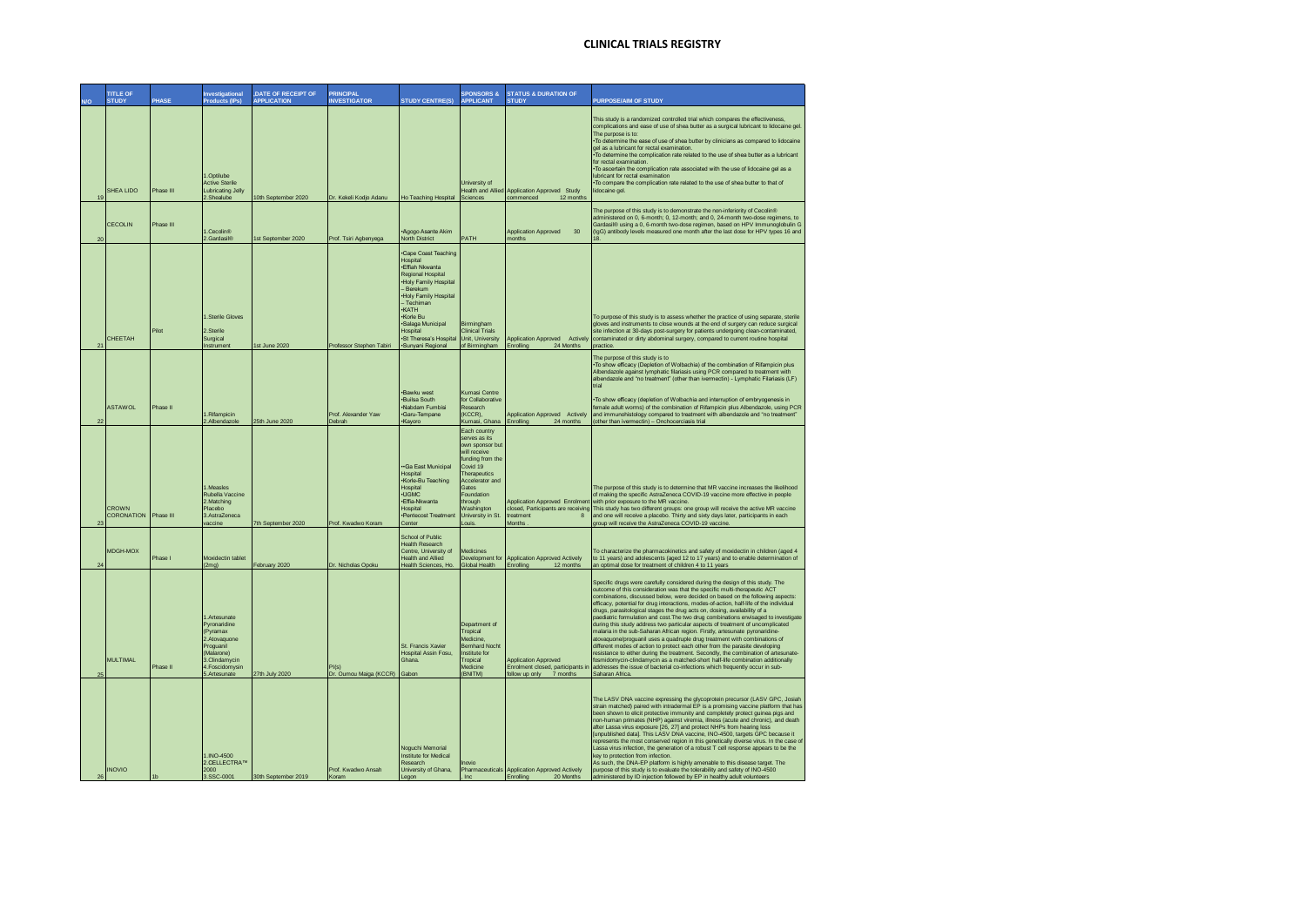| WΩ | <b>TITLE OF</b><br><b>STUDY</b> | PHASE          | Investigational<br><b>Products (IPs)</b>                                                                                                 | , DATE OF RECEIPT OF<br><b>APPLICATION</b> | <b>PRINCIPAL</b><br><b>INVESTIGATOR</b> | <b>STUDY CENTRE(S)</b>                                                                                                                                                                                                                                                    | <b>SPONSORS &amp;</b><br>APPLICANT                                                                                                                                                                               | <b>STATUS &amp; DURATION OF</b><br><b>STUDY</b>                                                        | <b>PURPOSE/AIM OF STUDY</b>                                                                                                                                                                                                                                                                                                                                                                                                                                                                                                                                                                                                                                                                                                                                                                                                                                                                                                                                                                                                                                                                                           |
|----|---------------------------------|----------------|------------------------------------------------------------------------------------------------------------------------------------------|--------------------------------------------|-----------------------------------------|---------------------------------------------------------------------------------------------------------------------------------------------------------------------------------------------------------------------------------------------------------------------------|------------------------------------------------------------------------------------------------------------------------------------------------------------------------------------------------------------------|--------------------------------------------------------------------------------------------------------|-----------------------------------------------------------------------------------------------------------------------------------------------------------------------------------------------------------------------------------------------------------------------------------------------------------------------------------------------------------------------------------------------------------------------------------------------------------------------------------------------------------------------------------------------------------------------------------------------------------------------------------------------------------------------------------------------------------------------------------------------------------------------------------------------------------------------------------------------------------------------------------------------------------------------------------------------------------------------------------------------------------------------------------------------------------------------------------------------------------------------|
|    | SHEA LIDO<br>19                 | Phase III      | 1.Optilube<br><b>Active Sterile</b><br><b>Lubricating Jelly</b><br>2.Shealube                                                            | 10th September 2020                        | Dr. Kekeli Kodio Adanu                  | Ho Teaching Hospital                                                                                                                                                                                                                                                      | University of<br><b>Health and Allied</b><br>Sciences                                                                                                                                                            | Application Approved Study<br>commenced<br>12 months                                                   | This study is a randomized controlled trial which compares the effectiveness,<br>complications and ease of use of shea butter as a surgical lubricant to lidocaine gel<br>The purpose is to:<br>. To determine the ease of use of shea butter by clinicians as compared to lidocaine<br>gel as a lubricant for rectal examination.<br>. To determine the complication rate related to the use of shea butter as a lubricant<br>for rectal examination<br>. To ascertain the complication rate associated with the use of lidocaine gel as a<br>lubricant for rectal examination<br>*To compare the complication rate related to the use of shea butter to that of<br>lidocaine gel                                                                                                                                                                                                                                                                                                                                                                                                                                    |
|    | CECOLIN<br>20                   | Phase III      | 1.Cecolin <sup>®</sup><br>2.Gardasil <sup>®</sup>                                                                                        | 1st September 2020                         | Prof. Tsiri Agbenyega                   | Agogo Asante Akim<br>North District                                                                                                                                                                                                                                       | PATH                                                                                                                                                                                                             | 30<br><b>Application Approved</b><br>months                                                            | The purpose of this study is to demonstrate the non-inferiority of Cecolin®<br>administered on 0, 6-month; 0, 12-month; and 0, 24-month two-dose regimens, to<br>Gardasil® using a 0, 6-month two-dose regimen, based on HPV Immunoglobulin G<br>(IgG) antibody levels measured one month after the last dose for HPV types 16 and                                                                                                                                                                                                                                                                                                                                                                                                                                                                                                                                                                                                                                                                                                                                                                                    |
|    | CHEETAH<br>21                   | Pilot          | Sterile Gloves<br>2.Sterile<br>Surgical<br>Instrument                                                                                    | 1st June 2020                              | Professor Stephen Tabiri                | <b>Cape Coast Teaching</b><br>Hospital<br>.Fffiah Nkwanta<br>Regional Hospital<br>. Holy Family Hospital<br>- Berekum<br>. Holy Family Hospital<br>- Techiman<br><b>KATH</b><br>*Korle Bu<br>·Salaga Municipal<br>Hospital<br>·St Theresa's Hospital<br>·Sunyani Regional | Birmingham<br><b>Clinical Trials</b><br>Unit, University<br>of Birmingham                                                                                                                                        | Application Approved Actively<br>24 Months<br>Enrolling                                                | To purpose of this study is to assess whether the practice of using separate, sterile<br>gloves and instruments to close wounds at the end of surgery can reduce surgical<br>site infection at 30-days post-surgery for patients undergoing clean-contaminated,<br>contaminated or dirty abdominal surgery, compared to current routine hospital<br>practice.                                                                                                                                                                                                                                                                                                                                                                                                                                                                                                                                                                                                                                                                                                                                                         |
|    | <b>ASTAWOL</b>                  | Phase II       | Rifampicin<br>2.Albendazole                                                                                                              | 25th June 2020                             | Prof. Alexander Yaw<br>Debrah           | ·Bawku west<br><b>Builsa South</b><br>·Nabdam Fumbisi<br>·Garu-Tempane<br>·Kayoro                                                                                                                                                                                         | Kumasi Centre<br>for Collaborative<br>Research<br>(KCCR),<br>Kumasi, Ghana                                                                                                                                       | Application Approved Actively<br>Enrolling<br>24 months                                                | The purpose of this study is to<br>. To show efficacy (Depletion of Wolbachia) of the combination of Rifampicin plus<br>Albendazole against lymphatic filariasis using PCR compared to treatment with<br>albendazole and "no treatment" (other than ivermectin) - Lymphatic Filariasis (LF)<br>triol<br>*To show efficacy (depletion of Wolbachia and interruption of embryogenesis in<br>female adult worms) of the combination of Rifampicin plus Albendazole, using PCR<br>and immunohistology compared to treatment with albendazole and "no treatment"<br>(other than ivermectin) - Onchocerciasis trial                                                                                                                                                                                                                                                                                                                                                                                                                                                                                                         |
|    | CROWN<br>CORONATION             | Phase III      | 1 Measles<br>Rubella Vaccine<br>2.Matching<br>Placebo<br>3.AstraZeneca<br>vaccine                                                        | 7th September 2020                         | Prof. Kwadwo Koram                      | Ga East Municipal<br>Hospital<br>·Korle-Bu Teaching<br>Hospital<br>$-ITGMC$<br>.Fffig.Nkwanta<br>Hospital<br>·Pentecost Treatment<br>Center                                                                                                                               | Each country<br>serves as its<br>own sponsor bu<br>will receive<br>funding from the<br>Covid 19<br>Therapeutics<br>Accelerator and<br>Gates<br>Foundation<br>through<br>Washington<br>University in St.<br>Louis | <b>Application Approved Enrolment</b><br>closed, Participants are receiving<br>reatment<br>8<br>Months | The purpose of this study is to determine that MR vaccine increases the likelihood<br>of making the specific AstraZeneca COVID-19 vaccine more effective in people<br>with prior exposure to the MR vaccine.<br>This study has two different groups: one group will receive the active MR vaccine<br>and one will receive a placebo. Thirty and sixty days later, participants in each<br>group will receive the AstraZeneca COVID-19 vaccine.                                                                                                                                                                                                                                                                                                                                                                                                                                                                                                                                                                                                                                                                        |
|    | MDGH-MOX<br>24                  | Phase I        | Moxidectin tablet<br>(2mq)                                                                                                               | February 2020                              | Dr. Nicholas Opoku                      | School of Public<br><b>Health Research</b><br>Centre. University of<br><b>Health and Allied</b><br>Health Sciences, Ho.                                                                                                                                                   | Medicines<br>Development for<br><b>Global Health</b>                                                                                                                                                             | <b>Application Approved Actively</b><br>Enrolling<br>12 months                                         | To characterize the pharmacokinetics and safety of moxidectin in children (aged 4<br>to 11 years) and adolescents (aged 12 to 17 years) and to enable determination of<br>an optimal dose for treatment of children 4 to 11 years                                                                                                                                                                                                                                                                                                                                                                                                                                                                                                                                                                                                                                                                                                                                                                                                                                                                                     |
|    | MUI TIMAI                       | Phase II       | 1.Artesunate<br>Pyronaridine<br>(Pyramax<br>2.Atovaquone<br>Proguanil<br>(Malarone)<br>3.Clindamycin<br>4. Foscidom vsin<br>5.Artesunate | 27th July 2020                             | PI(s)<br>Dr. Oumou Maiga (KCCR) Gabon   | St. Francis Xavier<br><b>Hospital Assin Fosu.</b><br>Ghana                                                                                                                                                                                                                | Department of<br>Tropical<br>Medicine,<br><b>Bernhard Nocht</b><br>Institute for<br>Tropical<br>Medicine<br>(BNITM)                                                                                              | <b>Application Approved</b><br>Enrolment closed, participants in<br>follow up only<br>7 months         | Specific drugs were carefully considered during the design of this study. The<br>outcome of this consideration was that the specific multi-therapeutic ACT<br>combinations, discussed below, were decided on based on the following aspects:<br>efficacy, potential for drug interactions, modes-of-action, half-life of the individual<br>drugs, parasitological stages the drug acts on, dosing, availability of a<br>paediatric formulation and cost. The two drug combinations envisaged to investigate<br>during this study address two particular aspects of treatment of uncomplicated<br>malaria in the sub-Saharan African region. Firstly, artesunate pyronaridine-<br>atovaquone/proguanil uses a quadruple drug treatment with combinations of<br>different modes of action to protect each other from the parasite developing<br>resistance to either during the treatment. Secondly, the combination of artesunate<br>losmidomycin-clindamycin as a matched-short half-life combination additionally<br>addresses the issue of bacterial co-infections which frequently occur in sub-<br>Saharan Africa |
|    | <b>INOVIO</b><br>26             | 1 <sub>b</sub> | 1.INO-4500<br>2.CELLECTRA™<br>2000<br>3.SSC-0001                                                                                         | 30th September 2019                        | Prof. Kwadwo Ansah<br>Koram             | Noguchi Memorial<br>Institute for Medical<br>Research<br>University of Ghana.<br>Legon                                                                                                                                                                                    | Inovio<br>Inc                                                                                                                                                                                                    | Pharmaceuticals Application Approved Actively<br>20 Months<br>Enrolling                                | The LASV DNA vaccine expressing the glycoprotein precursor (LASV GPC, Josiah<br>strain matched) paired with intradermal EP is a promising vaccine platform that has<br>been shown to elicit protective immunity and completely protect guinea pigs and<br>non-human primates (NHP) against viremia, illness (acute and chronic), and death<br>after Lassa virus exposure [26, 27] and protect NHPs from hearing loss<br>[unpublished data]. This LASV DNA vaccine, INO-4500, targets GPC because it<br>represents the most conserved region in this genetically diverse virus. In the case of<br>Lassa virus infection, the generation of a robust T cell response appears to be the<br>key to protection from infection.<br>As such, the DNA-EP platform is highly amenable to this disease target. The<br>purpose of this study is to evaluate the tolerability and safety of INO-4500<br>administered by ID injection followed by EP in healthy adult volunteers                                                                                                                                                   |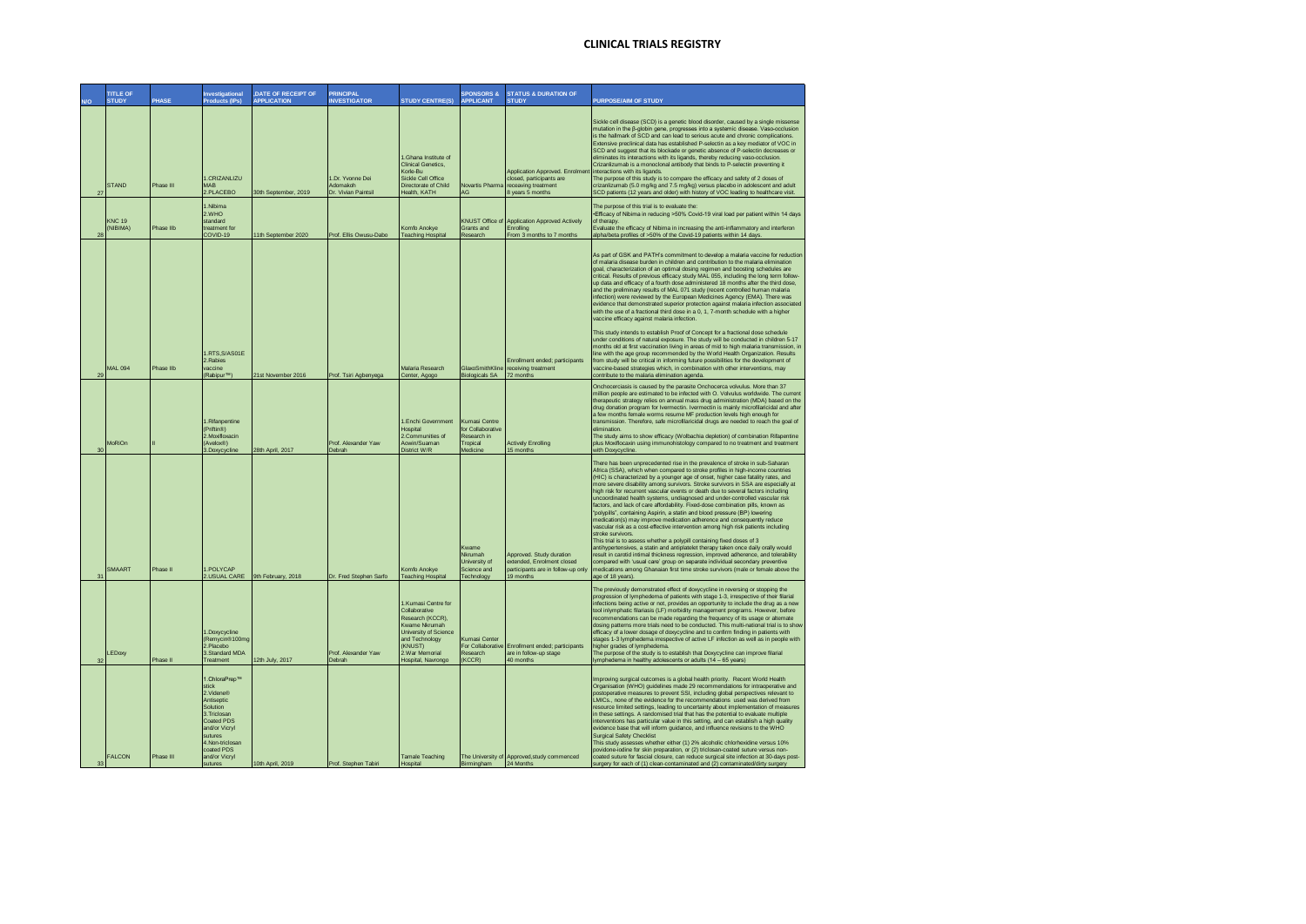|    | <b>TITLE OF</b><br><b>STUDY</b> | <b>PHASE</b> | Investigational<br><b>Products (IPs)</b>                                                                                                                                            | DATE OF RECEIPT OF<br><b>APPLICATION</b> | <b>PRINCIPAL</b><br><b>INVESTIGATOR</b>            | <b>STUDY CENTRE(S)</b>                                                                                                                                                  | <b>SPONSORS &amp;</b><br><b>APPLICANT</b>                                 | <b>STATUS &amp; DURATION OF</b><br><b>STUDY</b>                                                           | <b>PURPOSE/AIM OF STUDY</b>                                                                                                                                                                                                                                                                                                                                                                                                                                                                                                                                                                                                                                                                                                                                                                                                                                                                                                                                                                                                                                                                                                                                                                                                                                                                                       |
|----|---------------------------------|--------------|-------------------------------------------------------------------------------------------------------------------------------------------------------------------------------------|------------------------------------------|----------------------------------------------------|-------------------------------------------------------------------------------------------------------------------------------------------------------------------------|---------------------------------------------------------------------------|-----------------------------------------------------------------------------------------------------------|-------------------------------------------------------------------------------------------------------------------------------------------------------------------------------------------------------------------------------------------------------------------------------------------------------------------------------------------------------------------------------------------------------------------------------------------------------------------------------------------------------------------------------------------------------------------------------------------------------------------------------------------------------------------------------------------------------------------------------------------------------------------------------------------------------------------------------------------------------------------------------------------------------------------------------------------------------------------------------------------------------------------------------------------------------------------------------------------------------------------------------------------------------------------------------------------------------------------------------------------------------------------------------------------------------------------|
| 27 | <b>STAND</b>                    | Phase III    | I.CRIZANLIZU<br><b>MAR</b><br>2.PLACEBO                                                                                                                                             | 30th September, 2019                     | I Dr Yvonne Dei<br>Adomakoh<br>Dr. Vivian Paintsil | 1.Ghana Institute of<br><b>Clinical Genetics,</b><br>Korle-Bu<br>Sickle Cell Office<br>Directorate of Child<br>Health, KATH                                             | <b>Novartis Pharma</b><br>AG                                              | Application Approved. Enrolmen<br>closed, participants are<br>receaving treatment<br>8 years 5 months     | Sickle cell disease (SCD) is a genetic blood disorder, caused by a single missense<br>mutation in the ß-globin gene, progresses into a systemic disease. Vaso-occlusion<br>is the hallmark of SCD and can lead to serious acute and chronic complications.<br>Extensive preclinical data has established P-selectin as a key mediator of VOC in<br>SCD and suggest that its blockade or genetic absence of P-selectin decreases or<br>eliminates its interactions with its ligands, thereby reducing vaso-occlusion.<br>Crizanlizumab is a monoclonal antibody that binds to P-selectin preventing it<br>interactions with its ligands.<br>The purpose of this study is to compare the efficacy and safety of 2 doses of<br>crizanlizumab (5.0 mg/kg and 7.5 mg/kg) versus placebo in adolescent and adult<br>SCD patients (12 years and older) with history of VOC leading to healthcare visit.                                                                                                                                                                                                                                                                                                                                                                                                                  |
| 25 | <b>KNC 19</b><br>(NIBIMA)       | Phase IIb    | Mihima<br>2.WHO<br>standard<br>treatment for<br>COVID-19                                                                                                                            | 11th September 2020                      | Prof. Ellis Owusu-Dabo                             | Komfo Anokye<br><b>Teaching Hospital</b>                                                                                                                                | Grants and<br>Research                                                    | KNUST Office of Application Approved Actively<br>Enrolling<br>From 3 months to 7 months                   | The purpose of this trial is to evaluate the:<br>Efficacy of Nibima in reducing >50% Covid-19 viral load per patient within 14 days<br>of therapy.<br>Evaluate the efficacy of Nibima in increasing the anti-inflammatory and interferon<br>alpha/beta profiles of >50% of the Covid-19 patients within 14 days.                                                                                                                                                                                                                                                                                                                                                                                                                                                                                                                                                                                                                                                                                                                                                                                                                                                                                                                                                                                                  |
|    |                                 |              |                                                                                                                                                                                     |                                          |                                                    |                                                                                                                                                                         |                                                                           |                                                                                                           | As part of GSK and PATH's commitment to develop a malaria vaccine for reduction<br>of malaria disease burden in children and contribution to the malaria elimination<br>goal, characterization of an optimal dosing regimen and boosting schedules are<br>critical. Results of previous efficacy study MAL 055, including the long term follow-<br>up data and efficacy of a fourth dose administered 18 months after the third dose.<br>and the preliminary results of MAL 071 study (recent controlled human malaria<br>infection) were reviewed by the European Medicines Agency (EMA). There was<br>evidence that demonstrated superior protection against malaria infection associated<br>with the use of a fractional third dose in a 0, 1, 7-month schedule with a higher<br>vaccine efficacy against malaria infection.                                                                                                                                                                                                                                                                                                                                                                                                                                                                                   |
| 29 | <b>MAL 094</b>                  | Phase IIb    | 1 RTS S/AS01F<br>2 Rahies<br>vaccine<br>(Rabipur™)                                                                                                                                  | 21st November 2016                       | Prof. Tsiri Agbenyega                              | Malaria Research<br>Center, Agogo                                                                                                                                       | <b>Biologicals SA</b>                                                     | Enrollment ended; participants<br>GlaxoSmithKline receiving treatment<br>72 months                        | This study intends to establish Proof of Concept for a fractional dose schedule<br>under conditions of natural exposure. The study will be conducted in children 5-17<br>months old at first vaccination living in areas of mid to high malaria transmission, in<br>line with the age group recommended by the World Health Organization. Results<br>from study will be critical in informing future possibilities for the development of<br>vaccine-based strategies which, in combination with other interventions, may<br>contribute to the malaria elimination agenda.                                                                                                                                                                                                                                                                                                                                                                                                                                                                                                                                                                                                                                                                                                                                        |
| 30 | MoRiOn                          |              | 1.Rifanpentine<br>(Priftin®)<br>2. Moxifloxacin<br>(Avelox®)<br>3.Doxycycline                                                                                                       | 28th April, 2017                         | Prof. Alexander Yaw<br>Debrah                      | 1.Enchi Government<br>Hospital<br>2.Communities of<br>Aowin/Suaman<br>District W/R                                                                                      | Kumasi Centre<br>for Collaborative<br>Research in<br>Tropical<br>Medicine | <b>Actively Enrolling</b><br>15 months                                                                    | Onchocerciasis is caused by the parasite Onchocerca volvulus. More than 37<br>million people are estimated to be infected with O. Volvulus worldwide. The current<br>therapeutic strategy relies on annual mass drug administration (MDA) based on the<br>drug donation program for Ivermectin, Ivermectin is mainly microfilaricidal and after<br>a few months female worms resume MF production levels high enough for<br>transmission. Therefore, safe microfilaricidal drugs are needed to reach the goal of<br>elimination<br>The study aims to show efficacy (Wolbachia depletion) of combination Rifapentine<br>plus Moxiflocaxin using immunohistology compared to no treatment and treatment<br>with Doxycycline.                                                                                                                                                                                                                                                                                                                                                                                                                                                                                                                                                                                        |
| 31 | SMAART                          | Phase II     | <b>POLYCAP</b><br>2.USUAL CARE                                                                                                                                                      | 9th February, 2018                       | Dr. Fred Stephen Sarfo                             | Komfo Anokye<br><b>Teaching Hospital</b>                                                                                                                                | Kwame<br>Nkrumah<br><b>University of</b><br>Science and<br>Technology     | Approved. Study duration<br>extended. Enrolment closed<br>participants are in follow-up only<br>19 months | There has been unprecedented rise in the prevalence of stroke in sub-Saharan<br>Africa (SSA), which when compared to stroke profiles in high-income countries<br>(HIC) is characterized by a younger age of onset, higher case fatality rates, and<br>more severe disability among survivors. Stroke survivors in SSA are especially at<br>high risk for recurrent vascular events or death due to several factors including<br>uncoordinated health systems, undiagnosed and under-controlled vascular risk<br>factors, and lack of care affordability. Fixed-dose combination pills, known as<br>"polypills", containing Aspirin, a statin and blood pressure (BP) lowering<br>medication(s) may improve medication adherence and consequently reduce<br>vascular risk as a cost-effective intervention among high risk patients including<br>stroke survivors.<br>This trial is to assess whether a polypill containing fixed doses of 3<br>antihypertensives, a statin and antiplatelet therapy taken once daily orally would<br>result in carotid intimal thickness regression, improved adherence, and tolerability<br>compared with 'usual care' group on separate individual secondary preventive<br>medications among Ghanaian first time stroke survivors (male or female above the<br>age of 18 years) |
| 32 | LEDoxy                          | Phase II     | I.Doxycycline<br>(Remycin <sup>®100mg</sup><br>Placebo<br>3 Standard MDA<br>Treatment                                                                                               | 12th July, 2017                          | Prof. Alexander Yaw<br>Debrah                      | 1.Kumasi Centre for<br>Collaborative<br>Research (KCCR),<br>Kwame Nkrumah<br>University of Science<br>and Technology<br>(KNUST)<br>2 War Memorial<br>Hospital, Navrongo | Kumasi Center<br>Research<br>(KCCR)                                       | For Collaborative Enrollment ended; participants<br>are in follow-up stage<br>40 months                   | The previously demonstrated effect of doxycycline in reversing or stopping the<br>progression of lymphedema of patients with stage 1-3, irrespective of their filarial<br>infections being active or not, provides an opportunity to include the drug as a new<br>tool inlymphatic filariasis (LF) morbidity management programs. However, before<br>recommendations can be made regarding the frequency of its usage or alternate<br>dosing patterns more trials need to be conducted. This multi-national trial is to show<br>efficacy of a lower dosage of doxycycline and to confirm finding in patients with<br>stages 1-3 lymphedema irrespective of active LF infection as well as in people with<br>higher grades of lymphedema.<br>The purpose of the study is to establish that Doxycycline can improve filarial<br>lymphedema in healthy adolescents or adults (14 - 65 years)                                                                                                                                                                                                                                                                                                                                                                                                                         |
| 33 | <b>FALCON</b>                   | Phase III    | 1.ChloraPrep™<br>stick<br>2.Videne®<br>Antiseptic<br>Solution<br>3 Triclosan<br>Coated PDS<br>and/or Vicryl<br>sutures<br>4.Non-triclosan<br>coated PDS<br>and/or Vicrvl<br>sutures | 10th April, 2019                         | Prof. Stephen Tabiri                               | Tamale Teaching<br>Hospital                                                                                                                                             | Birmingham                                                                | The University of Approved, study commenced<br>24 Months                                                  | Improving surgical outcomes is a global health priority. Recent World Health<br>Organisation (WHO) guidelines made 29 recommendations for intraoperative and<br>postoperative measures to prevent SSI, including global perspectives relevant to<br>LMICs., none of the evidence for the recommendations used was derived from<br>resource limited settings, leading to uncertainty about implementation of measures<br>in these settings. A randomised trial that has the potential to evaluate multiple<br>interventions has particular value in this setting, and can establish a high quality<br>evidence base that will inform guidance, and influence revisions to the WHO<br><b>Surgical Safety Checklist</b><br>This study assesses whether either (1) 2% alcoholic chlorhexidine versus 10%<br>povidone-iodine for skin preparation, or (2) triclosan-coated suture versus non-<br>coated suture for fascial closure, can reduce surgical site infection at 30-days post-<br>surgery for each of (1) clean-contaminated and (2) contaminated/dirty surgery                                                                                                                                                                                                                                               |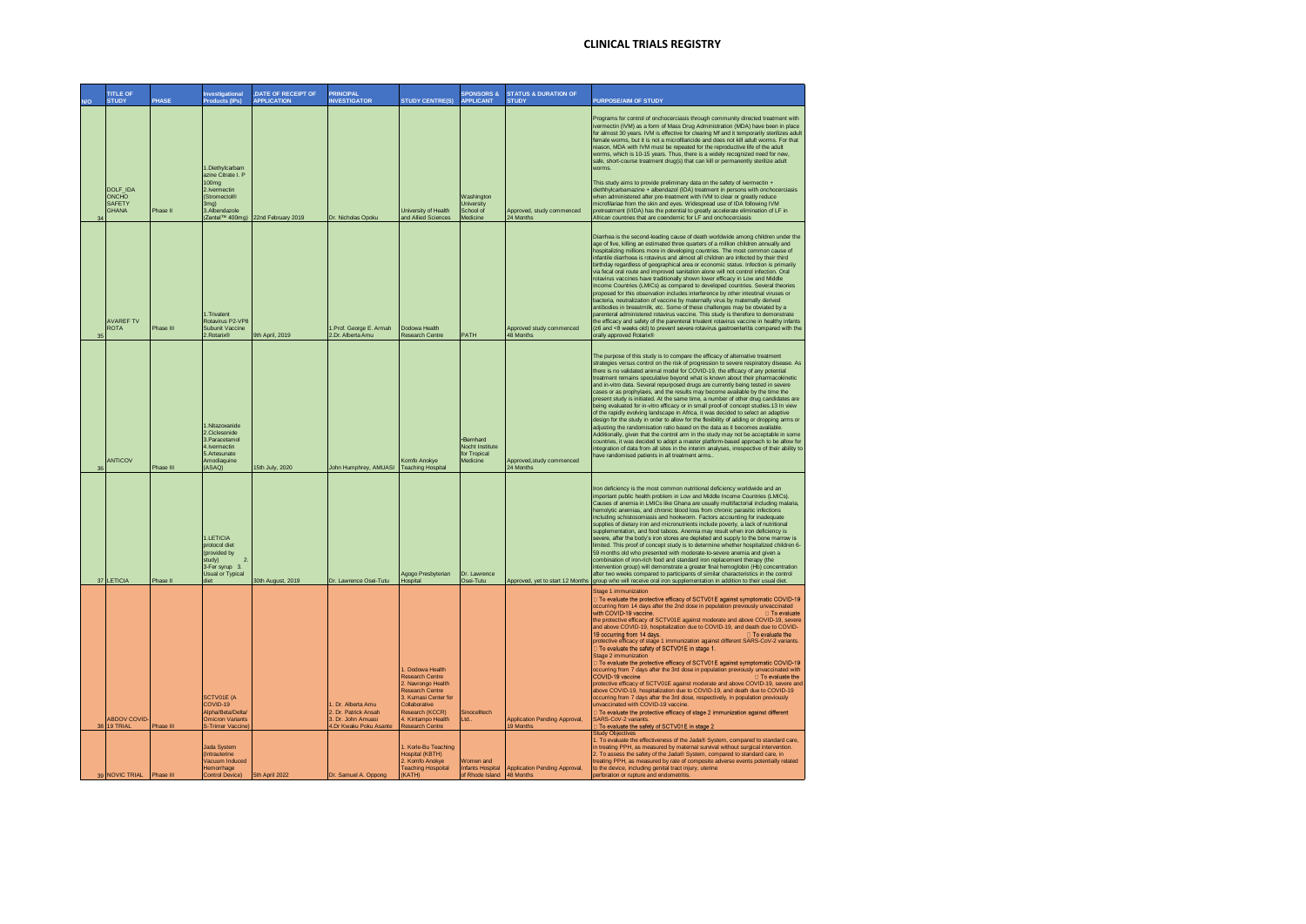|    | <b>TITLE OF</b><br><b>STUDY</b>             | PHASE     | <b>Investigational</b><br><b>Products (IPs)</b>                                                                                 | DATE OF RECEIPT OF<br><b>APPLICATION</b> | <b>PRINCIPAL</b><br><b>INVESTIGATOR</b>                                                    | <b>STUDY CENTRE(S)</b>                                                                                                                                                                       | <b>SPONSORS &amp;</b><br><b>APPLICANT</b>                       | <b>STATUS &amp; DURATION OF</b><br><b>STUDY</b>   | <b>PURPOSE/AIM OF STUDY</b>                                                                                                                                                                                                                                                                                                                                                                                                                                                                                                                                                                                                                                                                                                                                                                                                                                                                                                                                                                                                                                                                                                                                                                                                                                                                             |
|----|---------------------------------------------|-----------|---------------------------------------------------------------------------------------------------------------------------------|------------------------------------------|--------------------------------------------------------------------------------------------|----------------------------------------------------------------------------------------------------------------------------------------------------------------------------------------------|-----------------------------------------------------------------|---------------------------------------------------|---------------------------------------------------------------------------------------------------------------------------------------------------------------------------------------------------------------------------------------------------------------------------------------------------------------------------------------------------------------------------------------------------------------------------------------------------------------------------------------------------------------------------------------------------------------------------------------------------------------------------------------------------------------------------------------------------------------------------------------------------------------------------------------------------------------------------------------------------------------------------------------------------------------------------------------------------------------------------------------------------------------------------------------------------------------------------------------------------------------------------------------------------------------------------------------------------------------------------------------------------------------------------------------------------------|
|    | DOLF_IDA<br>ONCHO<br>SAFETY<br><b>GHANA</b> | Phase II  | 1.Diethylcarbam<br>azine Citrate L.P.<br>100 <sub>mg</sub><br>2.Ivermectin<br>(Stromectol <sup>®</sup><br>3mg)<br>3.Albendazole | (Zentel™ 400mg) 22nd February 2019       | Dr. Nicholas Opoku                                                                         | University of Health<br>and Allied Sciences                                                                                                                                                  | <b>Nashington</b><br><b>Jniversity</b><br>School of<br>Medicine | Approved, study commenced<br>24 Months            | Programs for control of onchocerciasis through community directed treatment with<br>ivermectin (IVM) as a form of Mass Drug Administration (MDA) have been in place<br>for almost 30 years. IVM is effective for clearing Mf and it temporarily sterilizes adult<br>female worms, but it is not a microfilaricide and does not kill adult worms. For that<br>reason. MDA with IVM must be repeated for the reproductive life of the adult<br>worms, which is 10-15 years. Thus, there is a widely recognized need for new,<br>safe, short-course treatment drug(s) that can kill or permanently sterilize adult<br>worms<br>This study aims to provide preliminary data on the safety of ivermectin +<br>diethhylcarbamazine + albendazol (IDA) treatment in persons with onchocerciasis<br>when administered after pre-treatment with IVM to clear or greatly reduce<br>microfilariae from the skin and eyes. Widespread use of IDA following IVM<br>pretreatment (I/IDA) has the potential to greatly accelerate elimination of LF in<br>African countries that are coendemic for LF and onchocerciasis                                                                                                                                                                                               |
| 35 | <b>AVAREF TV</b><br><b>ROTA</b>             | Phase III | 1. Trivalent<br>Rotavirus P2-VP8<br>Subunit Vaccine<br>Rotarix®                                                                 | 9th April, 2019                          | 1.Prof. George E. Armah<br>2.Dr. Alberta Amu                                               | Dodowa Health<br>Research Centre                                                                                                                                                             | PATH                                                            | Approved study commenced<br>48 Months             | Diarrhea is the second-leading cause of death worldwide among children under the<br>age of five, killing an estimated three quarters of a million children annually and<br>hospitalizing millions more in developing countries. The most common cause of<br>infantile diarrhoea is rotavirus and almost all children are infected by their third<br>birthday regardless of geographical area or economic status. Infection is primarily<br>via fecal oral route and improved sanitation alone will not control infection. Oral<br>rotavirus vaccines have traditionally shown lower efficacy in Low and Middle<br>Income Countries (LMICs) as compared to developed countries. Several theories<br>proposed for this observation includes interference by other intestinal viruses or<br>bacteria, neutralization of vaccine by maternally virus by maternally derived<br>antibodies in breastmilk, etc. Some of these challenges may be obviated by a<br>parenteral administered rotavirus vaccine. This study is therefore to demonstrate<br>the efficacy and safety of the parenteral trivalent rotavirus vaccine in healthy infants<br>(≥6 and <8 weeks old) to prevent severe rotavirus gastroenteritis compared with the<br>orally approved Rotarix®                                              |
| 36 | ANTICOV                                     | Phase III | I.Nitazoxanide<br>2 Ciclesonide<br>3.Paracetamol<br>4.Ivermectin<br>5.Artesunate<br>Amodiaquine<br>(ASAQ)                       | 15th July, 2020                          | John Humphrey, AMUASI                                                                      | Komfo Anokve<br><b>Teaching Hospital</b>                                                                                                                                                     | Bernhard<br>Nocht Institute<br>for Tropical<br>Medicine         | Approved.study commenced<br>24 Months             | The purpose of this study is to compare the efficacy of alternative treatment<br>strategies versus control on the risk of progression to severe respiratory disease. As<br>there is no validated animal model for COVID-19, the efficacy of any potential<br>treatment remains speculative beyond what is known about their pharmacokinetic<br>and in-vitro data. Several repurposed drugs are currently being tested in severe<br>cases or as prophylaxis, and the results may become available by the time the<br>present study is initiated. At the same time, a number of other drug candidates are<br>being evaluated for in-vitro efficacy or in small proof-of concept studies.13 In view<br>of the rapidly evolving landscape in Africa, it was decided to select an adaptive<br>design for the study in order to allow for the flexibility of adding or dropping arms or<br>adjusting the randomisation ratio based on the data as it becomes available.<br>Additionally, given that the control arm in the study may not be acceptable in some<br>countries, it was decided to adopt a master platform-based approach to be allow for<br>integration of data from all sites in the interim analyses, irrespective of their ability to<br>have randomised patients in all treatment arms.      |
|    | 37 LETICIA                                  | Phase II  | 1 I FTICIA<br>protocol diet<br>(provided by<br>study)<br>$\overline{2}$<br>3-Fer syrup 3.<br><b>Usual or Typical</b><br>diet    | 30th August, 2019                        | Dr. Lawrence Osei-Tutu                                                                     | Agogo Presbyterian<br>Hospital                                                                                                                                                               | Dr. Lawrence<br>Osei-Tutu                                       |                                                   | Iron deficiency is the most common nutritional deficiency worldwide and an<br>important public health problem in Low and Middle Income Countries (LMICs).<br>Causes of anemia in LMICs like Ghana are usually multifactorial including malaria,<br>hemolytic anemias, and chronic blood loss from chronic parasitic infections<br>including schistosomiasis and hookworm. Factors accounting for inadequate<br>supplies of dietary iron and micronutrients include poverty, a lack of nutritional<br>supplementation, and food taboos. Anemia may result when iron deficiency is<br>severe, after the body's iron stores are depleted and supply to the bone marrow is<br>limited. This proof of concept study is to determine whether hospitalized children 6-<br>59 months old who presented with moderate-to-severe anemia and given a<br>combination of iron-rich food and standard iron replacement therapy (the<br>intervention group) will demonstrate a greater final hemoglobin (Hb) concentration<br>after two weeks compared to participants of similar characteristics in the control<br>Approved, yet to start 12 Months group who will receive oral iron supplementation in addition to their usual diet.                                                                                 |
|    | <b>ABDOV COVID</b><br>38 19 TRIAL           | Phase III | <b>SCTV01E (A</b><br>COVID-19<br>Alpha/Beta/Delta/<br><b>Omicron Variants</b><br>S-Trimer Vaccine                               |                                          | I. Dr. Alberta Amu<br>2. Dr. Patrick Ansah<br>3. Dr. John Amuasi<br>1.Dr Kwaku Poku Asante | <b>Dodowa Health</b><br>Research Centre<br>2. Navrongo Health<br>Research Centre<br>3. Kumasi Center for<br>Collaborative<br>Research (KCCR)<br>4. Kintampo Health<br><b>Research Centre</b> | Sinocelltech<br>Ltd.                                            | <b>Application Pending Approval,</b><br>19 Months | Stage 1 immunization<br>To evaluate the protective efficacy of SCTV01E against symptomatic COVID-19<br>occurring from 14 days after the 2nd dose in population previously unvaccinated<br>with COVID-19 vaccine.<br>To evaluate<br>the protective efficacy of SCTV01E against moderate and above COVID-19, severe<br>and above COVID-19, hospitalization due to COVID-19, and death due to COVID-<br>19 occurring from 14 days.<br>□ To evaluate the<br>protective efficacy of stage 1 immunization against different SARS-CoV-2 variants.<br>To evaluate the safety of SCTV01E in stage 1.<br>Stage 2 immunization<br>To evaluate the protective efficacy of SCTV01E against symptomatic COVID-19<br>occurring from 7 days after the 3rd dose in population previously unvaccinated with<br>COVID-19 vaccine<br>To evaluate the<br>protective efficacy of SCTV01E against moderate and above COVID-19, severe and<br>above COVID-19, hospitalization due to COVID-19, and death due to COVID-19<br>occurring from 7 days after the 3rd dose, respectively, in population previously<br>unvaccinated with COVID-19 vaccine.<br>To evaluate the protective efficacy of stage 2 immunization against different<br>SARS-CoV-2 variants<br>To evaluate the safety of SCTV01E in stage 2<br>Study Obiectives |
|    | 39 NOVIC TRIAL                              | Phase III | Jada System<br><b>Intrauterine</b><br>/acuum Induced<br>Hemorrhage<br><b>Control Devicel</b>                                    | 5th April 2022                           | Dr. Samuel A. Oppong                                                                       | I. Korle-Bu Teaching<br>Hospital (KBTH)<br>2. Komfo Anokve<br><b>Teaching Hospoital</b><br>(KATH)                                                                                            | Vomen and<br>of Rhode Island 48 Months                          | Infants Hospital Application Pending Approval,    | 1. To evaluate the effectiveness of the Jada® System, compared to standard care,<br>in treating PPH, as measured by maternal survival without surgical intervention.<br>2. To assess the safety of the Jada® System, compared to standard care, in<br>reating PPH, as measured by rate of composite adverse events potentially related<br>to the device, including genital tract injury, uterine<br>perforation or rupture and endometritis                                                                                                                                                                                                                                                                                                                                                                                                                                                                                                                                                                                                                                                                                                                                                                                                                                                             |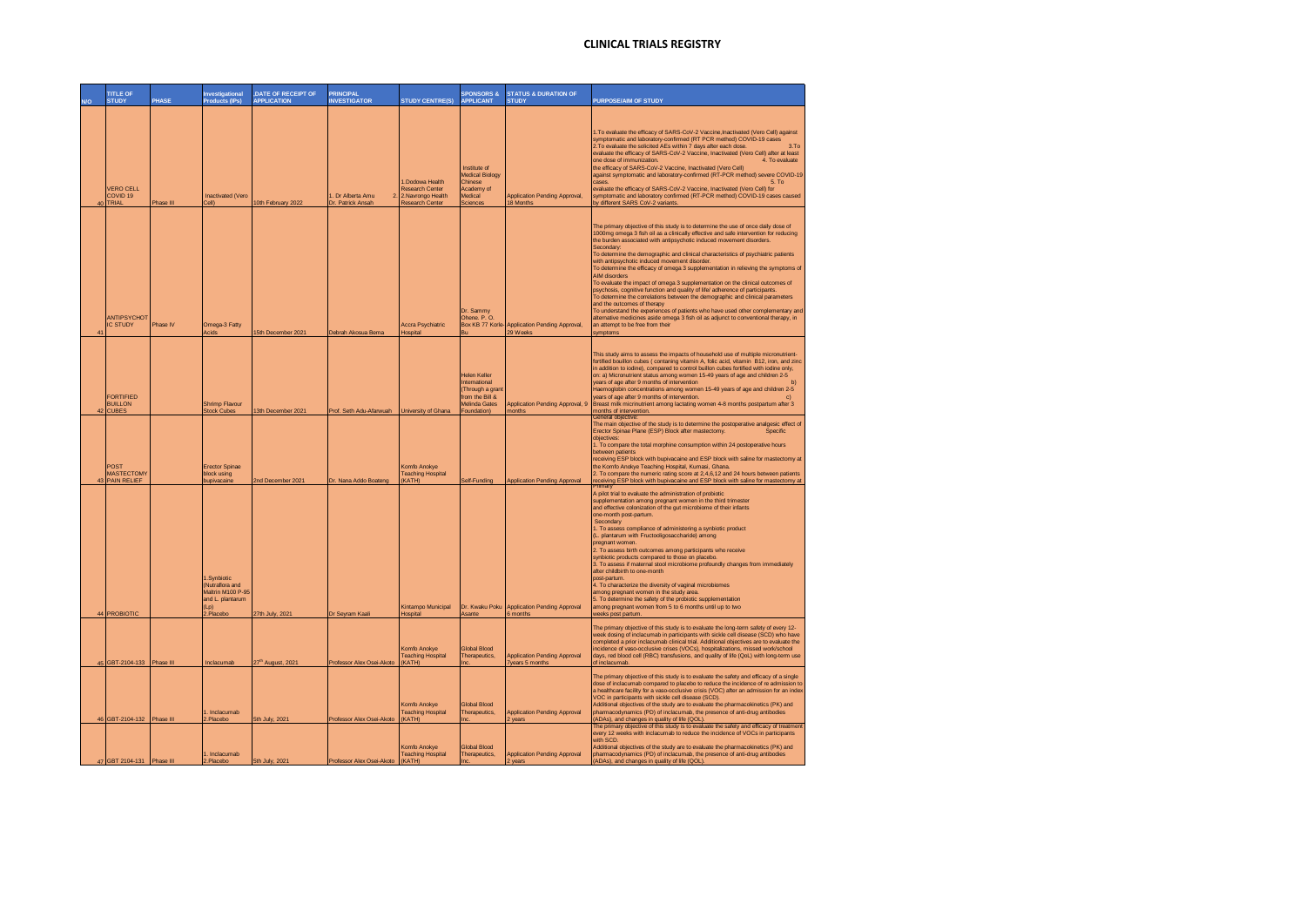|    | <b>TITLE OF</b><br><b>STUDY</b>                  | <b>PHASE</b> | <b>Investigational</b><br>Products (IPs)                                                             | <b>DATE OF RECEIPT OF</b><br><b>APPLICATION</b> | <b>PRINCIPAL</b><br><b>INVESTIGATOR</b>  | <b>STUDY CENTRE(S)</b>                                                    | <b>SPONSORS &amp;</b><br><b>APPLICANT</b>                                                           | <b>STATUS &amp; DURATION OF</b><br><b>STUDY</b>        | PURPOSE/AIM OF STUDY                                                                                                                                                                                                                                                                                                                                                                                                                                                                                                                                                                                                                                                                                                                                                                                                                                                                                                                                                                                                    |
|----|--------------------------------------------------|--------------|------------------------------------------------------------------------------------------------------|-------------------------------------------------|------------------------------------------|---------------------------------------------------------------------------|-----------------------------------------------------------------------------------------------------|--------------------------------------------------------|-------------------------------------------------------------------------------------------------------------------------------------------------------------------------------------------------------------------------------------------------------------------------------------------------------------------------------------------------------------------------------------------------------------------------------------------------------------------------------------------------------------------------------------------------------------------------------------------------------------------------------------------------------------------------------------------------------------------------------------------------------------------------------------------------------------------------------------------------------------------------------------------------------------------------------------------------------------------------------------------------------------------------|
|    |                                                  |              |                                                                                                      |                                                 |                                          |                                                                           |                                                                                                     |                                                        |                                                                                                                                                                                                                                                                                                                                                                                                                                                                                                                                                                                                                                                                                                                                                                                                                                                                                                                                                                                                                         |
| 40 | <b>VERO CELL</b><br>COVID <sub>19</sub><br>TRIAL | Phase III    | <b>Inactivated (Vero</b><br>Cell)                                                                    | 10th February 2022                              | Dr Alberta Amu<br>2<br>Dr. Patrick Ansah | .Dodowa Health<br>Research Center<br>2.Navrongo Health<br>Research Center | Institute of<br>Medical Biology<br>Chinese<br>Academy of<br>Medical<br>Sciences                     | <b>Application Pending Approval,</b><br>18 Months      | 1. To evaluate the efficacy of SARS-CoV-2 Vaccine, Inactivated (Vero Cell) against<br>symptomatic and laboratory-confirmed (RT PCR method) COVID-19 cases<br>3.7 <sub>o</sub><br>2. To evaluate the solicited AEs within 7 days after each dose.<br>evaluate the efficacy of SARS-CoV-2 Vaccine, Inactivated (Vero Cell) after at least<br>one dose of immunization.<br>4. To evaluate<br>the efficacy of SARS-CoV-2 Vaccine, Inactivated (Vero Cell)<br>against symptomatic and laboratory-confirmed (RT-PCR method) severe COVID-19<br>5. To<br>cases<br>evaluate the efficacy of SARS-CoV-2 Vaccine, Inactivated (Vero Cell) for<br>symptomatic and laboratory confirmed (RT-PCR method) COVID-19 cases caused<br>by different SARS CoV-2 variants.                                                                                                                                                                                                                                                                  |
|    | ANTIPSYCHOT<br><b>IC STUDY</b>                   | Phase IV     | Omega-3 Fatty<br>Acids                                                                               | 15th December 2021                              | Debrah Akosua Bema                       | <b>Accra Psychiatric</b><br>Hospital                                      | Dr. Sammy<br>Ohene. P.O.<br>Box KB 77 Korle-<br>Bu                                                  | <b>Application Pending Approval,</b><br>29 Weeks       | The primary objective of this study is to determine the use of once daily dose of<br>1000mg omega 3 fish oil as a clinically effective and safe intervention for reducing<br>the burden associated with antipsychotic induced movement disorders.<br>Secondary:<br>To determine the demographic and clinical characteristics of psychiatric patients<br>with antipsychotic induced movement disorder.<br>To determine the efficacy of omega 3 supplementation in relieving the symptoms of<br>AIM disorders<br>To evaluate the impact of omega 3 supplementation on the clinical outcomes of<br>psychosis, cognitive function and quality of life/ adherence of participants.<br>To determine the correlations between the demographic and clinical parameters<br>and the outcomes of therapy<br>To understand the experiences of patients who have used other complementary and<br>alternative medicines aside omega 3 fish oil as adjunct to conventional therapy, in<br>an attempt to be free from their<br>symptoms |
|    | FORTIFIED<br><b>BUILLON</b><br><b>CUBES</b>      |              | Shrimn Flavour<br><b>Stock Cubes</b>                                                                 | 13th December 2021                              | Prof. Seth Adu-Afarwuah                  | University of Ghana                                                       | Helen Keller<br>International<br>Through a grant<br>from the Bill &<br>Melinda Gates<br>Foundation) | Application Pending Approval, 9<br>nonths              | This study aims to assess the impacts of household use of multiple micronutrient-<br>fortified bouillon cubes (contaning vitamin A, folic acid, vitamin B12, iron, and zinc<br>in addition to iodine), compared to control buillon cubes fortified with iodine only,<br>on: a) Micronutrient status among women 15-49 years of age and children 2-5<br>years of age after 9 months of intervention<br>Haemoglobin concentrations among women 15-49 years of age and children 2-5<br>years of age after 9 months of intervention.<br>Breast milk micrinutrient among lactating women 4-8 months postpartum after 3<br>months of intervention.                                                                                                                                                                                                                                                                                                                                                                            |
|    | POST<br><b>MASTECTOMY</b><br><b>PAIN RELIEF</b>  |              | <b>Erector Spinae</b><br>block using<br>bupivacaine                                                  | 2nd December 2021                               | Dr. Nana Addo Boateng                    | <b>Comfo Anokye</b><br><b>Teaching Hospital</b><br><b>KATH)</b>           | Self-Funding                                                                                        | <b>Application Pending Approval</b>                    | General objective<br>The main objective of the study is to determine the postoperative analoesic effect of<br>Erector Spinae Plane (ESP) Block after mastectomy.<br>Specific<br>objectives:<br>1. To compare the total morphine consumption within 24 postoperative hours<br>between patients<br>receiving ESP block with bupivacaine and ESP block with saline for mastectomy at<br>the Komfo Anokye Teaching Hospital, Kumasi, Ghana.<br>2. To compare the numeric rating score at 2,4,6,12 and 24 hours between patients<br>receiving ESP block with bupivacaine and ESP block with saline for mastectomy at                                                                                                                                                                                                                                                                                                                                                                                                         |
| 44 | <b>PROBIOTIC</b>                                 |              | 1.Synbiotic<br>Nutraflora and<br><b>Maltrin M100 P-95</b><br>and L. plantarum<br>$L$ p)<br>2.Placebo | 27th July, 2021                                 | Dr Seyram Kaal                           | <b>Kintampo Municipal</b><br>Hospital                                     | Dr. Kwaku Poku<br>Asante                                                                            | <b>Application Pending Approval</b><br>6 months        | <b>Primary</b><br>A pilot trial to evaluate the administration of probiotic<br>supplementation among pregnant women in the third trimester<br>and effective colonization of the gut microbiome of their infants<br>one-month post-partum.<br>Secondary<br>1. To assess compliance of administering a synbiotic product<br>(L. plantarum with Fructooligosaccharide) among<br>pregnant women.<br>2. To assess birth outcomes among participants who receive<br>synbiotic products compared to those on placebo.<br>3. To assess if maternal stool microbiome profoundly changes from immediately<br>after childbirth to one-month<br>post-partum.<br>4. To characterize the diversity of vaginal microbiomes<br>among pregnant women in the study area<br>5. To determine the safety of the probiotic supplementation<br>among pregnant women from 5 to 6 months until up to two<br>weeks post partum.                                                                                                                   |
|    | 45 GBT-2104-133                                  | Phase III    | Inclacumab                                                                                           | 27th August, 2021                               | Professor Alex Osei-Akoto                | <b>Comfo Anokve</b><br><b>Teaching Hospital</b><br>(KATH)                 | Global Blood<br>Therapeutics,<br>Inc.                                                               | Application Pending Approval<br><b>Zvears 5 months</b> | The primary objective of this study is to evaluate the long-term safety of every 12-<br>week dosing of inclacumab in participants with sickle cell disease (SCD) who have<br>completed a prior inclacumab clinical trial. Additional objectives are to evaluate the<br>incidence of vaso-occlusive crises (VOCs), hospitalizations, missed work/school<br>days, red blood cell (RBC) transfusions, and quality of life (QoL) with long-term use<br>of inclacumab.                                                                                                                                                                                                                                                                                                                                                                                                                                                                                                                                                       |
|    | GBT-2104-132                                     | Phase III    | . Inclacumab<br>.Placebo                                                                             | 5th July, 2021                                  | Professor Alex Osei-Akoto                | Komfo Anokve<br><b>Teaching Hospital</b><br>KATH)                         | Global Blood<br>Therapeutics,<br>nc                                                                 | <b>Application Pending Approval</b><br>years           | The primary objective of this study is to evaluate the safety and efficacy of a single<br>dose of inclacumab compared to placebo to reduce the incidence of re admission to<br>a healthcare facility for a vaso-occlusive crisis (VOC) after an admission for an index<br>VOC in participants with sickle cell disease (SCD).<br>Additional objectives of the study are to evaluate the pharmacokinetics (PK) and<br>pharmacodynamics (PD) of inclacumab, the presence of anti-drug antibodies<br>ADAs), and changes in quality of life (QOL).<br>The primary objective of this study is to evaluate the safety and efficacy of treatment                                                                                                                                                                                                                                                                                                                                                                               |
|    | 47 GBT 2104-131 Phase III                        |              | 1. Inclacumab<br>2.Placebo                                                                           | 5th July, 2021                                  | Professor Alex Osei-Akoto                | Komfo Anokye<br><b>Teaching Hospital</b><br>(KATH)                        | <b>Global Blood</b><br>Therapeutics.<br>Inc.                                                        | <b>Application Pending Approval</b><br>years           | every 12 weeks with inclacumab to reduce the incidence of VOCs in participants<br>with SCD<br>Additional objectives of the study are to evaluate the pharmacokinetics (PK) and<br>pharmacodynamics (PD) of inclacumab, the presence of anti-drug antibodies<br>(ADAs), and changes in quality of life (QOL).                                                                                                                                                                                                                                                                                                                                                                                                                                                                                                                                                                                                                                                                                                            |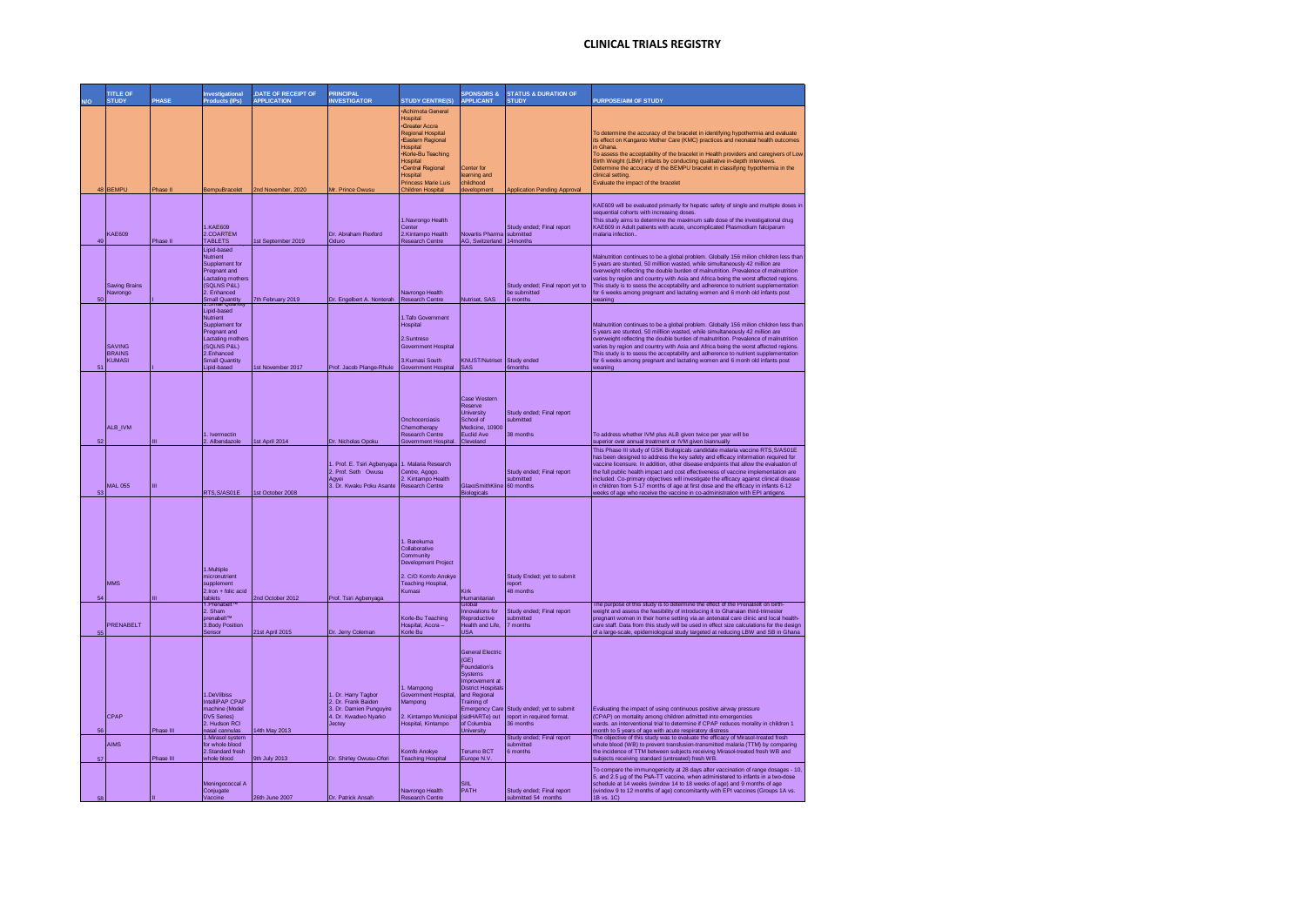|    | <b>TITLE OF</b>                |           | Investigational                          | DATE OF RECEIPT OF | <b>PRINCIPAL</b>                                |                                                   | <b>SPONSORS &amp;</b>                       | <b>STATUS &amp; DURATION OF</b>         |                                                                                                                                                                                                                                            |
|----|--------------------------------|-----------|------------------------------------------|--------------------|-------------------------------------------------|---------------------------------------------------|---------------------------------------------|-----------------------------------------|--------------------------------------------------------------------------------------------------------------------------------------------------------------------------------------------------------------------------------------------|
|    | <b>STUDY</b>                   | PHASE     | <b>Products (IPs)</b>                    | <b>APPLICATION</b> | <b>INVESTIGATOR</b>                             | <b>STUDY CENTRE(S)</b><br><b>Achimota General</b> | <b>APPLICANT</b>                            | <b>STUDY</b>                            | PURPOSE/AIM OF STUDY                                                                                                                                                                                                                       |
|    |                                |           |                                          |                    |                                                 | Hospital                                          |                                             |                                         |                                                                                                                                                                                                                                            |
|    |                                |           |                                          |                    |                                                 | ·Greater Accra<br><b>Regional Hospital</b>        |                                             |                                         | To determine the accuracy of the bracelet in identifying hypothermia and evaluate                                                                                                                                                          |
|    |                                |           |                                          |                    |                                                 | ·Eastern Regional<br>Hospital                     |                                             |                                         | its effect on Kangaroo Mother Care (KMC) practices and neonatal health outcomes<br>n Ghana                                                                                                                                                 |
|    |                                |           |                                          |                    |                                                 | Korle-Bu Teaching<br>Hospital                     |                                             |                                         | To assess the acceptability of the bracelet in Health providers and caregivers of Low<br>Birth Weight (LBW) infants by conducting qualitative in-depth interviews.                                                                         |
|    |                                |           |                                          |                    |                                                 | <b>•Central Regional</b><br>Hospital              | Center for<br>earning and                   |                                         | Determine the accuracy of the BEMPU bracelet in classifying hypothermia in the<br>clinical setting                                                                                                                                         |
|    | 48 BEMPU                       |           |                                          |                    |                                                 | <b>Princess Marie Luis</b>                        | childhood                                   |                                         | Evaluate the impact of the bracelet                                                                                                                                                                                                        |
|    |                                | Phase II  | BempuBracelet                            | 2nd November, 2020 | Mr. Prince Owusu                                | Children Hospital                                 | development                                 | Application Pending Approval            |                                                                                                                                                                                                                                            |
|    |                                |           |                                          |                    |                                                 |                                                   |                                             |                                         | KAE609 will be evaluated primarily for hepatic safety of single and multiple doses in<br>sequential cohorts with increasing doses.                                                                                                         |
|    |                                |           | 1.KAE609                                 |                    |                                                 | 1.Navrongo Health<br>Center                       |                                             | Study ended: Final report               | This study aims to determine the maximum safe dose of the investigational drug<br>KAE609 in Adult patients with acute, uncomplicated Plasmodium falciparum                                                                                 |
|    | KAE609                         |           | 2.COARTEM                                |                    | Dr. Abraham Rexford                             | 2.Kintampo Health                                 | <b>Vovartis Pharma</b>                      | submitted                               | malaria infection.                                                                                                                                                                                                                         |
| 49 |                                | Phase II  | <b>TABLETS</b><br>Lipid-based            | 1st September 2019 | Oduro                                           | Research Centre                                   | AG, Switzerland 14months                    |                                         |                                                                                                                                                                                                                                            |
|    |                                |           | Nutrient<br>Supplement for               |                    |                                                 |                                                   |                                             |                                         | Malnutrition continues to be a global problem. Globally 156 milion children less than<br>5 years are stunted, 50 milllion wasted, while simultaneously 42 million are                                                                      |
|    |                                |           | Pregnant and                             |                    |                                                 |                                                   |                                             |                                         | overweight reflecting the double burden of malnutrition. Prevalence of malnutrition                                                                                                                                                        |
|    | <b>Saving Brains</b>           |           | Lactating mothers<br>(SOLNS P&L)         |                    |                                                 |                                                   |                                             | Study ended: Final report yet to        | varies by region and country with Asia and Africa being the worst affected regions.<br>This study is to ssess the acceptability and adherence to nutrient supplementation                                                                  |
| 50 | Navrongo                       |           | 2. Enhanced<br><b>Small Quantity</b>     | 7th February 2019  | Dr. Engelbert A. Nonterah                       | Navrongo Health<br><b>Research Centre</b>         | Nutriset, SAS                               | he submitted<br>6 months                | for 6 weeks among pregnant and lactating women and 6 monh old infants post<br>weaning                                                                                                                                                      |
|    |                                |           | Lipid-based                              |                    |                                                 |                                                   |                                             |                                         |                                                                                                                                                                                                                                            |
|    |                                |           | Nutrient<br>Supplement for               |                    |                                                 | 1. Tafo Government<br>Hospital                    |                                             |                                         | Malnutrition continues to be a global problem. Globally 156 milion children less than                                                                                                                                                      |
|    |                                |           | Pregnant and<br><b>Lactating mothers</b> |                    |                                                 | 2.Suntreso                                        |                                             |                                         | 5 years are stunted, 50 million wasted, while simultaneously 42 million are<br>overweight reflecting the double burden of malnutrition. Prevalence of malnutrition                                                                         |
|    | <b>SAVING</b><br><b>BRAINS</b> |           | (SQLNS P&L)<br>2.Enhanced                |                    |                                                 | Government Hospital                               |                                             |                                         | varies by region and country with Asia and Africa being the worst affected regions.<br>This study is to ssess the acceptability and adherence to nutrient supplementation                                                                  |
|    | <b>KUMASI</b>                  |           | <b>Small Quantity</b>                    |                    |                                                 | 3.Kumasi South                                    | <b>KNUST/Nutriset</b><br>SAS                | Study ended                             | for 6 weeks among pregnant and lactating women and 6 monh old infants post                                                                                                                                                                 |
|    |                                |           | Lipid-based                              | 1st November 2017  | Prof. Jacob Plange-Rhule                        | Government Hospi                                  |                                             | <b>6months</b>                          | weaning                                                                                                                                                                                                                                    |
|    |                                |           |                                          |                    |                                                 |                                                   |                                             |                                         |                                                                                                                                                                                                                                            |
|    |                                |           |                                          |                    |                                                 |                                                   | Case Western                                |                                         |                                                                                                                                                                                                                                            |
|    |                                |           |                                          |                    |                                                 |                                                   | Reserve<br><b>Jniversity</b>                | Study ended; Final report               |                                                                                                                                                                                                                                            |
|    | ALB_IVM                        |           |                                          |                    |                                                 | Onchocerciasis<br>Chemotherapy                    | School of<br>Medicine, 10900                | submitted                               |                                                                                                                                                                                                                                            |
| 52 |                                |           | 1. Ivermectin<br>2. Albendazole          | 1st April 2014     | Dr. Nicholas Opoku                              | Research Centre<br>Government Hospital.           | Euclid Ave<br>Cleveland                     | 38 months                               | To address whether IVM plus ALB given twice per year will be<br>superior over annual treatment or IVM given biannually                                                                                                                     |
|    |                                |           |                                          |                    |                                                 |                                                   |                                             |                                         | This Phase III study of GSK Biologicals candidate malaria vaccine RTS, S/AS01E<br>has been designed to address the key safety and efficacy information required for                                                                        |
|    |                                |           |                                          |                    | 1. Prof. E. Tsiri Agbenyaga                     | 1. Malaria Research                               |                                             |                                         | vaccine licensure. In addition, other disease endpoints that allow the evaluation of                                                                                                                                                       |
|    |                                |           |                                          |                    | 2. Prof. Seth Owusu                             | Centre, Agogo.                                    |                                             | Study ended: Final report               | the full public health impact and cost effectiveness of vaccine implementation are                                                                                                                                                         |
|    | <b>MAI 055</b>                 |           |                                          |                    | Agyei                                           | 2. Kintampo Health                                |                                             | submitted                               | included. Co-primary objectives will investigate the efficacy against clinical disease                                                                                                                                                     |
|    |                                | Iш        | RTS, S/AS01E                             | 1st October 2008   | 3. Dr. Kwaku Poku Asante                        | <b>Research Centre</b>                            | GlaxoSmithKline<br><b>Biologicals</b>       | 60 months                               | in children from 5-17 months of age at first dose and the efficacy in infants 6-12<br>weeks of age who receive the vaccine in co-administration with EPI antigens                                                                          |
|    |                                |           |                                          |                    |                                                 |                                                   |                                             |                                         |                                                                                                                                                                                                                                            |
|    |                                |           |                                          |                    |                                                 |                                                   |                                             |                                         |                                                                                                                                                                                                                                            |
|    |                                |           |                                          |                    |                                                 |                                                   |                                             |                                         |                                                                                                                                                                                                                                            |
|    |                                |           |                                          |                    |                                                 | 1. Barekuma                                       |                                             |                                         |                                                                                                                                                                                                                                            |
|    |                                |           |                                          |                    |                                                 | Collaborative<br>Community                        |                                             |                                         |                                                                                                                                                                                                                                            |
|    |                                |           | 1. Multiple                              |                    |                                                 | <b>Development Project</b>                        |                                             |                                         |                                                                                                                                                                                                                                            |
|    | <b>MMS</b>                     |           | micronutrient                            |                    |                                                 | 2. C/O Komfo Anokye                               |                                             | Study Ended; yet to submit              |                                                                                                                                                                                                                                            |
| 54 |                                |           | supplement<br>$2$ Iron + folic acid      |                    |                                                 | <b>Teaching Hospital</b> ,<br>Kumasi              | Kirk                                        | report<br>48 months                     |                                                                                                                                                                                                                                            |
|    |                                |           | tablets<br>1.Prena                       | 2nd October 2012   | Prof. Tsiri Agbenyaga                           |                                                   | Humanitarian                                |                                         | The purpose of this study is to determine the effect of the PrenaBelt on birth-                                                                                                                                                            |
|    |                                |           | 2. Sham<br>prenabelt™                    |                    |                                                 | Korle-Bu Teaching                                 | nnovations for<br>Reproductive              | Study ended; Final report<br>submitted  | veight and assess the feasibility of introducing it to Ghanaian third-trimester<br>pregnant women in their home setting via an antenatal care clinic and local health-                                                                     |
| 55 | PRENABELT                      |           | 3. Body Position<br>Sensor               | 21st April 2015    | Dr. Jerry Coleman                               | Hospital, Accra -<br>Korle Bu                     | lealth and Life<br><b>USA</b>               | months                                  | care staff. Data from this study will be used in effect size calculations for the design<br>of a large-scale, epidemiological study targeted at reducing LBW and SB in Ghana                                                               |
|    |                                |           |                                          |                    |                                                 |                                                   |                                             |                                         |                                                                                                                                                                                                                                            |
|    |                                |           |                                          |                    |                                                 |                                                   | <b>General Electric</b><br>(GE)             |                                         |                                                                                                                                                                                                                                            |
|    |                                |           |                                          |                    |                                                 |                                                   | Foundation's                                |                                         |                                                                                                                                                                                                                                            |
|    |                                |           |                                          |                    |                                                 |                                                   | Systems<br>mprovement at                    |                                         |                                                                                                                                                                                                                                            |
|    |                                |           | 1.DeVilbiss                              |                    | 1. Dr. Harry Tagbor                             | I. Mampong<br>Government Hospital,                | District Hospitals<br>and Regional          |                                         |                                                                                                                                                                                                                                            |
|    |                                |           | IntelliPAP CPAP<br>machine (Model        |                    | 2. Dr. Frank Baiden                             | lampong                                           | <b>Training of</b><br><b>Emergency Care</b> | Study ended; yet to submit              | Evaluating the impact of using continuous positive airway pressure                                                                                                                                                                         |
|    | CPAP                           |           | DV5 Series)                              |                    | 3. Dr. Damien Punguyire<br>4. Dr. Kwadwo Nyarko | 2. Kintampo Municipal                             | sidHARTe) out                               | report in required format.<br>36 months | (CPAP) on mortality among children admitted into emergencies                                                                                                                                                                               |
|    |                                | Phase III | 2. Hudson RCI<br>asal cannulas           | 14th May 2013      | Jectey                                          | Hospital, Kintampo                                | of Columbia<br>Jniversit                    |                                         | wards. an interventional trial to determine if CPAP reduces morality in children 1<br>month to 5 years of age with acute respiratory distress                                                                                              |
|    | AIMS                           |           | Mirasol system<br>for whole blood        |                    |                                                 |                                                   |                                             | Study ended; Final report<br>submitted  | The objective of this study was to evaluate the efficacy of Mirasol-treated fresh<br>whole blood (WB) to prevent transfusion-transmitted malaria (TTM) by comparing                                                                        |
| 57 |                                | Phase III | 2.Standard fresh<br>whole blood          | 9th July 2013      | Dr. Shirley Owusu-Ofori                         | Komfo Anokye<br><b>Teaching Hospital</b>          | Terumo BCT<br>Europe N.V.                   | 6 months                                | the incidence of TTM between subjects receiving Mirasol-treated fresh WB and<br>subjects receiving standard (untreated) fresh WB                                                                                                           |
|    |                                |           |                                          |                    |                                                 |                                                   |                                             |                                         | To compare the immunogenicity at 28 days after vaccination of range dosages - 10,                                                                                                                                                          |
|    |                                |           | Meningococcal A<br>Conjugate             |                    |                                                 | Navrongo Health                                   | SIIL<br>PATH                                | Study ended; Final report               | 5, and 2.5 µg of the PsA-TT vaccine, when administered to infants in a two-dose<br>schedule at 14 weeks (window 14 to 18 weeks of age) and 9 months of age<br>window 9 to 12 months of age) concomitantly with EPI vaccines (Groups 1A vs. |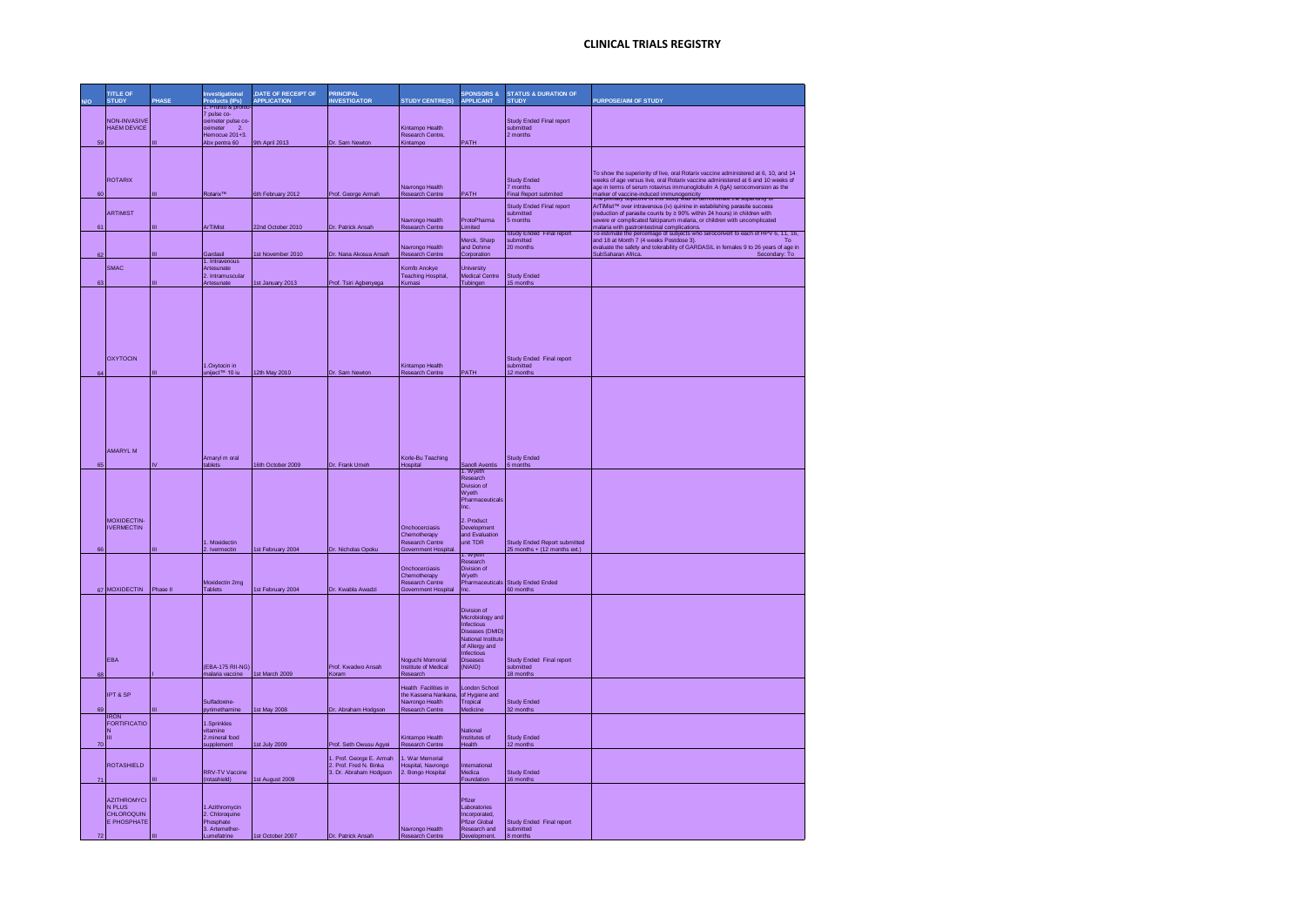|                | <b>TITLE OF</b><br><b>STUD</b>                                   | PHASE | Investigational<br>Products (IPs)<br>1. Pronto & pront                                             | ,DATE OF RECEIPT OF<br><b>APPLICATION</b> | <b>PRINCIPAL</b><br><b>INVESTIGATOR</b>                                      | <b>STUDY CENTRE(S)</b>                                                                   | <b>SPONSORS &amp;</b><br><b>APPLICANT</b>                                                                                                     | <b>STATUS &amp; DURATION OF</b><br><b>STUDY</b>                     | PURPOSE/AIM OF STUDY                                                                                                                                                                                                                                                                                                                                      |
|----------------|------------------------------------------------------------------|-------|----------------------------------------------------------------------------------------------------|-------------------------------------------|------------------------------------------------------------------------------|------------------------------------------------------------------------------------------|-----------------------------------------------------------------------------------------------------------------------------------------------|---------------------------------------------------------------------|-----------------------------------------------------------------------------------------------------------------------------------------------------------------------------------------------------------------------------------------------------------------------------------------------------------------------------------------------------------|
| 59             | <b>NON-INVASIVE</b><br><b>HAEM DEVICE</b>                        |       | 7 pulse co-<br>oximeter pulse co-<br>oximeter<br>$\overline{2}$<br>Hemocue 201+3.<br>Abx pentra 60 | 9th April 2013                            | Dr. Sam Newton                                                               | Kintampo Health<br>Research Centre.<br>Kintampo                                          | PATH                                                                                                                                          | Study Ended Final report<br>submitted<br>2 months                   |                                                                                                                                                                                                                                                                                                                                                           |
| 6í             | <b>ROTARIX</b>                                                   | ш     | <b>Rotarix™</b>                                                                                    | 6th February 2012                         |                                                                              | Navrongo Health<br><b>Research Centre</b>                                                | <b>PATH</b>                                                                                                                                   | <b>Study Ended</b><br>7 months<br><b>Final Report submited</b>      | To show the superiority of live, oral Rotarix vaccine administered at 6, 10, and 14<br>weeks of age versus live, oral Rotarix vaccine administered at 6 and 10 weeks of<br>age in terms of serum rotavirus immunoglobulin A (IgA) seroconversion as the                                                                                                   |
|                | ARTIMIST                                                         |       |                                                                                                    |                                           | Prof. George Armah                                                           | Navrongo Health                                                                          | ProtoPharma                                                                                                                                   | Study Ended Final report<br>submitted<br>5 months                   | marker of vaccine-induced immunogenicity<br>The primary cojective or this study was to demonstrate the superiority or<br>ArTiMist™ over intravenous (iv) quinine in establishing parasite success<br>(reduction of parasite counts by ≥ 90% within 24 hours) in children with<br>severe or complicated falciparum malaria, or children with uncomplicated |
| 61             |                                                                  | Ш     | <b>ArTiMist</b>                                                                                    | 22nd October 2010                         | Dr. Patrick Ansah                                                            | Research Centre                                                                          | Limited<br>Merck, Sharp                                                                                                                       | Study Ended Final report<br>submitted                               | malaria with gastrointestinal complications.<br>To estimate the percentage of subjects who seroconvert to each of HPV 6, 11, 16,<br>and 18 at Month 7 (4 weeks Postdose 3).<br>To                                                                                                                                                                         |
| 62             | SMAC                                                             | π     | Gardasil<br>1. Intravenous<br>Artesunate                                                           | 1st November 2010                         | Dr. Nana Akosua Ansah                                                        | Navrongo Health<br><b>Research Centre</b><br>Komfo Anokye                                | and Dohme<br>Corporation<br>University                                                                                                        | 20 months                                                           | evaluate the safety and tolerability of GARDASIL in females 9 to 26 years of age in<br>SubSaharan Africa<br>Secondary: To                                                                                                                                                                                                                                 |
| 63             |                                                                  |       | 2. Intramuscular<br>Artesunate                                                                     | 1st January 2013                          | Prof. Tsiri Agbenyega                                                        | Teaching Hospital,<br>Kumasi                                                             | Medical Centre<br>Tubingen                                                                                                                    | <b>Study Ended</b><br>15 months                                     |                                                                                                                                                                                                                                                                                                                                                           |
| 64             | <b>OXYTOCIN</b>                                                  |       | 1.Oxytocin in<br>uniject™ 10 iu                                                                    | 12th May 2010                             | Dr. Sam Newton                                                               | Kintampo Health<br>Research Centre                                                       | PATH                                                                                                                                          | Study Ended Final report<br>submitted<br>12 months                  |                                                                                                                                                                                                                                                                                                                                                           |
| 65             | AMARYI M                                                         |       | Amaryl m oral<br>tablets                                                                           | 16th October 2009                         | Dr. Frank Umeh                                                               | Korle-Bu Teaching<br>Hospital                                                            | Sanofi Aventis<br>1. Wyeth                                                                                                                    | <b>Study Ended</b><br>6 months                                      |                                                                                                                                                                                                                                                                                                                                                           |
|                | MOXIDECTIN-<br><b>IVERMECTIN</b>                                 |       | 1. Moxidectin<br>2. Ivermectin                                                                     |                                           | Dr. Nicholas Opoku                                                           | Onchocerciasis<br>Chemotherapy<br>Research Centre<br>Government Hospital                 | Research<br>Division of<br>Wyeth<br>Pharmaceutical<br>Inc.<br>2. Product<br>Development<br>and Evaluation<br>unit TDR                         | <b>Study Ended Report submitted</b><br>25 months + (12 months ext.) |                                                                                                                                                                                                                                                                                                                                                           |
|                | 67 MOXIDECTIN Phase II                                           |       | Moxidectin 2mg<br>Tablets                                                                          | 1st February 2004<br>1st February 2004    | Dr. Kwabla Awadzi                                                            | Onchocerciasis<br>Chemotherapy<br>Research Centre<br><b>Government Hospital</b>          | . vv yetr<br>Research<br>Division of<br>Wyeth<br>Pharmaceuticals                                                                              | Study Ended Ended<br>60 months                                      |                                                                                                                                                                                                                                                                                                                                                           |
| 68             | <b>FBA</b>                                                       |       | (EBA-175 RII-NG)<br>malaria vaccine                                                                | 1st March 2009                            | Prof. Kwadwo Ansah<br>Koram                                                  | Noguchi Momorial<br><b>Institute of Medical</b><br>Research                              | Division of<br>Microbiology and<br>Infectious<br>Diseases (DMID)<br>National Institute<br>of Allergy and<br>Infectious<br>Diseases<br>(NIAID) | Study Ended Final report<br>submitted<br>18 months                  |                                                                                                                                                                                                                                                                                                                                                           |
| 69             | <b>IPT &amp; SP</b>                                              |       | Sulfadoxine-<br>pyrimethamine                                                                      | 1st May 2008                              | Dr. Abraham Hodgson                                                          | Health Facilities in<br>the Kassena Nankana<br>Navrongo Health<br><b>Research Centre</b> | <b>London School</b><br>of Hygiene and<br>Tropical<br>Medicine                                                                                | <b>Study Ended</b><br>32 months                                     |                                                                                                                                                                                                                                                                                                                                                           |
| 70             | <b>RON</b><br><b>FORTIFICATIO</b><br>N<br>Ш                      |       | 1 Sprinkles<br>vitamine<br>2.mineral food                                                          | 1st July 2009                             | Prof. Seth Owusu Agyei                                                       | Kintampo Health<br>Research Centre                                                       | National<br>Institutes of<br>lealth                                                                                                           | <b>Study Ended</b><br>12 months                                     |                                                                                                                                                                                                                                                                                                                                                           |
| $\overline{7}$ | <b>ROTASHIELD</b>                                                |       | supplemer<br>RRV-TV Vaccine<br>(rotashield)                                                        | 1st August 2009                           | 1. Prof. George E. Armah<br>2. Prof. Fred N. Binka<br>3. Dr. Abraham Hodgson | 1. War Memorial<br>lospital, Navrongo<br>2. Bongo Hospital                               | International<br>Medica<br>Foundation                                                                                                         | <b>Study Ended</b><br>16 months                                     |                                                                                                                                                                                                                                                                                                                                                           |
| 72             | <b>AZITHROMYCI</b><br>N PLUS<br>CHLOROQUIN<br><b>F PHOSPHATE</b> |       | Azithromycin<br>2. Chloroquine<br>Phosphate<br>3 Artemether-<br>Lumefatrine                        | 1st October 2007                          | Dr. Patrick Ansah                                                            | Navrongo Health<br>Research Centre                                                       | Pfizer<br>Laboratories<br>Incorporated<br>Pfizer Global<br>Research and<br><b>Development</b>                                                 | Study Ended, Final report<br>submitted<br>8 months                  |                                                                                                                                                                                                                                                                                                                                                           |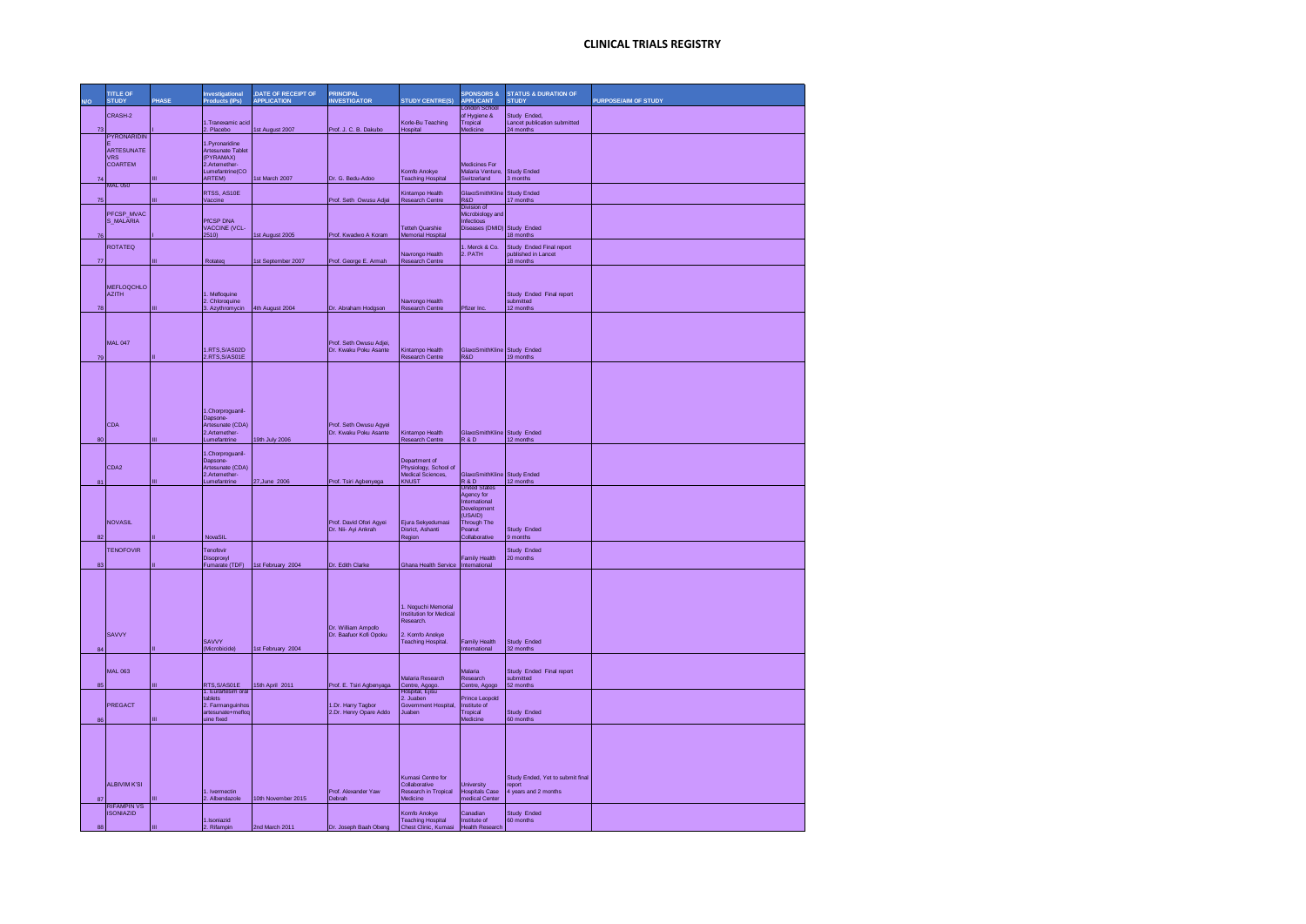|    | <b>TITLE OF</b><br><b>STUDY</b>        | PHASE | Investigational<br><b>Products (IPs)</b> | <b>,DATE OF RECEIPT OF</b><br><b>APPLICATION</b> | <b>PRINCIPAL</b><br><b>INVESTIGATOR</b>         | <b>STUDY CENTRE(S)</b>                                | <b>SPONSORS &amp;</b><br><b>APPLICANT</b>        | <b>STATUS &amp; DURATION OF</b><br><b>STUDY</b> | <b>PURPOSE/AIM OF STUDY</b> |
|----|----------------------------------------|-------|------------------------------------------|--------------------------------------------------|-------------------------------------------------|-------------------------------------------------------|--------------------------------------------------|-------------------------------------------------|-----------------------------|
|    | CRASH-2                                |       | 1.Tranexamic acid                        |                                                  |                                                 | Korle-Bu Teaching                                     | <b>London School</b><br>of Hygiene &<br>Tropical | Study Ended,<br>Lancet publication submitted    |                             |
| 73 | <b>PYRONARIDIN</b>                     |       | 2. Placebo                               | 1st August 2007                                  | Prof. J. C. B. Dakubo                           | Hospital                                              | Medicine                                         | 24 months                                       |                             |
|    | <b>ARTESUNATE</b>                      |       | .Pyronaridine<br>Artesunate Tablet       |                                                  |                                                 |                                                       |                                                  |                                                 |                             |
|    | <b>VRS</b><br>COARTEM                  |       | (PYRAMAX)<br>2.Artemether                |                                                  |                                                 |                                                       | Medicines For                                    |                                                 |                             |
| 74 | <b>MAL 050</b>                         |       | Lumefantrine(CO<br>ARTEM)                | 1st March 2007                                   | Dr. G. Bedu-Adoo                                | Komfo Anokye<br><b>Teaching Hospital</b>              | Malaria Venture,<br>Switzerland                  | <b>Study Ended</b><br>3 months                  |                             |
| 75 |                                        |       | RTSS, AS10E<br>/accine                   |                                                  | Prof. Seth Owusu Adjei                          | Kintampo Health<br><b>Research Centre</b>             | GlaxoSmithKline<br>R&D                           | <b>Study Ended</b><br>17 months                 |                             |
|    | PFCSP MVAC                             |       |                                          |                                                  |                                                 |                                                       | Division of<br>Microbiology and                  |                                                 |                             |
| 76 | S MALARIA                              |       | PICSP DNA<br>VACCINE (VCL-<br>2510)      | 1st August 2005                                  | Prof. Kwadwo A Koram                            | Tetteh Quarshie<br>Memorial Hospital                  | Infectious<br>Diseases (DMID) Study Ended        | 18 months                                       |                             |
|    | <b>ROTATEQ</b>                         |       |                                          |                                                  |                                                 |                                                       | 1. Merck & Co.                                   | Study Ended Final report                        |                             |
| 77 |                                        |       | Rotateo                                  | 1st September 2007                               | Prof. George E. Armah                           | Navrongo Health<br>Research Centre                    | 2. PATH                                          | published in Lancet<br>18 months                |                             |
|    |                                        |       |                                          |                                                  |                                                 |                                                       |                                                  |                                                 |                             |
|    | <b>MEFLOQCHLO</b><br><b>AZITH</b>      |       | Mefloquine                               |                                                  |                                                 |                                                       |                                                  | Study Ended Final report                        |                             |
| 78 |                                        |       | 2. Chloroquine<br>3. Azythromycin        | 4th August 2004                                  | Dr. Abraham Hodgson                             | Navrongo Health<br>Research Centre                    | Pfizer Inc.                                      | submitted<br>12 months                          |                             |
|    |                                        |       |                                          |                                                  |                                                 |                                                       |                                                  |                                                 |                             |
|    | <b>MAL 047</b>                         |       |                                          |                                                  | Prof. Seth Owusu Adiei.                         |                                                       |                                                  |                                                 |                             |
| 79 |                                        |       | I.RTS,S/AS02D<br>2.RTS, S/AS01E          |                                                  | Dr. Kwaku Poku Asante                           | Kintampo Health<br>Research Centre                    | GlaxoSmithKline Study Ended<br>R&D               | 19 months                                       |                             |
|    |                                        |       |                                          |                                                  |                                                 |                                                       |                                                  |                                                 |                             |
|    |                                        |       |                                          |                                                  |                                                 |                                                       |                                                  |                                                 |                             |
|    |                                        |       |                                          |                                                  |                                                 |                                                       |                                                  |                                                 |                             |
|    |                                        |       | 1.Chorproguanil-<br>Dapsone-             |                                                  |                                                 |                                                       |                                                  |                                                 |                             |
|    | CDA                                    |       | Artesunate (CDA)<br>2.Artemether-        |                                                  | Prof. Seth Owusu Agyei<br>Dr. Kwaku Poku Asante | Kintampo Health                                       | GlaxoSmithKline Study Ended                      |                                                 |                             |
| 80 |                                        | ш     | umefantrine                              | 19th July 2006                                   |                                                 | Research Centre                                       | R&D                                              | 12 months                                       |                             |
|    |                                        |       | Chorproguanil-<br>Dapsone-               |                                                  |                                                 | Department of                                         |                                                  |                                                 |                             |
|    | CDA2                                   |       | Artesunate (CDA)<br>2.Artemether-        |                                                  |                                                 | Physiology, School of<br>Medical Sciences,            | GlaxoSmithKline Study Ended                      |                                                 |                             |
|    |                                        |       | umefantrine                              | 27, June 2006                                    | Prof. Tsiri Agbenyega                           | KNUST                                                 | R&D<br><b>United S</b><br>Agency for             | 12 months                                       |                             |
|    |                                        |       |                                          |                                                  |                                                 |                                                       | International<br>Development                     |                                                 |                             |
|    | <b>NOVASIL</b>                         |       |                                          |                                                  | Prof. David Ofori Agyei                         | Eiura Sekvedumasi                                     | (USAID)<br><b>Through The</b>                    |                                                 |                             |
|    |                                        |       | NovaSIL                                  |                                                  | Dr. Nii- Ayi Ankrah                             | Disrict, Ashanti<br>Region                            | Peanut<br>Collabon                               | Study Ended<br>9 months                         |                             |
|    | <b>TENOFOVIR</b>                       |       | Tennfovir                                |                                                  |                                                 |                                                       |                                                  | Study Ended                                     |                             |
| 83 |                                        |       | Disoproxyl                               | Fumarate (TDF) 1st February 2004                 | Dr. Edith Clarke                                | Ghana Health Service                                  | <b>Family Health</b><br>Internationa             | 20 months                                       |                             |
|    |                                        |       |                                          |                                                  |                                                 |                                                       |                                                  |                                                 |                             |
|    |                                        |       |                                          |                                                  |                                                 |                                                       |                                                  |                                                 |                             |
|    |                                        |       |                                          |                                                  |                                                 | 1. Noguchi Memorial<br><b>Institution for Medical</b> |                                                  |                                                 |                             |
|    |                                        |       |                                          |                                                  | Dr. William Ampofo                              | Research                                              |                                                  |                                                 |                             |
| 84 | SAVVY                                  |       | SAVVY                                    |                                                  | Dr. Baafuor Kofi Opoku                          | 2. Komfo Anokye<br>Teaching Hospital.                 | Family Health                                    | Study Ended                                     |                             |
|    |                                        |       | (Microbicide)                            | 1st February 2004                                |                                                 |                                                       | International                                    | 32 months                                       |                             |
|    | <b>MAL 063</b>                         |       |                                          |                                                  |                                                 | Malaria Research                                      | Malaria<br>Research                              | Study Ended Final report<br>hettimdus           |                             |
| R۶ |                                        |       | RTS.S/AS01E                              | 15th April 2011                                  | Prof. E. Tsiri Agbenyaga                        | Centre, Agogo.<br>Hospital, E                         | Centre, Agogo                                    | 52 months                                       |                             |
|    | PREGACT                                |       | tablets<br>2. Farmanguinhos              |                                                  | 1.Dr. Harry Tagbor                              | Government Hospital,                                  | Prince Leonold<br>Institute of                   |                                                 |                             |
|    |                                        |       | artesunate+meflog<br>uine fixed          |                                                  | 2.Dr. Henry Opare Addo                          | Juaben                                                | Tropical<br>Medicine                             | Study Ended<br>60 months                        |                             |
|    |                                        |       |                                          |                                                  |                                                 |                                                       |                                                  |                                                 |                             |
|    |                                        |       |                                          |                                                  |                                                 |                                                       |                                                  |                                                 |                             |
|    |                                        |       |                                          |                                                  |                                                 |                                                       |                                                  |                                                 |                             |
|    | <b>ALBIVIM K'SI</b>                    |       |                                          |                                                  |                                                 | Kumasi Centre for<br>Collaborative                    | Jniversity                                       | Study Ended. Yet to submit final<br>report      |                             |
| 87 |                                        |       | I. Ivermectin<br>2. Albendazole          | 10th November 2015                               | Prof. Alexander Yaw<br>Debrah                   | Research in Tropical<br>Medicine                      | lospitals Case<br>nedical Center                 | years and 2 months                              |                             |
|    | <b>RIFAMPIN VS</b><br><b>ISONIAZID</b> |       |                                          |                                                  |                                                 | Komfo Anokye                                          | Canadian                                         | Study Ended                                     |                             |
|    |                                        |       | 1 Isoniazid<br><b>Rifampin</b>           | 2nd March 2011                                   | Dr. Joseph Baah Obeng                           | <b>Teaching Hospital</b><br>Chest Clinic, Kumasi      | Institute of<br>Health Rese                      | 60 months                                       |                             |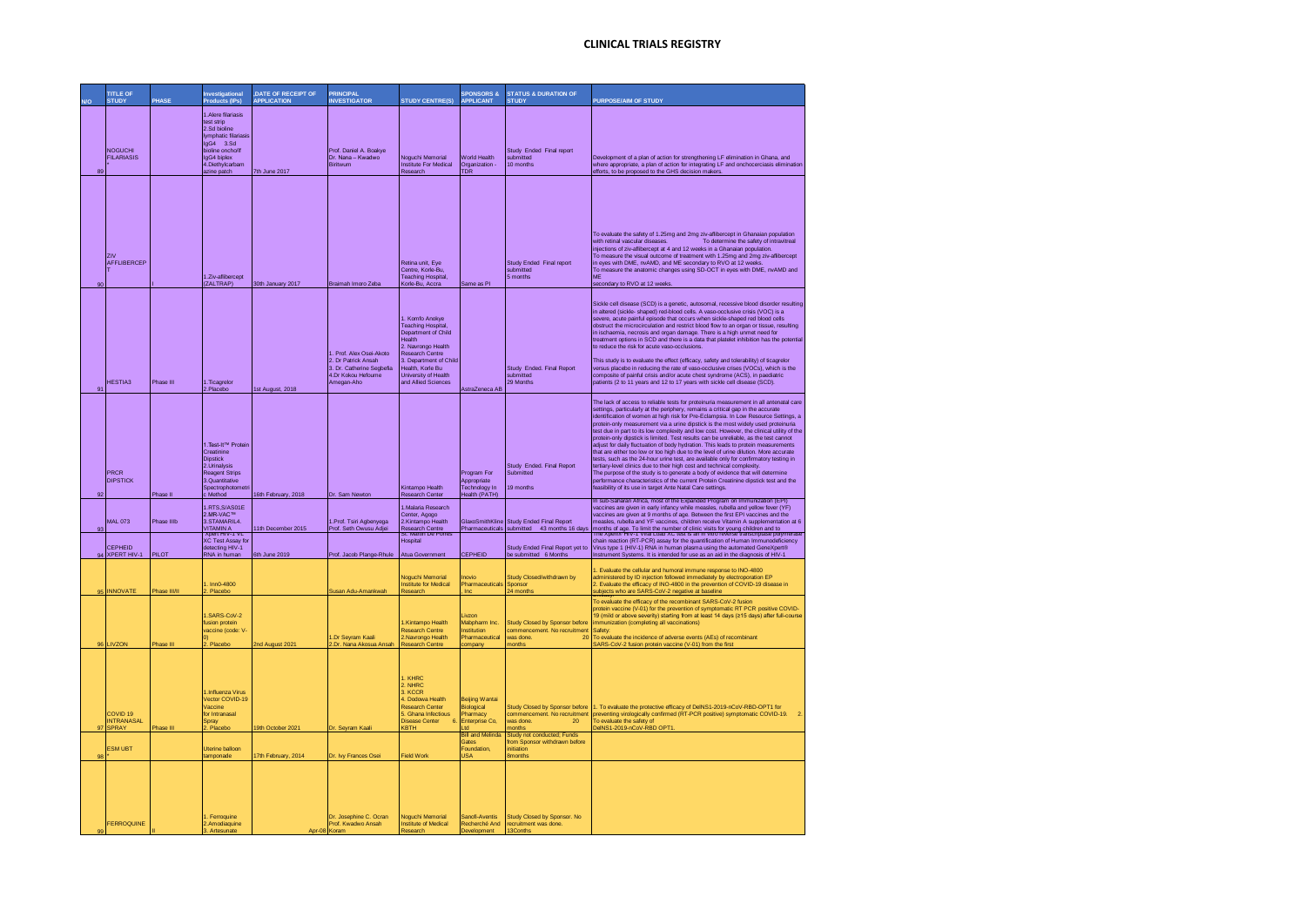|              | <b>TITLE OF</b><br><b>STUDY</b>        | PHASE                  | <b>Investigational</b><br>Products (IPs)                                                                                                                 | <b>,DATE OF RECEIPT OF</b><br><b>APPLICATION</b> | <b>PRINCIPAL</b><br><b>INVESTIGATOR</b>                                                                         | <b>STUDY CENTRE(S)</b>                                                                                                                                                                                             | <b>SPONSORS &amp;</b><br><b>APPLICANT</b>                          | <b>STATUS &amp; DURATION OF</b><br><b>STUDY</b>                                                                   | <b>PURPOSE/AIM OF STUDY</b>                                                                                                                                                                                                                                                                                                                                                                                                                                                                                                                                                                                                                                                                                                                                                                                                                                                                                                                                                                                                                                                                                                        |
|--------------|----------------------------------------|------------------------|----------------------------------------------------------------------------------------------------------------------------------------------------------|--------------------------------------------------|-----------------------------------------------------------------------------------------------------------------|--------------------------------------------------------------------------------------------------------------------------------------------------------------------------------------------------------------------|--------------------------------------------------------------------|-------------------------------------------------------------------------------------------------------------------|------------------------------------------------------------------------------------------------------------------------------------------------------------------------------------------------------------------------------------------------------------------------------------------------------------------------------------------------------------------------------------------------------------------------------------------------------------------------------------------------------------------------------------------------------------------------------------------------------------------------------------------------------------------------------------------------------------------------------------------------------------------------------------------------------------------------------------------------------------------------------------------------------------------------------------------------------------------------------------------------------------------------------------------------------------------------------------------------------------------------------------|
| R.           | <b>NOGUCHI</b><br><b>FILARIASIS</b>    |                        | 1 Alere filariasis<br>test strip<br>2.Sd bioline<br>Ivmphatic filariasi<br>gG4 3.Sd<br>bioline oncho/If<br>IgG4 biplex<br>4.Diethylcarbam<br>azine patch | 7th June 2017                                    | Prof. Daniel A. Boakye<br>Dr. Nana - Kwadwo<br><b>Biritwum</b>                                                  | Noguchi Memorial<br>Institute For Medical<br>Research                                                                                                                                                              | <b>World Health</b><br>Organization -<br><b>TDR</b>                | Study Ended Final report<br>submitted<br>10 months                                                                | Development of a plan of action for strengthening LF elimination in Ghana, and<br>where appropriate, a plan of action for integrating LF and onchocerciasis elimination<br>efforts, to be proposed to the GHS decision makers                                                                                                                                                                                                                                                                                                                                                                                                                                                                                                                                                                                                                                                                                                                                                                                                                                                                                                      |
|              | <b>ZIV</b><br>AFFLIBERCEP              |                        | 1.Ziv-aflibercept<br>(ZALTRAP)                                                                                                                           | 30th January 2017                                | Braimah Imoro Zeba                                                                                              | Retina unit, Eye<br>Centre Korle-Bu<br><b>Teaching Hospital</b> ,<br>Korle-Bu, Accra                                                                                                                               | Same as PI                                                         | Study Ended Final report<br>submitted<br>5 months                                                                 | To evaluate the safety of 1.25mg and 2mg ziv-aflibercept in Ghanaian population<br>To determine the safety of intravitreal<br>with retinal vascular diseases.<br>injections of ziv-aflibercept at 4 and 12 weeks in a Ghanaian population.<br>To measure the visual outcome of treatment with 1.25mg and 2mg ziv-aflibercept<br>in eyes with DME, nvAMD, and ME secondary to RVO at 12 week<br>To measure the anatomic changes using SD-OCT in eyes with DME, nvAMD and<br>MF<br>secondary to RVO at 12 weeks                                                                                                                                                                                                                                                                                                                                                                                                                                                                                                                                                                                                                      |
| $\mathbf{Q}$ | <b>HESTIA3</b>                         | Phase III              | 1. Ticagrelor<br>2.Placebo                                                                                                                               | 1st August, 2018                                 | 1. Prof. Alex Osei-Akoto<br>2. Dr Patrick Ansah<br>3 Dr. Catherine Seghefia<br>4 Dr Kokou Hefoume<br>Amegan-Aho | 1. Komfo Anokye<br>Teaching Hospital,<br>Department of Child<br><b>Health</b><br>2. Navrongo Health<br>esearch Centre<br>3. Department of Child<br>Jealth, Korle Bu<br>University of Health<br>and Allied Sciences | AstraZeneca AB                                                     | Study Ended, Final Report<br>submitted<br>29 Months                                                               | Sickle cell disease (SCD) is a genetic, autosomal, recessive blood disorder resulting<br>in altered (sickle- shaped) red-blood cells. A vaso-occlusive crisis (VOC) is a<br>severe, acute painful episode that occurs when sickle-shaped red blood cells<br>obstruct the microcirculation and restrict blood flow to an organ or tissue, resulting<br>in ischaemia, necrosis and organ damage. There is a high unmet need for<br>treatment options in SCD and there is a data that platelet inhibition has the potentia<br>to reduce the risk for acute vaso-occlusions.<br>This study is to evaluate the effect (efficacy, safety and tolerability) of ticagrelor<br>versus placebo in reducing the rate of vaso-occlusive crises (VOCs), which is the<br>composite of painful crisis and/or acute chest syndrome (ACS), in paediatric<br>patients (2 to 11 years and 12 to 17 years with sickle cell disease (SCD).                                                                                                                                                                                                              |
|              | PRCR<br><b>DIPSTICK</b>                |                        | 1.Test-It™ Protein<br>Creatinine<br><b>Dipstick</b><br>2 Urinalysis<br><b>Reagent Strips</b><br>3 Quantitative<br>Spectrophotometri                      |                                                  |                                                                                                                 | Kintampo Health                                                                                                                                                                                                    | Program For<br>Appropriate<br>Technology In                        | Study Ended, Final Report<br>Submitted<br>19 months                                                               | The lack of access to reliable tests for proteinuria measurement in all antenatal care<br>settings, particularly at the periphery, remains a critical gap in the accurate<br>identification of women at high risk for Pre-Eclampsia. In Low Resource Settings, a<br>protein-only measurement via a urine dipstick is the most widely used proteinuria<br>test due in part to its low complexity and low cost. However, the clinical utility of the<br>protein-only dipstick is limited. Test results can be unreliable, as the test cannot<br>adjust for daily fluctuation of body hydration. This leads to protein measurements<br>that are either too low or too high due to the level of urine dilution. More accurate<br>ests, such as the 24-hour urine test, are available only for confirmatory testing in<br>tertiary-level clinics due to their high cost and technical complexity.<br>The purpose of the study is to generate a body of evidence that will determine<br>performance characteristics of the current Protein Creatinine dipstick test and the<br>easibility of its use in target Ante Natal Care settings. |
| 93           | <b>MAL 073</b><br>CEPHEID              | Phase II<br>Phase IIIb | Method<br>RTS S/AS01F<br>2.MR-VAC™<br>3.STAMARIL4.<br><b>VITAMINA</b><br>ADON HIV-T VE<br>XC Test Assay for<br>detecting HIV-1                           | 16th February, 2018<br>1th December 2015         | Dr. Sam Newton<br>1.Prof. Tsiri Agbenyega<br>Prof. Seth Owusu Adje                                              | search Center<br>1.Malaria Research<br>Center, Agogo<br>2.Kintampo Health<br>esearch Centre<br>St. Martin De Porre<br>Hospital                                                                                     | lealth (PATH)<br>GlaxoSmithKline                                   | <b>Study Ended Final Report</b><br>Pharmaceuticals submitted 43 months 16 days<br>Study Ended Final Report yet to | In sub-Saharan Africa, most of the Expanded Program on Immunization (EPI)<br>vaccines are given in early infancy while measles, rubella and yellow fever (YF)<br>vaccines are given at 9 months of age. Between the first EPI vaccines and the<br>neasles, rubella and YF vaccines, children receive Vitamin A supplementation at 6<br>months of age. To limit the number of clinic visits for young children and to<br>,<br>IVMAra<br>chain reaction (RT-PCR) assay for the quantification of Human Immunodeficiency<br>Virus type 1 (HIV-1) RNA in human plasma using the automated GeneXpert®                                                                                                                                                                                                                                                                                                                                                                                                                                                                                                                                   |
| 95           | 94 XPERT HIV-1<br><b>INNOVATE</b>      | PILOT<br>Phase III/II  | RNA in human<br>$Inn0-4800$<br>Placebo                                                                                                                   | 6th June 2019                                    | Prof. Jacob Plange-Rhule<br>Susan Adu-Amankwah                                                                  | <b>Atua Government</b><br>Noguchi Memorial<br><b>Institute for Medical</b>                                                                                                                                         | CEPHEID<br>novio<br>Pharmaceutio<br>Inc                            | be submitted 6 Months<br>Study Closed/withdrawn by<br>Sponsor<br>24 month                                         | Instrument Systems. It is intended for use as an aid in the diagnosis of HIV-1<br>1. Evaluate the cellular and humoral immune response to INO-4800<br>administered by ID injection followed immediately by electroporation EP<br>2. Evaluate the efficacy of INO-4800 in the prevention of COVID-19 disease in<br>ubjects who are SARS-CoV-2 negative at baseline                                                                                                                                                                                                                                                                                                                                                                                                                                                                                                                                                                                                                                                                                                                                                                  |
| 96           | LIVZON                                 | Phase III              | SARS-CoV-2<br>usion protein<br>vaccine (code: V<br>Placebo                                                                                               | 2nd August 2021                                  | 1.Dr Seyram Kaali<br>2.Dr. Nana Akosua Ansah                                                                    | 1.Kintampo Health<br>Research Centre<br>2.Navrongo Health<br><b>Research Centre</b>                                                                                                                                | livzon.<br>Mabpharm Inc.<br>nstitution<br>Pharmaceutica<br>company | <b>Study Closed by Sponsor before</b><br>commencement. No recruitment<br>was done<br>20<br>nonths                 | To evaluate the efficacy of the recombinant SARS-CoV-2 fusion<br>protein vaccine (V-01) for the prevention of symptomatic RT PCR positive COVID-<br>19 (mild or above severity) starting from at least 14 days (≥15 days) after full-course<br>immunization (completing all vaccinations)<br>Safety:<br>To evaluate the incidence of adverse events (AEs) of recombinant<br>SARS-CoV-2 fusion protein vaccine (V-01) from the first                                                                                                                                                                                                                                                                                                                                                                                                                                                                                                                                                                                                                                                                                                |
| 97           | COVID 19<br><b>INTRANASAL</b><br>SPRAY | Phase III              | <b>Influenza Virus</b><br>Vector COVID-19<br>Vaccine<br>for Intranasa<br>Sprav<br>Placebo                                                                | 9th October 2021                                 | Dr. Seyram Kaal                                                                                                 | I. KHRC<br>2. NHRC<br>3. KCCR<br>1. Dodowa Health<br><b>Research Center</b><br>5 Ghana Infectious<br><b>Disease Center</b><br>KBTH                                                                                 | Beijing Wanta<br>Biological<br>harmacy<br>Interprise Co.           | <b>Study Closed by Sponsor before</b><br>commencement. No recruitment<br>was done.<br>20<br>nonths                | 1. To evaluate the protective efficacy of DeINS1-2019-nCoV-RBD-OPT1 for<br>preventing virologically confirmed (RT-PCR positive) symptomatic COVID-19.<br>$\overline{2}$<br>To evaluate the safety of<br>DelNS1-2019-nCoV-RBD OPT                                                                                                                                                                                                                                                                                                                                                                                                                                                                                                                                                                                                                                                                                                                                                                                                                                                                                                   |
|              | <b>ESM UBT</b>                         |                        | <b>Iterine halloon</b><br>amponade                                                                                                                       | 17th February, 2014                              | Dr. Ivy Frances Osei                                                                                            | Field Work                                                                                                                                                                                                         | <b>Bill</b> and<br>Gates<br>Foundation<br><b>JSA</b>               | Study not conducted: Funds<br>rom Sponsor withdrawn before<br>initiation<br><b>Bmonths</b>                        |                                                                                                                                                                                                                                                                                                                                                                                                                                                                                                                                                                                                                                                                                                                                                                                                                                                                                                                                                                                                                                                                                                                                    |
|              | <b>FERROQUINE</b>                      |                        | <b>Eerroguine</b><br>2.Amodiaguine<br>3. Artesunate                                                                                                      |                                                  | Dr. Josephine C. Ocran<br>Prof. Kwadwo Ansah<br>Apr-08 Koram                                                    | Noquchi Memorial<br><b>Institute of Medical</b><br>Research                                                                                                                                                        | Sangfi-Aventis<br>Recherché And<br>Development                     | Study Closed by Sponsor, No<br>recruitment was done.<br>13Conths                                                  |                                                                                                                                                                                                                                                                                                                                                                                                                                                                                                                                                                                                                                                                                                                                                                                                                                                                                                                                                                                                                                                                                                                                    |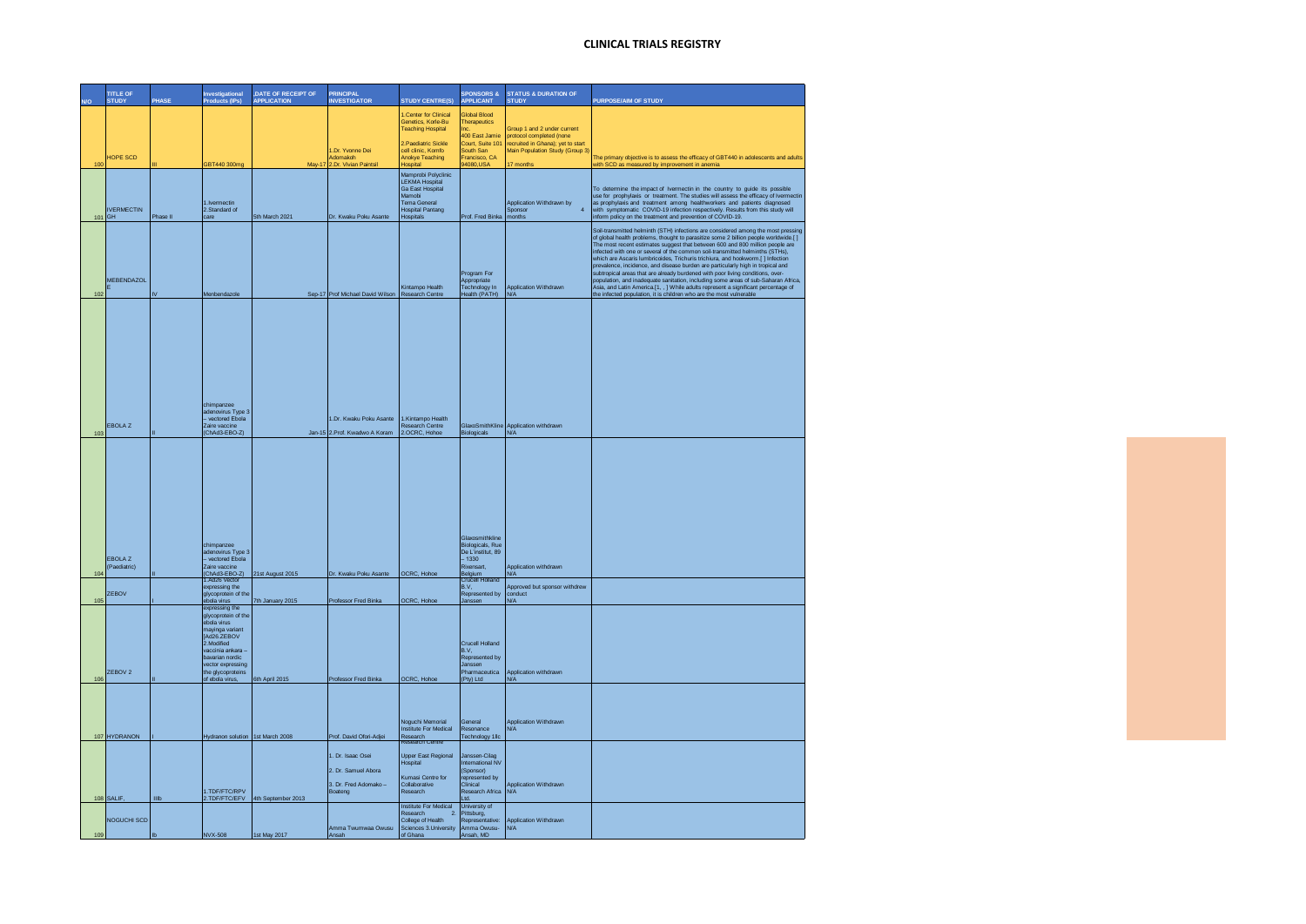|        | <b>TITLE OF</b><br><b>STUD</b> | PHASI    | Investigational<br>Products (IPs)                                                                                                                                                    | , DATE OF RECEIPT OF<br><b>APPLICATION</b> | <b>PRINCIPAL</b><br><b>INVESTIGATOR</b>                  | <b>STUDY CENTRE(S)</b>                                                                                         | <b>SPONSORS &amp;</b><br><b>APPLICANT</b>                                                    | <b>STATUS &amp; DURATION OF</b><br><b>STUDY</b>               | PURPOSE/AIM OF STUDY                                                                                                                                                                                                                                                                                                                                                                                                                                                                                                                                                                                                                                                                                                                                                                                                                             |
|--------|--------------------------------|----------|--------------------------------------------------------------------------------------------------------------------------------------------------------------------------------------|--------------------------------------------|----------------------------------------------------------|----------------------------------------------------------------------------------------------------------------|----------------------------------------------------------------------------------------------|---------------------------------------------------------------|--------------------------------------------------------------------------------------------------------------------------------------------------------------------------------------------------------------------------------------------------------------------------------------------------------------------------------------------------------------------------------------------------------------------------------------------------------------------------------------------------------------------------------------------------------------------------------------------------------------------------------------------------------------------------------------------------------------------------------------------------------------------------------------------------------------------------------------------------|
|        |                                |          |                                                                                                                                                                                      |                                            |                                                          | <b>Center for Clinical</b>                                                                                     | Global Blood                                                                                 |                                                               |                                                                                                                                                                                                                                                                                                                                                                                                                                                                                                                                                                                                                                                                                                                                                                                                                                                  |
|        |                                |          |                                                                                                                                                                                      |                                            |                                                          | Genetics, Korle-Bu<br><b>Teaching Hospital</b>                                                                 | Therapeutics                                                                                 | Group 1 and 2 under current                                   |                                                                                                                                                                                                                                                                                                                                                                                                                                                                                                                                                                                                                                                                                                                                                                                                                                                  |
|        |                                |          |                                                                                                                                                                                      |                                            |                                                          | 2.Paediatric Sickle                                                                                            | 400 Fast Jamie<br>Court, Suite 101                                                           | protocol completed (none<br>recruited in Ghana); yet to start |                                                                                                                                                                                                                                                                                                                                                                                                                                                                                                                                                                                                                                                                                                                                                                                                                                                  |
|        | HOPE SCD                       |          |                                                                                                                                                                                      |                                            | 1.Dr. Yvonne Dei<br>Adomakoh                             | cell clinic, Komfo<br>Anokye Teaching                                                                          | South San<br>Francisco, CA                                                                   | Main Population Study (Group 3)                               | The primary objective is to assess the efficacy of GBT440 in adolescents and adults                                                                                                                                                                                                                                                                                                                                                                                                                                                                                                                                                                                                                                                                                                                                                              |
| 100    |                                |          | GBT440 300mg                                                                                                                                                                         |                                            | 2.Dr. Vivian Pain                                        | <b>lospital</b><br>Mamprobi Polyclinic                                                                         | 94080,USA                                                                                    |                                                               | rith SCD as measured by improvement in anemia                                                                                                                                                                                                                                                                                                                                                                                                                                                                                                                                                                                                                                                                                                                                                                                                    |
|        |                                |          |                                                                                                                                                                                      |                                            |                                                          | LEKMA Hospital<br>Ga East Hospital                                                                             |                                                                                              |                                                               | To determine the impact of Ivermectin in the country to guide its possible                                                                                                                                                                                                                                                                                                                                                                                                                                                                                                                                                                                                                                                                                                                                                                       |
|        |                                |          | 1.Ivermectin                                                                                                                                                                         |                                            |                                                          | Mamobi<br><b>Tema General</b>                                                                                  |                                                                                              | Application Withdrawn by                                      | use for prophylaxis or treatment. The studies will assess the efficacy of Ivermectin<br>as prophylaxis and treatment among healthworkers and patients diagnosed                                                                                                                                                                                                                                                                                                                                                                                                                                                                                                                                                                                                                                                                                  |
| 101 GH | <b>IVERMECTIN</b>              | Phase II | 2.Standard of<br>care                                                                                                                                                                | 5th March 2021                             | Dr. Kwaku Poku Asante                                    | <b>Hospital Pantang</b><br>Hospitals                                                                           | Prof. Fred Binka months                                                                      | Sponsor<br>$\overline{4}$                                     | with symptomatic COVID-19 infection respectively. Results from this study will<br>inform policy on the treatment and prevention of COVID-19.                                                                                                                                                                                                                                                                                                                                                                                                                                                                                                                                                                                                                                                                                                     |
| 102    | MEBENDAZOL                     |          | Menbendazole                                                                                                                                                                         |                                            | Sep-17 Prof Michael David Wilson Research Centre         | Kintampo Health                                                                                                | Program For<br>Appropriate<br>Technology In<br>lealth (PATH)                                 | Application Withdrawn<br>N/A                                  | Soil-transmitted helminth (STH) infections are considered among the most pres<br>of global health problems, thought to parasitize some 2 billion people worldwide.[]<br>The most recent estimates suggest that between 600 and 800 million people are<br>infected with one or several of the common soil-transmitted helminths (STHs),<br>which are Ascaris lumbricoides, Trichuris trichiura, and hookworm.[] Infection<br>prevalence, incidence, and disease burden are particularly high in tropical and<br>subtropical areas that are already burdened with poor living conditions, over-<br>population, and inadequate sanitation, including some areas of sub-Saharan Africa,<br>Asia, and Latin America.[1, , ] While adults represent a significant percentage of<br>the infected population, it is children who are the most vulnerable |
|        |                                |          |                                                                                                                                                                                      |                                            |                                                          |                                                                                                                |                                                                                              |                                                               |                                                                                                                                                                                                                                                                                                                                                                                                                                                                                                                                                                                                                                                                                                                                                                                                                                                  |
|        |                                |          | chimpanzee<br>adenovirus Type 3<br>- vectored Ebola                                                                                                                                  |                                            |                                                          | 1.Kintampo Health                                                                                              |                                                                                              |                                                               |                                                                                                                                                                                                                                                                                                                                                                                                                                                                                                                                                                                                                                                                                                                                                                                                                                                  |
| 103    | <b>EBOLAZ</b>                  |          | Zaire vaccine<br>(ChAd3-EBO-Z)                                                                                                                                                       |                                            | 1.Dr. Kwaku Poku Asante<br>Jan-15 2.Prof. Kwadwo A Koram | Research Centre<br>2.OCRC, Hohoe                                                                               | Biologicals                                                                                  | GlaxoSmithKline Application withdrawn<br>N/A                  |                                                                                                                                                                                                                                                                                                                                                                                                                                                                                                                                                                                                                                                                                                                                                                                                                                                  |
|        |                                |          |                                                                                                                                                                                      |                                            |                                                          |                                                                                                                |                                                                                              |                                                               |                                                                                                                                                                                                                                                                                                                                                                                                                                                                                                                                                                                                                                                                                                                                                                                                                                                  |
|        | EBOLA Z<br>(Paediatric)        |          | chimpanzee<br>adenovirus Type 3<br>- vectored Ebola<br>Zaire vaccine<br>(ChAd3-EBO-Z)<br>1.Ad26 Vector                                                                               | 21st August 2015                           | Dr. Kwaku Poku Asante                                    | OCRC, Hohoe                                                                                                    | Glaxosmithkline<br>Biologicals, Rue<br>De L'institut, 89<br>$-1330$<br>Rixensart,<br>Belgium | Application withdrawn<br>N/A                                  |                                                                                                                                                                                                                                                                                                                                                                                                                                                                                                                                                                                                                                                                                                                                                                                                                                                  |
|        | <b>ZEBOV</b>                   |          | expressing the                                                                                                                                                                       |                                            |                                                          |                                                                                                                | <b>Crucell Ho</b><br>B.V.                                                                    | Approved but sponsor withdrew                                 |                                                                                                                                                                                                                                                                                                                                                                                                                                                                                                                                                                                                                                                                                                                                                                                                                                                  |
| 105    |                                |          | glycoprotein of the<br>ebola virus<br>expressing the                                                                                                                                 | 7th January 2015                           | Professor Fred Binka                                     | <b>OCRC. Hohoe</b>                                                                                             | Represented by<br>Janssen                                                                    | conduct<br>N/A                                                |                                                                                                                                                                                                                                                                                                                                                                                                                                                                                                                                                                                                                                                                                                                                                                                                                                                  |
| 106    | ZEBOV <sub>2</sub>             |          | glycoprotein of the<br>ebola virus<br>mayinga variant<br>Ad26 ZEBOV<br>2.Modified<br>vaccinia ankara<br>bavarian nordic<br>vector expressing<br>the glycoproteins<br>of ebola virus. | 6th April 2015                             | Professor Fred Binka                                     | <b>OCRC, Hohoe</b>                                                                                             | <b>Crucell Holland</b><br>B.V.<br>Represented by<br>Janssen<br>Pharmaceutica<br>(Pty) Ltd    | Application withdrawn<br>N/A                                  |                                                                                                                                                                                                                                                                                                                                                                                                                                                                                                                                                                                                                                                                                                                                                                                                                                                  |
|        |                                |          |                                                                                                                                                                                      |                                            |                                                          |                                                                                                                |                                                                                              |                                                               |                                                                                                                                                                                                                                                                                                                                                                                                                                                                                                                                                                                                                                                                                                                                                                                                                                                  |
|        | 107 HYDRANON                   |          | Hydranon solution 1st March 2008                                                                                                                                                     |                                            | Prof. David Ofori-Adjei<br>1. Dr. Isaac Osei             | Noguchi Memorial<br>Institute For Medical<br>Research<br>Research Centre<br>Upper East Regional                | General<br>Resonance<br><b>Technology 1llc</b><br>Janssen-Cilag                              | Application Withdrawn<br>N/A                                  |                                                                                                                                                                                                                                                                                                                                                                                                                                                                                                                                                                                                                                                                                                                                                                                                                                                  |
|        |                                |          |                                                                                                                                                                                      |                                            | 2. Dr. Samuel Abora                                      | Hospital                                                                                                       | International NV<br>(Sponsor)                                                                |                                                               |                                                                                                                                                                                                                                                                                                                                                                                                                                                                                                                                                                                                                                                                                                                                                                                                                                                  |
|        |                                |          |                                                                                                                                                                                      |                                            | 3. Dr. Fred Adomako -                                    | Kumasi Centre for<br>Collaborative                                                                             | represented by<br>Clinical                                                                   | Application Withdrawn                                         |                                                                                                                                                                                                                                                                                                                                                                                                                                                                                                                                                                                                                                                                                                                                                                                                                                                  |
|        | 108 SALIF,                     | Illb     | 1.TDF/FTC/RPV<br>2.TDF/FTC/EFV                                                                                                                                                       | 4th September 2013                         | Boateng                                                  | Research                                                                                                       | Research Africa<br>Ltd.                                                                      | N/A                                                           |                                                                                                                                                                                                                                                                                                                                                                                                                                                                                                                                                                                                                                                                                                                                                                                                                                                  |
| 109    | NOGUCHI SCD                    |          | <b>NVX-508</b>                                                                                                                                                                       | 1st May 2017                               | Amma Twumwaa Owusu<br>Ansah                              | Institute For Medical<br>Research<br>$\overline{2}$<br>College of Health<br>Sciences 3. University<br>of Ghana | University of<br>Pittsburg,<br>Representative:<br>Amma Owusu-<br>Ansah, MD                   | Application Withdrawn<br>N/A                                  |                                                                                                                                                                                                                                                                                                                                                                                                                                                                                                                                                                                                                                                                                                                                                                                                                                                  |
|        |                                |          |                                                                                                                                                                                      |                                            |                                                          |                                                                                                                |                                                                                              |                                                               |                                                                                                                                                                                                                                                                                                                                                                                                                                                                                                                                                                                                                                                                                                                                                                                                                                                  |

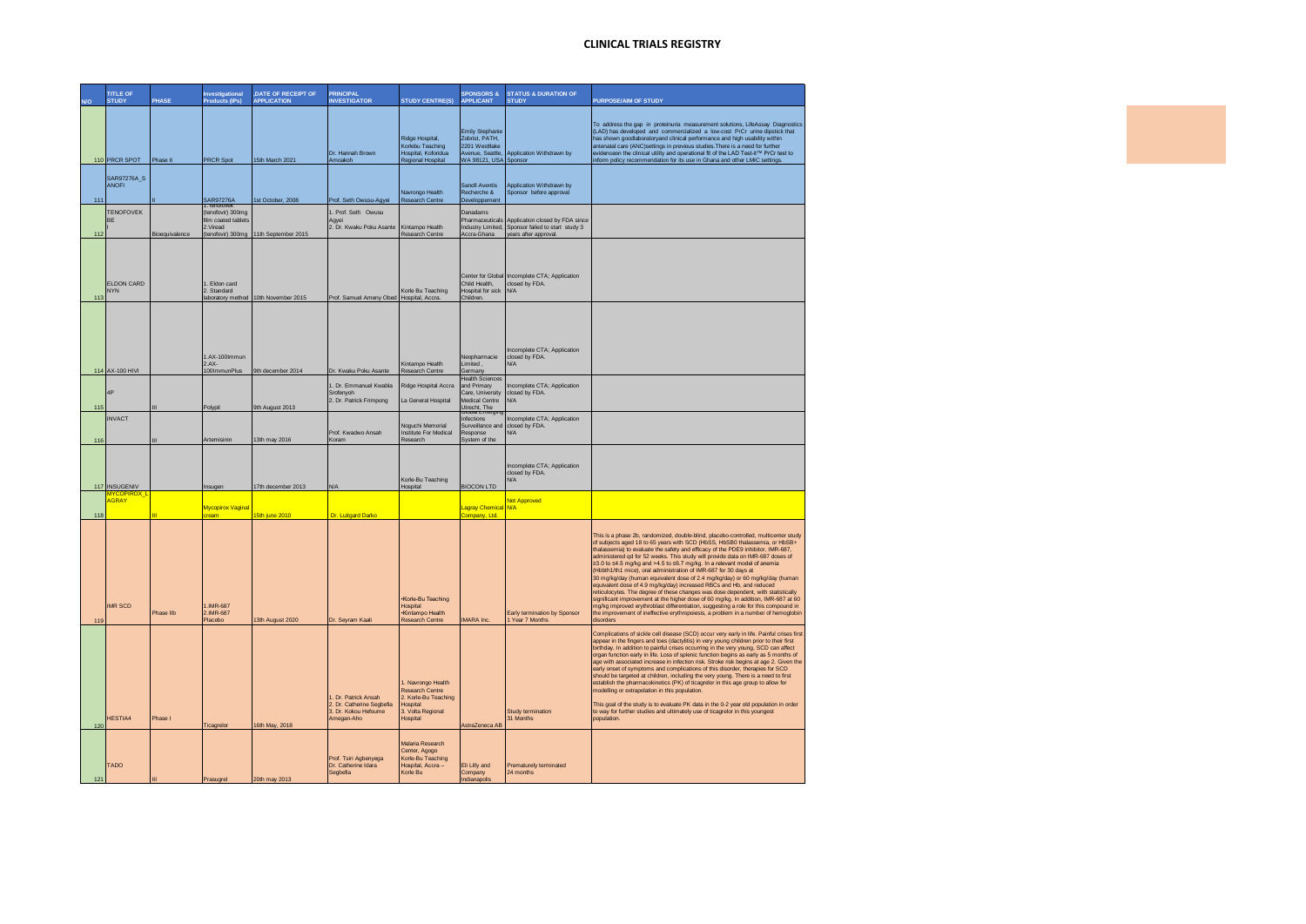|     | <b>TITLE OF</b><br>STUDY        | PHASE          | <b>Investigational</b><br><b>Products (IPs)</b>                                        | DATE OF RECEIPT OF<br><b>APPLICATION</b> | <b>PRINCIPAL</b><br><b>INVESTIGATOR</b>                                                 | <b>STUDY CENTRE(S)</b>                                                                                    | <b>SPONSORS &amp;</b><br><b>APPLICANT</b>                                                                          | <b>STATUS &amp; DURATION OF</b><br><b>STUDY</b>                                             | PURPOSE/AIM OF STUDY                                                                                                                                                                                                                                                                                                                                                                                                                                                                                                                                                                                                                                                                                                                                                                                                                                                                                                                                                                                                  |
|-----|---------------------------------|----------------|----------------------------------------------------------------------------------------|------------------------------------------|-----------------------------------------------------------------------------------------|-----------------------------------------------------------------------------------------------------------|--------------------------------------------------------------------------------------------------------------------|---------------------------------------------------------------------------------------------|-----------------------------------------------------------------------------------------------------------------------------------------------------------------------------------------------------------------------------------------------------------------------------------------------------------------------------------------------------------------------------------------------------------------------------------------------------------------------------------------------------------------------------------------------------------------------------------------------------------------------------------------------------------------------------------------------------------------------------------------------------------------------------------------------------------------------------------------------------------------------------------------------------------------------------------------------------------------------------------------------------------------------|
|     | 110 PRCR SPOT                   | Phase II       | <b>PRCR Spot</b>                                                                       | 15th March 2021                          | Dr. Hannah Brown<br>Amoakoh                                                             | Ridge Hospital.<br>Korlebu Teaching<br>Hospital, Koforidua<br>Regional Hospital                           | Emily Stephanie<br>Zobrist, PATH.<br>2201 Westllake<br>Avenue, Seattle,<br>WA 98121, USA Sponsor                   | Application Withdrawn by                                                                    | To address the gap in proteinuria measurement solutions, LifeAssay Diagnostics<br>(LAD) has developed and commercialized a low-cost PrCr urine dipstick that<br>has shown goodlaboratoryand clinical performance and high usability within<br>antenatal care (ANC)settings in previous studies. There is a need for further<br>evidenceon the clinical utility and operational fit of the LAD Test it™ PrCr test to<br>inform policy recommendation for its use in Ghana and other LMIC settings                                                                                                                                                                                                                                                                                                                                                                                                                                                                                                                      |
| 111 | SAR97276A_S<br><b>ANOFI</b>     |                | SAR97276A                                                                              | 1st October, 2008                        | Prof. Seth Owusu-Agyei                                                                  | Navrongo Health<br>Research Centre                                                                        | Sanofi Aventis<br>Recherche &<br>Developpement                                                                     | Application Withdrawn by<br>Sponsor before approval                                         |                                                                                                                                                                                                                                                                                                                                                                                                                                                                                                                                                                                                                                                                                                                                                                                                                                                                                                                                                                                                                       |
| 112 | <b>TENOFOVEK</b><br>BE          | Bioequivalence | Tenofovel<br>(tenofovir) 300mg<br>film coated tablets<br>2 Viread<br>(tenofovir) 300mg | 11th September 2015                      | 1. Prof. Seth Owusu<br>Agyei<br>2. Dr. Kwaku Poku Asante                                | Kintampo Health<br><b>Research Centre</b>                                                                 | Danadams<br>Pharmaceuticals<br>Industry Limited,<br>Accra-Ghana                                                    | Application closed by FDA since<br>Sponsor failed to start study 3<br>years after approval. |                                                                                                                                                                                                                                                                                                                                                                                                                                                                                                                                                                                                                                                                                                                                                                                                                                                                                                                                                                                                                       |
| 113 | <b>ELDON CARD</b><br><b>NYN</b> |                | 1. Eldon card<br>2. Standard                                                           | laboratory method 10th November 2015     | Prof. Samuel Ameny Obed Hospital, Accra.                                                | Korle Bu Teaching                                                                                         | Center for Global<br>Child Health,<br>Hospital for sick<br>Children.                                               | Incomplete CTA; Application<br>closed by FDA.<br>N/A                                        |                                                                                                                                                                                                                                                                                                                                                                                                                                                                                                                                                                                                                                                                                                                                                                                                                                                                                                                                                                                                                       |
|     |                                 |                | 1.AX-100mmun<br>$2AX-$                                                                 |                                          |                                                                                         | Kintampo Health                                                                                           | Neopharmacie                                                                                                       | Incomplete CTA: Application<br>closed by FDA.                                               |                                                                                                                                                                                                                                                                                                                                                                                                                                                                                                                                                                                                                                                                                                                                                                                                                                                                                                                                                                                                                       |
| 115 | 114 AX-100 HIVI<br>4P           |                | 100ImmunPlus<br>Polypil                                                                | 9th december 2014<br>9th August 2013     | Dr. Kwaku Poku Asante<br>1. Dr. Emmanuel Kwabla<br>Srofenvoh<br>2. Dr. Patrick Frimpong | Research Centre<br>Ridge Hospital Accra<br>La General Hospital                                            | I imited<br>Germany<br><b>Health Sciences</b><br>and Primary<br>Care, University<br>Medical Centre<br>Utrecht, The | N/A<br>Incomplete CTA; Application<br>closed by FDA.<br>N/A                                 |                                                                                                                                                                                                                                                                                                                                                                                                                                                                                                                                                                                                                                                                                                                                                                                                                                                                                                                                                                                                                       |
| 116 | <b>INVACT</b>                   |                | Artemisinin                                                                            | 13th may 2016                            | Prof. Kwadwo Ansah<br>Koram                                                             | Noguchi Memorial<br>Institute For Medical<br>Research                                                     | Infections<br>Surveillance and<br>Response<br>System of the                                                        | Incomplete CTA; Application<br>closed by FDA.<br>N/A                                        |                                                                                                                                                                                                                                                                                                                                                                                                                                                                                                                                                                                                                                                                                                                                                                                                                                                                                                                                                                                                                       |
|     | 117 INSUGENIV                   |                | Insugen                                                                                | 17th december 2013                       | N/A                                                                                     | Korle-Bu Teaching<br>Hospital                                                                             | <b>BIOCON LTD</b>                                                                                                  | Incomplete CTA; Application<br>closed by FDA.<br>N/A                                        |                                                                                                                                                                                                                                                                                                                                                                                                                                                                                                                                                                                                                                                                                                                                                                                                                                                                                                                                                                                                                       |
| 118 | AGRAY                           |                | Mycopirox Vaginal<br>ream                                                              | 15th june 2010                           | Dr. Luitgard Darko                                                                      |                                                                                                           | Lagray Chemical N/A<br>company, Ltd.                                                                               | <b>Not Approved</b>                                                                         |                                                                                                                                                                                                                                                                                                                                                                                                                                                                                                                                                                                                                                                                                                                                                                                                                                                                                                                                                                                                                       |
| 119 | <b>IMR SCD</b>                  | Phase IIb      | 1.IMR-687<br>2.IMR-687<br>Placebo                                                      | 13th August 2020                         | Dr. Seyram Kaali                                                                        | Korle-Bu Teaching<br>Hospital<br>·Kintampo Health<br>Research Centre                                      | <b>IMARA</b> Inc                                                                                                   | Early termination by Sponsor<br>1 Year 7 Months                                             | This is a phase 2b, randomized, double-blind, placebo-controlled, multicenter study<br>of subjects aged 18 to 65 years with SCD (HbSS, HbSB0 thalassemia, or HbSB+<br>thalassemia) to evaluate the safety and efficacy of the PDE9 inhibitor, IMR-687,<br>administered qd for 52 weeks. This study will provide data on IMR-687 doses of<br>≥3.0 to ≤4.5 mg/kg and >4.5 to ≤6.7 mg/kg. In a relevant model of anemia<br>(Hbbth1/th1 mice), oral administration of IMR-687 for 30 days at<br>30 mg/kg/day (human equivalent dose of 2.4 mg/kg/day) or 60 mg/kg/day (human<br>equivalent dose of 4.9 mg/kg/day) increased RBCs and Hb, and reduced<br>reticulocytes. The degree of these changes was dose dependent, with statistically<br>significant improvement at the higher dose of 60 mg/kg. In addition, IMR-687 at 60<br>mg/kg improved erythroblast differentiation, suggesting a role for this compound in<br>the improvement of ineffective erythropoiesis, a problem in a number of hemoglobin<br>disorders |
| 120 | HESTIA4                         | Phase I        | Ticagrelor                                                                             | 16th May, 2018                           | 1. Dr. Patrick Ansah<br>2. Dr. Catherine Segbefia<br>3. Dr. Kokou Hefoume<br>Amegan-Aho | . Navrongo Health<br>Research Centre<br>2. Korle-Bu Teaching<br>Hospital<br>3. Volta Regional<br>Hospital | AstraZeneca AB                                                                                                     | Study termination<br>31 Months                                                              | Complications of sickle cell disease (SCD) occur very early in life. Painful crises first<br>appear in the fingers and toes (dactylitis) in very young children prior to their first<br>birthday. In addition to painful crises occurring in the very young, SCD can affect<br>organ function early in life. Loss of splenic function begins as early as 5 months of<br>age with associated increase in infection risk. Stroke risk begins at age 2. Given the<br>early onset of symptoms and complications of this disorder, therapies for SCD<br>should be targeted at children, including the very young. There is a need to first<br>establish the pharmacokinetics (PK) of ticagrelor in this age group to allow for<br>modelling or extrapolation in this population.<br>This goal of the study is to evaluate PK data in the 0-2 year old population in order<br>to way for further studies and ultimately use of ticagrelor in this youngest<br>population.                                                   |
| 121 | TADO                            |                | Prasugrel                                                                              | 20th may 2013                            | Prof. Tsiri Agbenyega<br>Dr. Catherine Idara<br>Segbefia                                | Malaria Research<br>Center, Agogo<br>Korle-Bu Teaching<br>Hospital, Accra-<br>Korle Bu                    | Eli Lilly and<br>Company<br>Indianapolis                                                                           | Prematurely terminated<br>24 months                                                         |                                                                                                                                                                                                                                                                                                                                                                                                                                                                                                                                                                                                                                                                                                                                                                                                                                                                                                                                                                                                                       |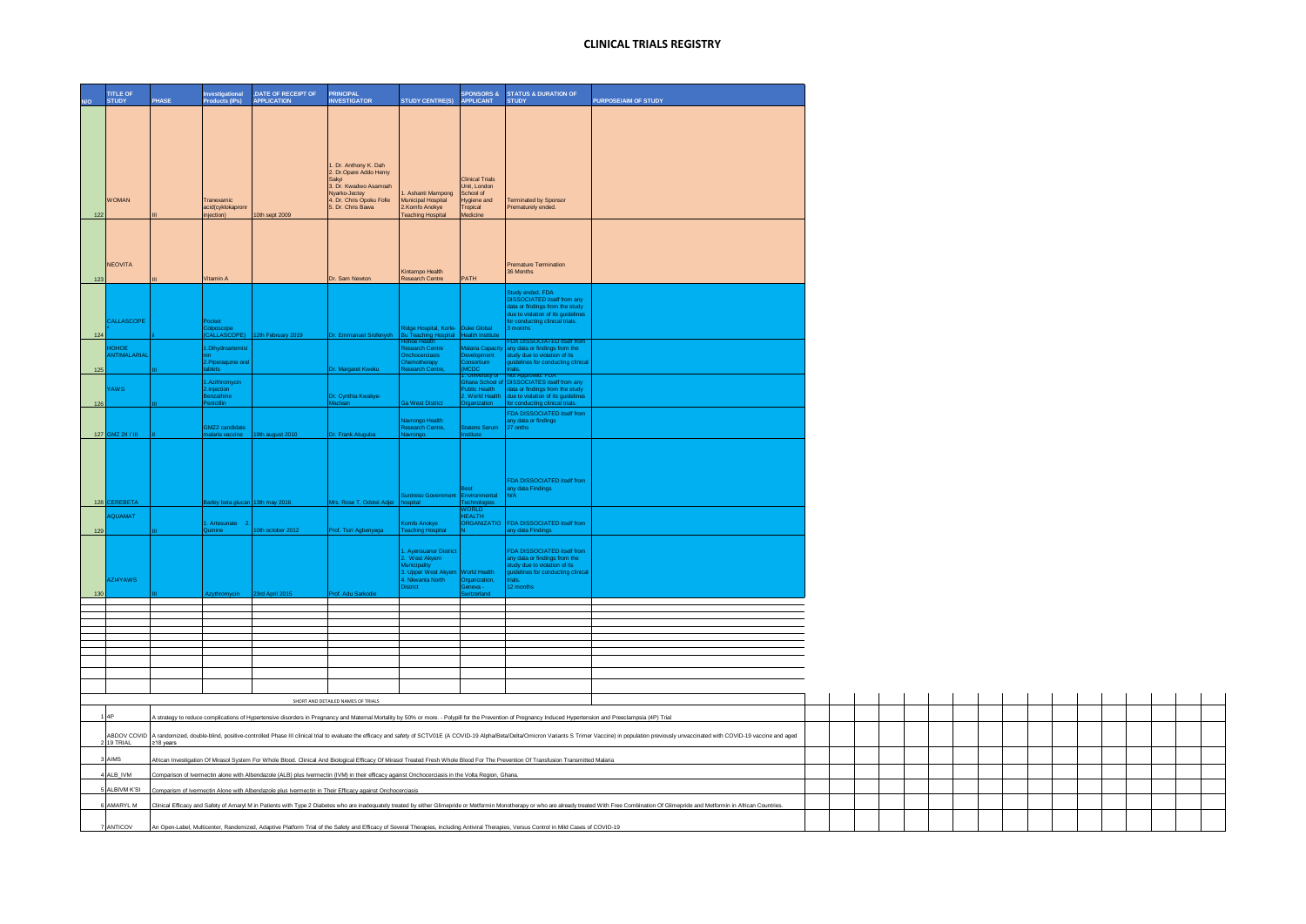|                                                                                                                                                                                                    | <b>TITLE OF</b><br><b>STUDY</b>                                                                                                                                                                                        |             |           | <b>nvestigational</b><br>roducts (IPs)  | , DATE OF RECEIPT OF<br><b>APPLICATION</b> | <b>PRINCIPAL</b><br><b>INVESTIGATOR</b>       | <b>STUDY CENTRE(S)</b>                                                    | <b>APPLICANT</b>                                | SPONSORS & STATUS & DURATION OF<br><b>STUDY</b>                                                                                                                                          | PURPOSE/AIM OF STUDY                                                                                                                                                                                                           |  |  |  |  |  |  |  |
|----------------------------------------------------------------------------------------------------------------------------------------------------------------------------------------------------|------------------------------------------------------------------------------------------------------------------------------------------------------------------------------------------------------------------------|-------------|-----------|-----------------------------------------|--------------------------------------------|-----------------------------------------------|---------------------------------------------------------------------------|-------------------------------------------------|------------------------------------------------------------------------------------------------------------------------------------------------------------------------------------------|--------------------------------------------------------------------------------------------------------------------------------------------------------------------------------------------------------------------------------|--|--|--|--|--|--|--|
|                                                                                                                                                                                                    |                                                                                                                                                                                                                        |             |           |                                         |                                            |                                               |                                                                           |                                                 |                                                                                                                                                                                          |                                                                                                                                                                                                                                |  |  |  |  |  |  |  |
|                                                                                                                                                                                                    |                                                                                                                                                                                                                        |             |           |                                         |                                            |                                               |                                                                           |                                                 |                                                                                                                                                                                          |                                                                                                                                                                                                                                |  |  |  |  |  |  |  |
|                                                                                                                                                                                                    |                                                                                                                                                                                                                        |             |           |                                         |                                            |                                               |                                                                           |                                                 |                                                                                                                                                                                          |                                                                                                                                                                                                                                |  |  |  |  |  |  |  |
|                                                                                                                                                                                                    |                                                                                                                                                                                                                        |             |           |                                         |                                            | I. Dr. Anthony K. Dah                         |                                                                           |                                                 |                                                                                                                                                                                          |                                                                                                                                                                                                                                |  |  |  |  |  |  |  |
|                                                                                                                                                                                                    |                                                                                                                                                                                                                        |             |           |                                         |                                            | 2. Dr.Opare Addo Henry<br>Sakyi               |                                                                           | <b>Clinical Trials</b>                          |                                                                                                                                                                                          |                                                                                                                                                                                                                                |  |  |  |  |  |  |  |
|                                                                                                                                                                                                    |                                                                                                                                                                                                                        |             |           |                                         |                                            | 3. Dr. Kwadwo Asamoah<br>Nyarko-Jectey        | Ashanti Mampong                                                           | Unit, London<br>School of                       |                                                                                                                                                                                          |                                                                                                                                                                                                                                |  |  |  |  |  |  |  |
|                                                                                                                                                                                                    | <b>WOMAN</b>                                                                                                                                                                                                           |             |           | Tranexamic<br>acid(cyklokapronr         | 10th sept 2009                             | 4. Dr. Chris Opoku Fofie<br>5. Dr. Chris Bawa | Municipal Hospital<br>2.Komfo Anokye                                      | Hygiene and<br>Tropical<br>Medicine             | Ferminated by Sponsor<br>Prematurely ended.                                                                                                                                              |                                                                                                                                                                                                                                |  |  |  |  |  |  |  |
| 122                                                                                                                                                                                                |                                                                                                                                                                                                                        |             |           | injection)                              |                                            |                                               | <b>Feaching Hospital</b>                                                  |                                                 |                                                                                                                                                                                          |                                                                                                                                                                                                                                |  |  |  |  |  |  |  |
|                                                                                                                                                                                                    |                                                                                                                                                                                                                        |             |           |                                         |                                            |                                               |                                                                           |                                                 |                                                                                                                                                                                          |                                                                                                                                                                                                                                |  |  |  |  |  |  |  |
|                                                                                                                                                                                                    |                                                                                                                                                                                                                        |             |           |                                         |                                            |                                               |                                                                           |                                                 |                                                                                                                                                                                          |                                                                                                                                                                                                                                |  |  |  |  |  |  |  |
|                                                                                                                                                                                                    | <b>NEOVITA</b>                                                                                                                                                                                                         |             |           |                                         |                                            |                                               | Kintampo Health                                                           |                                                 | remature Termination<br>36 Months                                                                                                                                                        |                                                                                                                                                                                                                                |  |  |  |  |  |  |  |
|                                                                                                                                                                                                    | 123                                                                                                                                                                                                                    |             |           | /itamin A                               |                                            | Dr. Sam Newton                                | <b>Research Centre</b>                                                    | PATH                                            | udy ended, FDA                                                                                                                                                                           |                                                                                                                                                                                                                                |  |  |  |  |  |  |  |
|                                                                                                                                                                                                    |                                                                                                                                                                                                                        |             |           |                                         |                                            |                                               |                                                                           |                                                 | <b>ISSOCIATED</b> itself from any<br>lata or findings from the study                                                                                                                     |                                                                                                                                                                                                                                |  |  |  |  |  |  |  |
|                                                                                                                                                                                                    | CALLASCOPE                                                                                                                                                                                                             |             |           | Pocket                                  |                                            |                                               |                                                                           |                                                 | due to violation of its guidelines<br>or conducting clinical trials.                                                                                                                     |                                                                                                                                                                                                                                |  |  |  |  |  |  |  |
|                                                                                                                                                                                                    | 124                                                                                                                                                                                                                    |             |           | Colposcope<br>CALLASCOPE)               | 12th February 2019                         | Dr. Emmanuel Srofenyoh                        | Ridge Hospital, Korle- Duke Global<br>Bu Teaching Hospital Health Institu | <b>Health Institute</b>                         | months                                                                                                                                                                                   |                                                                                                                                                                                                                                |  |  |  |  |  |  |  |
|                                                                                                                                                                                                    | <b>BOHOH</b>                                                                                                                                                                                                           |             |           | 1.Dihydroartemi                         |                                            |                                               | Research Centre                                                           | Malaria Capacity                                | A DISSOCIATED itself fro<br>any data or findings from the                                                                                                                                |                                                                                                                                                                                                                                |  |  |  |  |  |  |  |
|                                                                                                                                                                                                    | 125                                                                                                                                                                                                                    | NTIMALARIAI |           | <br>2.Piperaquine oral<br>tablets       |                                            | Ir. Margaret Kweki                            | <b>Inchocerciasis</b><br>hemotherapy<br>tesearch Centre                   | evelopment<br>overspringer<br>Insortium<br>ICDC | udy due to violation of its<br>delines for conducting clinica                                                                                                                            |                                                                                                                                                                                                                                |  |  |  |  |  |  |  |
|                                                                                                                                                                                                    |                                                                                                                                                                                                                        |             |           | .Azithromycin                           |                                            |                                               |                                                                           | <b>University of</b><br>hana School ol          | Vot Approved. FDF<br><b>DISSOCIATES</b> itself from any                                                                                                                                  |                                                                                                                                                                                                                                |  |  |  |  |  |  |  |
|                                                                                                                                                                                                    | AWS                                                                                                                                                                                                                    |             |           | 2.Injection<br>Benzathine<br>Penicillin |                                            | Dr. Cynthia Kwakye-<br>Maclean                |                                                                           | ublic Health<br>World Health                    | data or findings from the study<br>due to violation of its guidelines<br>for conducting clinical trials.                                                                                 |                                                                                                                                                                                                                                |  |  |  |  |  |  |  |
| 126                                                                                                                                                                                                |                                                                                                                                                                                                                        |             |           |                                         |                                            |                                               | a West District                                                           | qanization                                      | FDA DISSOCIATED itself from                                                                                                                                                              |                                                                                                                                                                                                                                |  |  |  |  |  |  |  |
|                                                                                                                                                                                                    |                                                                                                                                                                                                                        |             |           | GMZ2 candidate                          |                                            |                                               | avrongo Health<br>tesearch Centre,                                        | latens Serum<br>stitute                         | iny data or findings<br>27 onths                                                                                                                                                         |                                                                                                                                                                                                                                |  |  |  |  |  |  |  |
|                                                                                                                                                                                                    | 127 GMZ 2II / III                                                                                                                                                                                                      |             |           | alaria vaccine                          | 9th august 2010                            | Dr. Frank Atuguba                             | Vavrongo.                                                                 |                                                 |                                                                                                                                                                                          |                                                                                                                                                                                                                                |  |  |  |  |  |  |  |
|                                                                                                                                                                                                    |                                                                                                                                                                                                                        |             |           |                                         |                                            |                                               |                                                                           |                                                 |                                                                                                                                                                                          |                                                                                                                                                                                                                                |  |  |  |  |  |  |  |
|                                                                                                                                                                                                    |                                                                                                                                                                                                                        |             |           |                                         |                                            |                                               |                                                                           |                                                 |                                                                                                                                                                                          |                                                                                                                                                                                                                                |  |  |  |  |  |  |  |
|                                                                                                                                                                                                    |                                                                                                                                                                                                                        |             |           |                                         |                                            |                                               |                                                                           |                                                 | FDA DISSOCIATED itself from<br>any data Findings<br>N/A                                                                                                                                  |                                                                                                                                                                                                                                |  |  |  |  |  |  |  |
|                                                                                                                                                                                                    | 128 CEREBETA                                                                                                                                                                                                           |             |           |                                         | arley beta glucan 13th may 2016            | Mrs. Rose T. Odotei Adjei hospital            |                                                                           | Environmental<br>Technologie<br><b>ORLD</b>     |                                                                                                                                                                                          |                                                                                                                                                                                                                                |  |  |  |  |  |  |  |
|                                                                                                                                                                                                    | <b>TAMALIOA</b>                                                                                                                                                                                                        |             |           | Artesunate                              |                                            |                                               | Komfo Anokye                                                              | <b>IEALTH</b>                                   | <b>DRGANIZATIO</b> FDA DISSOCIATED itself from                                                                                                                                           |                                                                                                                                                                                                                                |  |  |  |  |  |  |  |
|                                                                                                                                                                                                    | 129                                                                                                                                                                                                                    |             |           |                                         | Oth october 2012                           | rof. Tsiri Agbenyega                          | <b>Feaching Hosp</b>                                                      |                                                 | any data Findings                                                                                                                                                                        |                                                                                                                                                                                                                                |  |  |  |  |  |  |  |
|                                                                                                                                                                                                    |                                                                                                                                                                                                                        |             |           |                                         |                                            |                                               | 1. Ayensuanor District<br>2. West Akyem                                   |                                                 | FDA DISSOCIATED itself from                                                                                                                                                              |                                                                                                                                                                                                                                |  |  |  |  |  |  |  |
|                                                                                                                                                                                                    |                                                                                                                                                                                                                        |             |           |                                         |                                            |                                               | Municipality                                                              |                                                 | any data or findings from the<br>study due to violation of its                                                                                                                           |                                                                                                                                                                                                                                |  |  |  |  |  |  |  |
|                                                                                                                                                                                                    | AZI4YAWS                                                                                                                                                                                                               |             |           |                                         |                                            |                                               | 3. Upper West Akyem<br>4. Nkwanta North<br>District                       | Vorld Health<br>Organization,<br>neva -         | idelines for conducting clinica<br>2 months                                                                                                                                              |                                                                                                                                                                                                                                |  |  |  |  |  |  |  |
|                                                                                                                                                                                                    | 130                                                                                                                                                                                                                    |             |           | zythromycin                             | 23rd April 2015                            | Prof. Adu Sarkodie                            |                                                                           | zerland                                         |                                                                                                                                                                                          |                                                                                                                                                                                                                                |  |  |  |  |  |  |  |
|                                                                                                                                                                                                    |                                                                                                                                                                                                                        |             |           |                                         |                                            |                                               |                                                                           |                                                 |                                                                                                                                                                                          |                                                                                                                                                                                                                                |  |  |  |  |  |  |  |
|                                                                                                                                                                                                    |                                                                                                                                                                                                                        |             |           |                                         |                                            |                                               |                                                                           |                                                 |                                                                                                                                                                                          |                                                                                                                                                                                                                                |  |  |  |  |  |  |  |
|                                                                                                                                                                                                    |                                                                                                                                                                                                                        |             |           |                                         |                                            |                                               |                                                                           |                                                 |                                                                                                                                                                                          |                                                                                                                                                                                                                                |  |  |  |  |  |  |  |
|                                                                                                                                                                                                    |                                                                                                                                                                                                                        |             |           |                                         |                                            |                                               |                                                                           |                                                 |                                                                                                                                                                                          |                                                                                                                                                                                                                                |  |  |  |  |  |  |  |
|                                                                                                                                                                                                    |                                                                                                                                                                                                                        |             |           |                                         |                                            |                                               |                                                                           |                                                 |                                                                                                                                                                                          |                                                                                                                                                                                                                                |  |  |  |  |  |  |  |
|                                                                                                                                                                                                    |                                                                                                                                                                                                                        |             |           |                                         |                                            |                                               |                                                                           |                                                 |                                                                                                                                                                                          |                                                                                                                                                                                                                                |  |  |  |  |  |  |  |
|                                                                                                                                                                                                    |                                                                                                                                                                                                                        |             |           |                                         |                                            | SHORT AND DETAILED NAMES OF TRIALS            |                                                                           |                                                 |                                                                                                                                                                                          |                                                                                                                                                                                                                                |  |  |  |  |  |  |  |
|                                                                                                                                                                                                    | $1$ 4P<br>A strategy to reduce complications of Hypertensive disorders in Pregnancy and Maternal Mortality by 50% or more. - Polypill for the Prevention of Pregnancy Induced Hypertension and Preeclampsia (4P) Trial |             |           |                                         |                                            |                                               |                                                                           |                                                 |                                                                                                                                                                                          |                                                                                                                                                                                                                                |  |  |  |  |  |  |  |
|                                                                                                                                                                                                    | 2 19 TRIAL                                                                                                                                                                                                             |             | ≥18 years |                                         |                                            |                                               |                                                                           |                                                 |                                                                                                                                                                                          | ABDOV COVID  A randomized, double-blind, positive-controlled Phase III clinical trial to evaluate the efficacy and safety of SCTV01E (A COVID-19 Alpha/Beta/Delta/Omicron Variants S Trimer Vaccine) in population previously  |  |  |  |  |  |  |  |
| <b>AIMS</b><br>frican Investigation Of Mirasol System For Whole Blood. Clinical And Biological Efficacy Of Mirasol Treated Fresh Whole Blood For The Prevention Of Transfusion Transmitted Malaria |                                                                                                                                                                                                                        |             |           |                                         |                                            |                                               |                                                                           |                                                 |                                                                                                                                                                                          |                                                                                                                                                                                                                                |  |  |  |  |  |  |  |
| 4 ALB_IVM<br>Comparison of Ivermectin alone with Albendazole (ALB) plus Ivermectin (IVM) in their efficacy against Onchocerciasis in the Volta Region, Ghana.                                      |                                                                                                                                                                                                                        |             |           |                                         |                                            |                                               |                                                                           |                                                 |                                                                                                                                                                                          |                                                                                                                                                                                                                                |  |  |  |  |  |  |  |
| ALBIVM K'SI<br>Comparism of Ivermectin Alone with Albendazole plus Ivermectin in Their Efficacy against Onchocerciasis                                                                             |                                                                                                                                                                                                                        |             |           |                                         |                                            |                                               |                                                                           |                                                 |                                                                                                                                                                                          |                                                                                                                                                                                                                                |  |  |  |  |  |  |  |
|                                                                                                                                                                                                    | 6 AMARYL M                                                                                                                                                                                                             |             |           |                                         |                                            |                                               |                                                                           |                                                 |                                                                                                                                                                                          | Clinical Efficacy and Safety of Amaryl M in Patients with Type 2 Diabetes who are inadequately treated by either Glimepride or Metformin Monotherapy or who are already treated With Free Combination Of Glimepride and Metfor |  |  |  |  |  |  |  |
|                                                                                                                                                                                                    | 7 ANTICOV                                                                                                                                                                                                              |             |           |                                         |                                            |                                               |                                                                           |                                                 |                                                                                                                                                                                          |                                                                                                                                                                                                                                |  |  |  |  |  |  |  |
|                                                                                                                                                                                                    |                                                                                                                                                                                                                        |             |           |                                         |                                            |                                               |                                                                           |                                                 | An Open-Label, Multicenter, Randomized, Adaptive Platform Trial of the Safety and Efficacy of Several Therapies, including Antiviral Therapies, Versus Control in Mild Cases of COVID-19 |                                                                                                                                                                                                                                |  |  |  |  |  |  |  |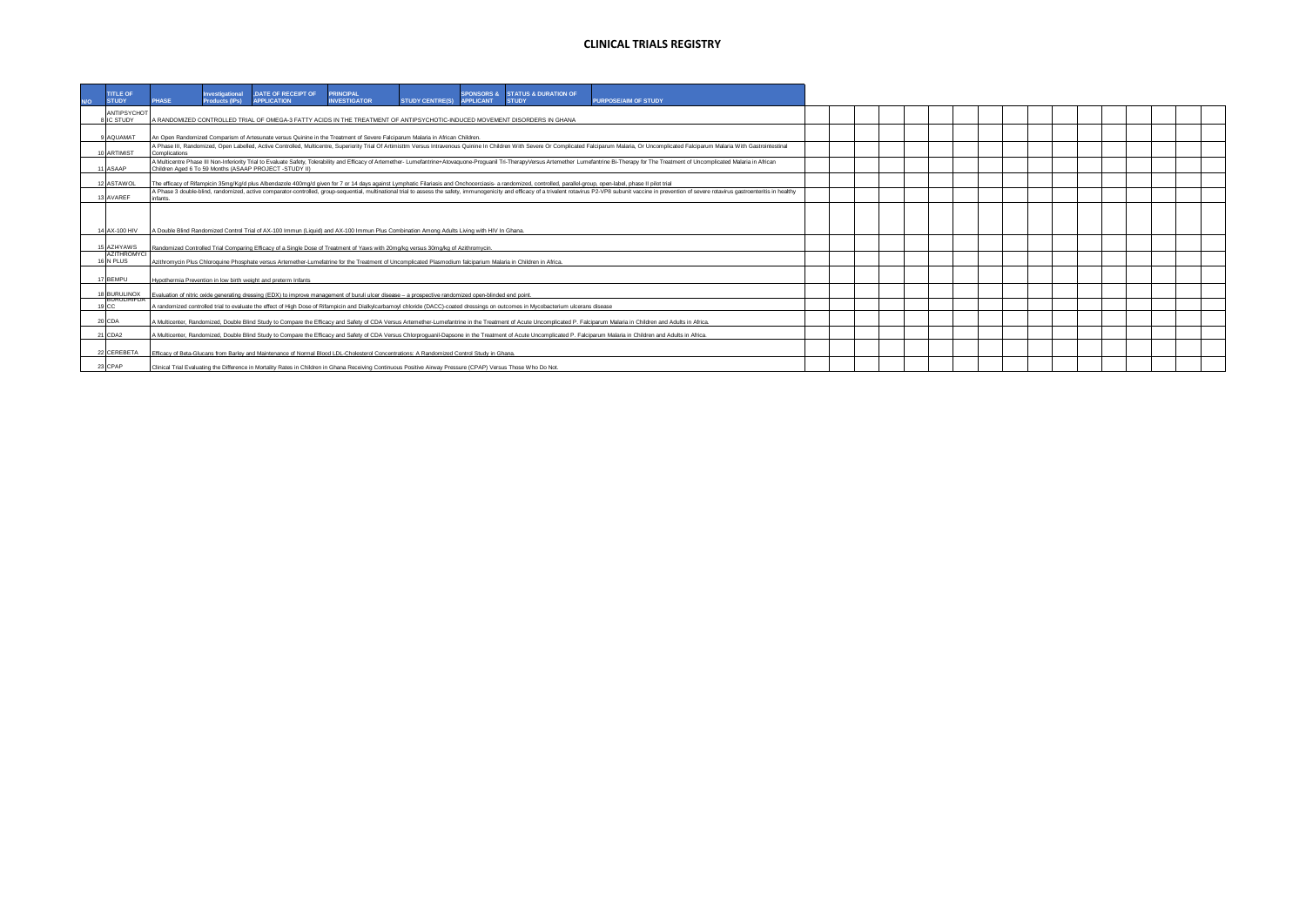| <b>TITLE OF</b><br><b>STUDY</b>           | <b>PHASE</b>  | Investigational<br>Products (IPs) | DATE OF RECEIPT OF<br><b>APPLICATION</b>                                                                                                                                                                                       | <b>PRINCIPAL</b><br><b>INVESTIGATOR</b> | STUDY CENTRE(S) APPLICANT | <b>SPONSORS &amp; STATUS &amp; DURATION OF</b><br><b>STUDY</b>                                                                                                                                                                 | <b>PURPOSE/AIM OF STUDY</b>                                                                                                                                                                                            |  |  |  |  |  |
|-------------------------------------------|---------------|-----------------------------------|--------------------------------------------------------------------------------------------------------------------------------------------------------------------------------------------------------------------------------|-----------------------------------------|---------------------------|--------------------------------------------------------------------------------------------------------------------------------------------------------------------------------------------------------------------------------|------------------------------------------------------------------------------------------------------------------------------------------------------------------------------------------------------------------------|--|--|--|--|--|
| ANTIPSYCHOT<br>8 IC STUDY                 |               |                                   | A RANDOMIZED CONTROLLED TRIAL OF OMEGA-3 FATTY ACIDS IN THE TREATMENT OF ANTIPSYCHOTIC-INDUCED MOVEMENT DISORDERS IN GHANA                                                                                                     |                                         |                           |                                                                                                                                                                                                                                |                                                                                                                                                                                                                        |  |  |  |  |  |
| 9 AQUAMAT                                 |               |                                   | An Open Randomized Comparism of Artesunate versus Quinine in the Treatment of Severe Falciparum Malaria in African Children.                                                                                                   |                                         |                           |                                                                                                                                                                                                                                |                                                                                                                                                                                                                        |  |  |  |  |  |
| 10 ARTIMIST                               | Complications |                                   | A Phase III, Randomized, Open Labelled, Active Controlled, Multicentre, Superiority Trial Of Artimisttm Versus Intravenous Quinine In Children With Severe Or Complicated Falciparum Malaria, Or Uncomplicated Falciparum Mala |                                         |                           |                                                                                                                                                                                                                                |                                                                                                                                                                                                                        |  |  |  |  |  |
| 11 ASAAP                                  |               |                                   | Children Aged 6 To 59 Months (ASAAP PROJECT -STUDY II)                                                                                                                                                                         |                                         |                           | A Multicentre Phase III Non-Inferiority Trial to Evaluate Safety. Tolerability and Efficacy of Artemether- Lumefantrine+Atoyaguone-Proguanil Tri-TherapyVersus Artemether Lumefantrine Bi-Therapy for The Treatment of Uncompl |                                                                                                                                                                                                                        |  |  |  |  |  |
| 12 ASTAWOL                                |               |                                   |                                                                                                                                                                                                                                |                                         |                           | The efficacy of Rifampicin 35mg/Kg/d plus Albendazole 400mg/d given for 7 or 14 days against Lymphatic Filariasis and Onchocerciasis- a randomized, controlled, parallel-group, open-label, phase II pilot trial               |                                                                                                                                                                                                                        |  |  |  |  |  |
| 13 AVAREE                                 | nfants.       |                                   |                                                                                                                                                                                                                                |                                         |                           | A Phase 3 double-blind, randomized, active comparator-controlled, group-sequential, multinational trial to assess the safety, immunogenicity and efficacy of a trivalent rotavirus P2-VP8 subunit vaccine in prevention of sev |                                                                                                                                                                                                                        |  |  |  |  |  |
| 14 AX-100 HIV                             |               |                                   | A Double Blind Randomized Control Trial of AX-100 Immun (Liquid) and AX-100 Immun Plus Combination Among Adults Living with HIV In Ghana.                                                                                      |                                         |                           |                                                                                                                                                                                                                                |                                                                                                                                                                                                                        |  |  |  |  |  |
| 15 AZI4YAWS                               |               |                                   | Randomized Controlled Trial Comparing Efficacy of a Single Dose of Treatment of Yaws with 20mg/kg versus 30mg/kg of Azithromycin                                                                                               |                                         |                           |                                                                                                                                                                                                                                |                                                                                                                                                                                                                        |  |  |  |  |  |
| AZITHROMYCL<br>16 N PLUS                  |               |                                   | Azithromycin Plus Chloroquine Phosphate versus Artemether-Lumefatrine for the Treatment of Uncomplicated Plasmodium falciparium Malaria in Children in Africa.                                                                 |                                         |                           |                                                                                                                                                                                                                                |                                                                                                                                                                                                                        |  |  |  |  |  |
| 17 BEMPU                                  |               |                                   | Hypothermia Prevention in low birth weight and preterm Infants                                                                                                                                                                 |                                         |                           |                                                                                                                                                                                                                                |                                                                                                                                                                                                                        |  |  |  |  |  |
| 18 BURULINOX                              |               |                                   | Evaluation of nitric oxide generating dressing (EDX) to improve management of buruli ulcer disease - a prospective randomized open-blinded end point                                                                           |                                         |                           |                                                                                                                                                                                                                                |                                                                                                                                                                                                                        |  |  |  |  |  |
| <b><i><u>DURULIRIEUM</u></i></b><br>19 CC |               |                                   |                                                                                                                                                                                                                                |                                         |                           | A randomized controlled trial to evaluate the effect of High Dose of Rifampicin and Dialkylcarbamovl chloride (DACC)-coated dressings on outcomes in Mycobacterium ulcerans disease                                            |                                                                                                                                                                                                                        |  |  |  |  |  |
| 20 CDA                                    |               |                                   |                                                                                                                                                                                                                                |                                         |                           |                                                                                                                                                                                                                                | A Multicenter, Randomized, Double Blind Study to Compare the Efficacy and Safety of CDA Versus Artemether-Lumefantrine in the Treatment of Acute Uncomplicated P. Falciparum Malaria in Children and Adults in Africa. |  |  |  |  |  |
| 21 CDA2                                   |               |                                   |                                                                                                                                                                                                                                |                                         |                           |                                                                                                                                                                                                                                | A Multicenter, Randomized, Double Blind Study to Compare the Efficacy and Safety of CDA Versus Chlorproquanil-Dapsone in the Treatment of Acute Uncomplicated P. Falciparum Malaria in Children and Adults in Africa.  |  |  |  |  |  |
| 22 CEREBETA                               |               |                                   | Efficacy of Beta-Glucans from Barley and Maintenance of Normal Blood LDL-Cholesterol Concentrations: A Randomized Control Study in Ghana.                                                                                      |                                         |                           |                                                                                                                                                                                                                                |                                                                                                                                                                                                                        |  |  |  |  |  |
| 23 CPAP                                   |               |                                   | Clinical Trial Evaluating the Difference in Mortality Rates in Children in Ghana Receiving Continuous Positive Airway Pressure (CPAP) Versus Those Who Do Not.                                                                 |                                         |                           |                                                                                                                                                                                                                                |                                                                                                                                                                                                                        |  |  |  |  |  |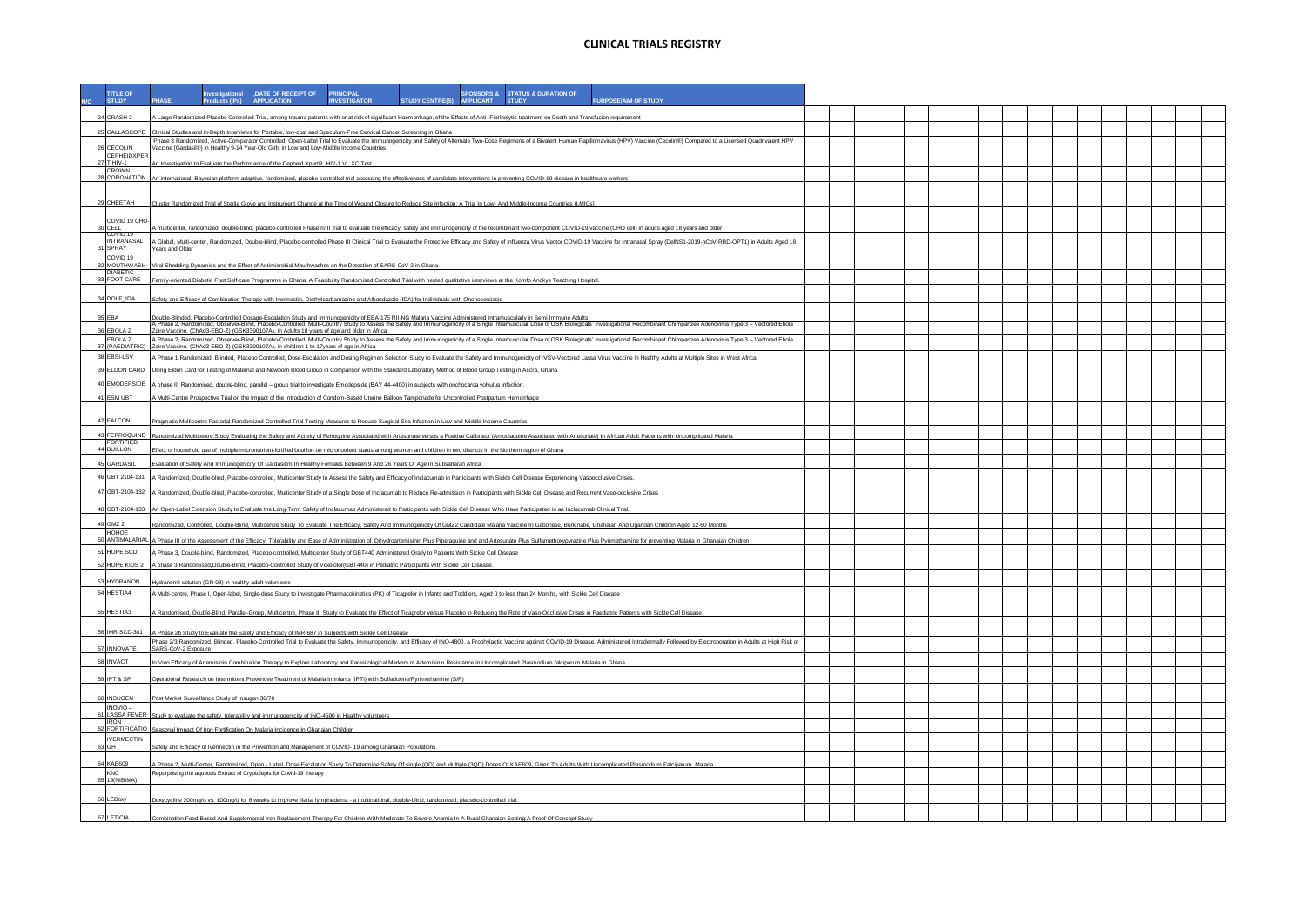| <b>TITLE OF</b><br><b>STUDY</b>     | DATE OF RECEIPT OF PRINCIPAL<br>SPONSORS & STATUS & DURATION OF<br>nvestigational<br><b>PURPOSE/AIM OF STUDY</b><br><b>INVESTIGATOR</b><br>STUDY CENTRE(S) APPLICANT<br>PHASE<br>Products (IPs)<br><b>APPLICATION</b><br><b>STUDY</b>                                                                                                                                          |  |  |  |  |  |
|-------------------------------------|--------------------------------------------------------------------------------------------------------------------------------------------------------------------------------------------------------------------------------------------------------------------------------------------------------------------------------------------------------------------------------|--|--|--|--|--|
| 24 CRASH-2                          | A Large Randomized Placebo Controlled Trial, among trauma patients with or at risk of significant Haemorrhage, of the Effects of Anti- Fibrinolytic treatment on Death and Transfusion requirement                                                                                                                                                                             |  |  |  |  |  |
|                                     |                                                                                                                                                                                                                                                                                                                                                                                |  |  |  |  |  |
| 25 CALLASCOPE                       | Clinical Studies and in-Depth Interviews for Portable, low-cost and Speculum-Free Cervical Cancer Screening in Ghana<br>Phase 3 Randomized, Active-Comparator Controlled, Open-Label Trial to Evaluate the Immunogenicity and Safety of Alternate Two-Dose Regimens of a Bivalent Human Papillomavirus (HPV) Vaccine (Cecolin®) Compared to a Licensed                         |  |  |  |  |  |
| 26 CECOLIN<br>CEPHEIDXPER           | Vaccine (Gardasil®) in Healthy 9-14 Year-Old Girls in Low and Low-Middle Income Countries                                                                                                                                                                                                                                                                                      |  |  |  |  |  |
| 27 T HIV-1<br>CROWN                 | An Investigation to Evaluate the Performance of the Cepheid XpertR HIV-1 VL XC Test                                                                                                                                                                                                                                                                                            |  |  |  |  |  |
|                                     | 28 CORONATION An international, Bayesian platform adaptive, randomized, placebo-controlled trial assessing the effectiveness of candidate interventions in preventing COVID-19 disease in healthcare workers                                                                                                                                                                   |  |  |  |  |  |
| 29 CHEETAH                          | Cluster Randomized Trial of Sterile Glove and Instrument Change at the Time of Wound Closure to Reduce Site Infection: A Trial In Low-And Middle-Income Countries (LMICs)                                                                                                                                                                                                      |  |  |  |  |  |
| COVID 19 CHO-                       |                                                                                                                                                                                                                                                                                                                                                                                |  |  |  |  |  |
| 30 CELL<br>COVID 19                 | A multicenter, randomized, double-blind, placebo-controlled Phase II/III trial to evaluate the efficacy, safety and immunogenicity of the recombinant two-component COVID-19 vaccine (CHO cell) in adults aged 18 years and ol                                                                                                                                                 |  |  |  |  |  |
| <b>INTRANASAL</b><br>31 SPRAY       | A Global, Multi-center, Randomized, Double-blind, Placebo-controlled Phase III Clinical Trial to Evaluate the Protective Efficacy and Safety of Influenza Virus Vector COVID-19 Vaccine for Intranasal Spray (DeINS1-2019-nCoV<br>Years and Older                                                                                                                              |  |  |  |  |  |
| COVID <sub>19</sub><br>32 MOUTHWASH | /iral Shedding Dynamics and the Effect of Antimicrobial Mouthwashes on the Detection of SARS-CoV-2 in Ghana.                                                                                                                                                                                                                                                                   |  |  |  |  |  |
| <b>DIABETIC</b><br>33 FOOT CARE     |                                                                                                                                                                                                                                                                                                                                                                                |  |  |  |  |  |
|                                     | Family-oriented Diabetic Foot Self-care Programme in Ghana; A Feasibility Randomised Controlled Trial with nested qualitative interviews at the Komfo Anokye Teaching Hospital                                                                                                                                                                                                 |  |  |  |  |  |
| 34 DOLF_IDA                         | Safety and Efficacy of Combination Therapy with Ivermectin, Diethylcarbamazine and Albendazole (IDA) for Individuals with Onchocerciasis                                                                                                                                                                                                                                       |  |  |  |  |  |
| 35 EBA                              |                                                                                                                                                                                                                                                                                                                                                                                |  |  |  |  |  |
| 36 EBOLA Z                          | DoubleBinded, Placebo Cortrolled Dosage Escalaion Study and Immunogericity of EBI-175 RII-No. Malaia Vaccine Administered Intramuscularly in Semi Immuno Adults<br>A Phase 2, Randonized, Observe-Blind, Placebo-Cortorled, Malli<br>Zaire Vaccine. (ChAd3-EBO-Z) (GSK3390107A), in Adults 18 years of age and older in Africa                                                 |  |  |  |  |  |
| FBOLA Z                             | A Phase 2, Randomized, Observer-Blind, Placebo-Controlled, Multi-Country Study to Assess the Safety and Immunogenicity of a Single Intramuscular Dose of GSK Biologicals' Investigational Recombinant Chimpanzee Adenovirus Ty<br>37 (PAEDIATRIC) Zaire Vaccine. (ChAd3-EBO-Z) (GSK3390107A), in children 1 to 17years of age in Africa                                        |  |  |  |  |  |
| 38 EBSI-LSV                         | A Phase 1 Randomized, Blinded, Placebo Controlled, Dose-Escalation and Dosing Regimen Selection Study to Evaluate the Safety and Immunogenicity of rVSV-Vectored Lassa Virus Vaccine in Healthy Adults at Multiple Sites in We                                                                                                                                                 |  |  |  |  |  |
|                                     | 39 ELDON CARD Using Eldon Card for Testing of Maternal and Newborn Blood Group in Comparison with the Standard Laboratory Method of Blood Group Testing in Accra, Ghana                                                                                                                                                                                                        |  |  |  |  |  |
| 40 EMODEPSIDE                       | A phase II, Randomised, double-blind, parallel - group trial to investigate Emodepside (BAY 44-4400) in subjects with onchocerca volvulus infection                                                                                                                                                                                                                            |  |  |  |  |  |
| 41 ESM UBT                          | A Multi-Centre Prospective Trial on the Impact of the Introduction of Condom-Based Uterine Balloon Tamponade for Uncontrolled Postpartum Hemorrhage                                                                                                                                                                                                                            |  |  |  |  |  |
|                                     |                                                                                                                                                                                                                                                                                                                                                                                |  |  |  |  |  |
| 42 FALCON                           | Pragmatic Multicentre Factorial Randomized Controlled Trial Testing Measures to Reduce Surgical Site Infection in Low and Middle Income Countries                                                                                                                                                                                                                              |  |  |  |  |  |
| FORTIFIED                           | 43 FERROQUINE Randomized Multicentre Study Evaluating the Safety and Activity of Ferroquine Associated with Artesunate versus a Positive Calibrator (Amodiaquine Associated with Artesunate) In African Adult Patients with Un                                                                                                                                                 |  |  |  |  |  |
| 44 BUILLON                          | Effect of household use of multiple micronutrient-fortified bouillon on micronutrient status among women and children in two districts in the Northern region of Ghana                                                                                                                                                                                                         |  |  |  |  |  |
| 45 GARDASIL                         | Evaluation of Safety And Immunogenicity Of Gardasiltm In Healthy Females Between 9 And 26 Years Of Age In Subsaharan Africa                                                                                                                                                                                                                                                    |  |  |  |  |  |
| 46 GBT 2104-131                     | A Randomized, Double-blind, Placebo-controlled, Multicenter Study to Assess the Safety and Efficacy of Inclacumab in Participants with Sickle Cell Disease Experiencing Vasoocclusive Crises.                                                                                                                                                                                  |  |  |  |  |  |
| 47 GBT-2104-132                     | A Randomized, Double-blind, Placebo-controlled, Multicenter Study of a Single Dose of Inclacumab to Reduce Re-admission in Participants with Sickle Cell Disease and Recurrent Vaso-occlusive Crises                                                                                                                                                                           |  |  |  |  |  |
|                                     | 48 GBT-2104-133 An Open-Label Extension Study to Evaluate the Long-Term Safety of Inclacumab Administered to Participants with Sickle Cell Disease Who Have Participated in an Inclacumab Clinical Trial.                                                                                                                                                                      |  |  |  |  |  |
| 49 GMZ 2                            | Randomized, Controlled, Double-Blind, Multicentre Study To Evaluate The Efficacy, Safety And Immunogenicity Of GMZ2 Candidate Malaria Vaccine In Gabonese, Burkinabe, Ghanaian And Ugandan Children Aged 12-60 Months                                                                                                                                                          |  |  |  |  |  |
| HOHOE                               |                                                                                                                                                                                                                                                                                                                                                                                |  |  |  |  |  |
| 51 HOPE SCD                         | 50 ANTIMALARIAL A Phase III of the Assessment of the Efficacy, Tolerability and Ease of Administration of, Dihydroartemisinin Plus Piperaquine and and Artesunate Plus Sulfamethoxypyrazine Plus Pyrimethamine for preventing<br>A Phase 3, Double-blind, Randomized, Placebo-controlled, Multicenter Study of GBT440 Administered Orally to Patients With Sickle Cell Disease |  |  |  |  |  |
| 52 HOPE KIDS 2                      | A phase 3,Randomised,Double-Blind, Placebo-Controlled Study of Voxelotor(GBT440) in Pediatric Participants with Sickle Cell Disease.                                                                                                                                                                                                                                           |  |  |  |  |  |
|                                     |                                                                                                                                                                                                                                                                                                                                                                                |  |  |  |  |  |
| 53 HYDRANON<br>54 HESTIA4           | Hydranon® solution (GR-08) in healthy adult volunteers<br>A Multi-centre, Phase I, Open-label, Single-dose Study to Investigate Pharmacokinetics (PK) of Ticagrelor in Infants and Toddlers, Aged 0 to less than 24 Months, with Sickle Cell Disease                                                                                                                           |  |  |  |  |  |
|                                     |                                                                                                                                                                                                                                                                                                                                                                                |  |  |  |  |  |
| 55 HESTIA3                          | A Randomised, Double-Blind, Parallel-Group, Multicentre, Phase III Study to Evaluate the Effect of Ticagrelor versus Placebo in Reducing the Rate of Vaso-Occlusive Crises in Paediatric Patients with Sickle Cell Disease                                                                                                                                                     |  |  |  |  |  |
|                                     | 56 IMR-SCD-301 A Phase 2b Study to Evaluate the Safety and Efficacy of IMR-687 in Subjects with Sickle Cell Disease                                                                                                                                                                                                                                                            |  |  |  |  |  |
| 57 INNOVATE                         | Phase 2/3 Randomized, Blinded, Placebo-Controlled Trial to Evaluate the Safety, Immunogenicity, and Efficacy of INO-4800, a Prophylactic Vaccine against COVID-19 Disease, Administered Intradermally Followed by Electroporat<br>SARS-CoV-2 Exposure                                                                                                                          |  |  |  |  |  |
| 58 INVACT                           |                                                                                                                                                                                                                                                                                                                                                                                |  |  |  |  |  |
|                                     | n Vivo Efficacy of Artemisinin Combination Therapy to Explore Laboratory and Parasitological Markers of Artemisinin Resistance in Uncomplicated Plasmodium falciparum Malaria in Ghana                                                                                                                                                                                         |  |  |  |  |  |
| 59 IPT & SP                         | Operational Research on Intermittent Preventive Treatment of Malaria in Infants (IPTi) with Sulfadoxine/Pyrimethamine (S/P)                                                                                                                                                                                                                                                    |  |  |  |  |  |
| 60 INSUGEN                          | Post Market Surveillance Study of Insugen 30/70                                                                                                                                                                                                                                                                                                                                |  |  |  |  |  |
| INOVIO-<br>61 LASSA FEVER           | Study to evaluate the safety, tolerability and immunogenicity of INO-4500 in Healthy volunteers                                                                                                                                                                                                                                                                                |  |  |  |  |  |
| <b>IRON</b><br>62 FORTIFICATIO      | Seasonal Impact Of Iron Fortification On Malaria Incidence In Ghanaian Children                                                                                                                                                                                                                                                                                                |  |  |  |  |  |
| <b>IVERMECTIN</b>                   |                                                                                                                                                                                                                                                                                                                                                                                |  |  |  |  |  |
| 63 GH                               | Safety and Efficacy of Ivermectin in the Prevention and Management of COVID-19 among Ghanaian Populations                                                                                                                                                                                                                                                                      |  |  |  |  |  |
| 64 KAE609                           | A Phase 2, Multi-Center, Randomized, Open - Label, Dose Escalation Study To Determine Safety Of single (QD) and Multiple (3QD) Doses Of KAE609, Given To Adults With Uncomplicated Plasmodium Falciparum Malaria                                                                                                                                                               |  |  |  |  |  |
| <b>KNC</b><br>65 19(NIBIMA)         | Repurposing the aqueous Extract of Cryptolepis for Covid-19 therapy                                                                                                                                                                                                                                                                                                            |  |  |  |  |  |
| 66 LEDoxy                           | Doxycycline 200mg/d vs. 100mg/d for 6 weeks to improve filarial lymphedema - a multinational, double-blind, randomized, placebo-controlled trial,                                                                                                                                                                                                                              |  |  |  |  |  |
|                                     |                                                                                                                                                                                                                                                                                                                                                                                |  |  |  |  |  |
| 67 LETICIA                          | Combination Food-Based And Supplemental Iron Replacement Therapy For Children With Moderate-To-Severe Anemia In A Rural Ghanaian Setting:A Proof-Of-Concept Study                                                                                                                                                                                                              |  |  |  |  |  |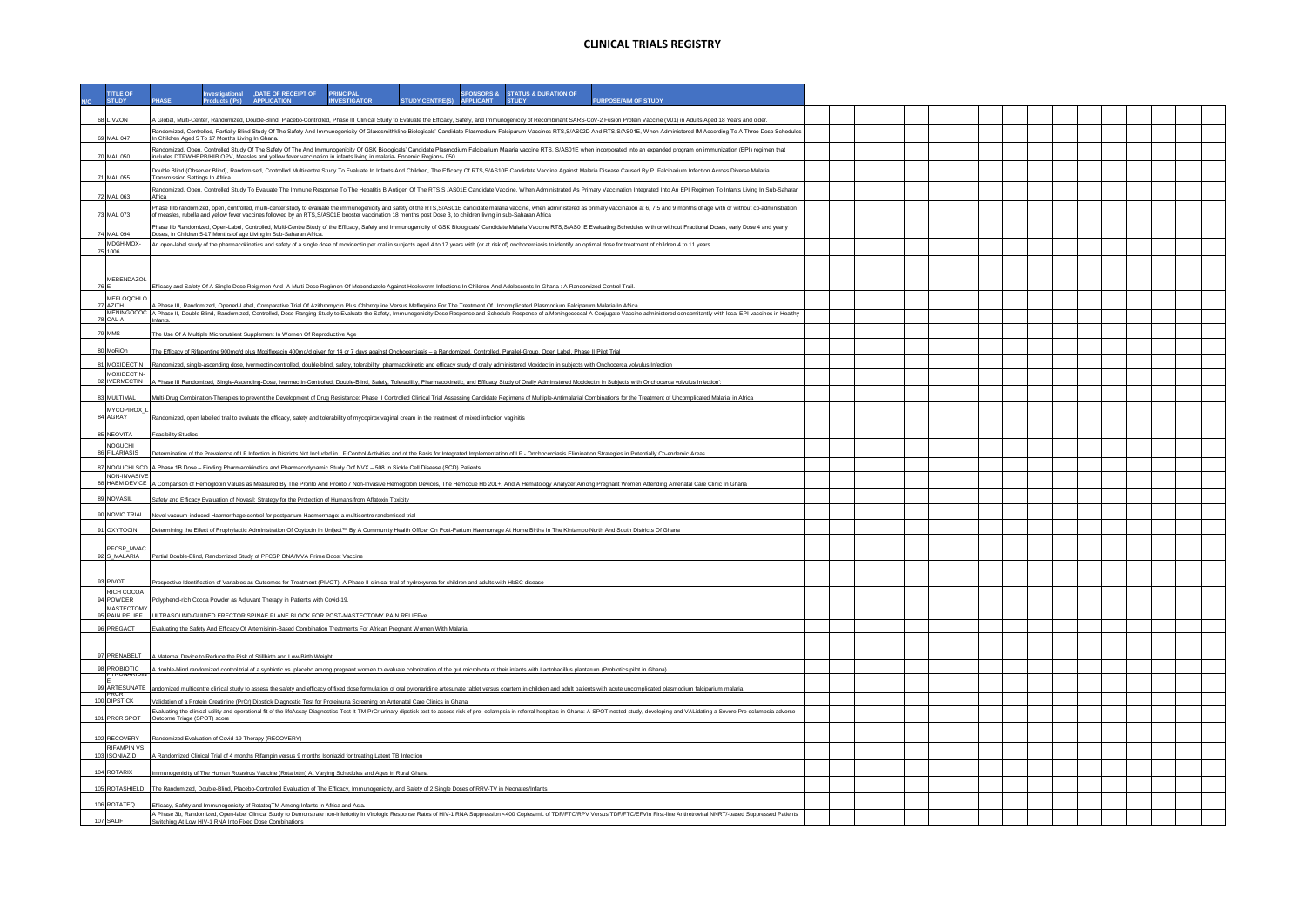| <b>TITLE OF</b><br><b>STUDY</b>    |                                 | nvestigational<br>ducts (IPs)                    | , DATE OF RECEIPT OF<br><b>APPLICATION</b>                                                                                                                                                                                                                                                                                                                                                                                | PRINCIPAL<br><b>INVESTIGATOR</b> | <b>STUDY CENTRE(S)</b> | <b>APPLICANT</b> | SPONSORS & STATUS & DURATION OF<br><b>STUDY</b> | PURPOSE/AIM OF STUDY |  |  |  |  |  |  |  |  |
|------------------------------------|---------------------------------|--------------------------------------------------|---------------------------------------------------------------------------------------------------------------------------------------------------------------------------------------------------------------------------------------------------------------------------------------------------------------------------------------------------------------------------------------------------------------------------|----------------------------------|------------------------|------------------|-------------------------------------------------|----------------------|--|--|--|--|--|--|--|--|
| 68 LIVZON                          |                                 |                                                  | Global, Multi-Center, Randomized, Double-Blind, Placebo-Controlled, Phase III Clinical Study to Evaluate the Efficacy, Safety, and Immunogenicity of Recombinant SARS-CoV-2 Fusion Protein Vaccine (V01) in Adults Aged 18 Yea                                                                                                                                                                                            |                                  |                        |                  |                                                 |                      |  |  |  |  |  |  |  |  |
| 69 MAL 047                         |                                 |                                                  | Randomized, Controlled, Partially-Blind Study Of The Safety And Immunogenicity Of Glaxosmithkline Biologicals' Candidate Plasmodium Falciparum Vaccines RTS, S/AS02D And RTS, S/AS01E, When Administered IM According To A Thr                                                                                                                                                                                            |                                  |                        |                  |                                                 |                      |  |  |  |  |  |  |  |  |
|                                    |                                 | In Children Aged 5 To 17 Months Living In Ghana. | Randomized, Open, Controlled Study Of The Safety Of The And Immunogenicity Of GSK Biologicals' Candidate Plasmodium Falciparium Malaria vaccine RTS, S/AS01E when incorporated into an expanded program on immunization (EPI)                                                                                                                                                                                             |                                  |                        |                  |                                                 |                      |  |  |  |  |  |  |  |  |
| 70 MAI 050                         |                                 |                                                  | ncludes DTPWHEPB/HIB.OPV, Measles and yellow fever vaccination in infants living in malaria- Endemic Regions- 050                                                                                                                                                                                                                                                                                                         |                                  |                        |                  |                                                 |                      |  |  |  |  |  |  |  |  |
| 71 MAI 055                         | Transmission Settings In Africa |                                                  | Double Blind (Observer Blind), Randomised, Controlled Multicentre Study To Evaluate In Infants And Children, The Efficacy Of RTS,S/AS10E Candidate Vaccine Against Malaria Disease Caused By P. Falciparium Infection Across D                                                                                                                                                                                            |                                  |                        |                  |                                                 |                      |  |  |  |  |  |  |  |  |
| 72 MAL 063                         | Africa                          |                                                  | Randomized, Open, Controlled Study To Evaluate The Immune Response To The Hepatitis B Antigen Of The RTS,S /AS01E Candidate Vaccine, When Administrated As Primary Vaccination Integrated Into An EPI Regimen To Infants Livin                                                                                                                                                                                            |                                  |                        |                  |                                                 |                      |  |  |  |  |  |  |  |  |
| 73 MAI 073                         |                                 |                                                  | Phase IIIb randomized, open, controlled, multi-center study to evaluate the immunogenicity and safety of the RTS,S/AS01E candidate malaria vaccine, when administered as primary vaccination at 6, 7.5 and 9 months of age wit<br>of measles, rubella and yellow fever vaccines followed by an RTS,S/AS01E booster vaccination 18 months post Dose 3, to children living in sub-Saharan Africa                            |                                  |                        |                  |                                                 |                      |  |  |  |  |  |  |  |  |
|                                    |                                 |                                                  | hase Ilb Randomized, Open-Label, Controlled, Multi-Centre Study of the Efficacy, Safety and Immunogenicity of GSK Biologicals' Candidate Malaria Vaccine RTS, S/AS01E Evaluating Schedules with or without Fractional Doses, e                                                                                                                                                                                            |                                  |                        |                  |                                                 |                      |  |  |  |  |  |  |  |  |
| 74 MAL 094<br>MDGH-MOX-            |                                 |                                                  | Doses, in Children 5-17 Months of age Living in Sub-Saharan Africa.<br>An open-label study of the pharmacokinetics and safety of a single dose of moxidectin per oral in subjects aged 4 to 17 years with (or at risk of) onchocerciasis to identify an optimal dose for treatment of children 4 to 1                                                                                                                     |                                  |                        |                  |                                                 |                      |  |  |  |  |  |  |  |  |
| 75 1006                            |                                 |                                                  |                                                                                                                                                                                                                                                                                                                                                                                                                           |                                  |                        |                  |                                                 |                      |  |  |  |  |  |  |  |  |
| MEBENDAZOL                         |                                 |                                                  |                                                                                                                                                                                                                                                                                                                                                                                                                           |                                  |                        |                  |                                                 |                      |  |  |  |  |  |  |  |  |
| 76 E<br>MEFLOQCHLO                 |                                 |                                                  | Efficacy and Safety Of A Single Dose Reigimen And A Multi Dose Regimen Of Mebendazole Against Hookworm Infections In Children And Adolescents In Ghana : A Randomized Control Trail                                                                                                                                                                                                                                       |                                  |                        |                  |                                                 |                      |  |  |  |  |  |  |  |  |
| <b>77 AZITH</b>                    |                                 |                                                  | A Phase III, Randomized, Opened-Label, Comparative Trial Of Azithromycin Plus Chloroquine Versus Mefloquine For The Treatment Of Uncomplicated Plasmodium Falciparum Malaria In Africa.<br>MENINGOCOC A Phase II, Double Blind, Randomized, Controlled, Dose Ranging Study to Evaluate the Salety, Immunogenicity Dose Response and Schedule Response of a Meningococcal A Conjugate Vaccine administered concomitantly w |                                  |                        |                  |                                                 |                      |  |  |  |  |  |  |  |  |
| 78 CAI - A                         | nfants                          |                                                  |                                                                                                                                                                                                                                                                                                                                                                                                                           |                                  |                        |                  |                                                 |                      |  |  |  |  |  |  |  |  |
| 79 MMS                             |                                 |                                                  | The Use Of A Multiple Micronutrient Supplement In Women Of Reproductive Age                                                                                                                                                                                                                                                                                                                                               |                                  |                        |                  |                                                 |                      |  |  |  |  |  |  |  |  |
| 80 MoRiOn                          |                                 |                                                  | The Efficacy of Rifapentine 900mg/d plus Moxifloxacin 400mg/d given for 14 or 7 days against Onchocerciasis - a Randomized, Controlled, Parallel-Group, Open Label, Phase II Pilot Trial                                                                                                                                                                                                                                  |                                  |                        |                  |                                                 |                      |  |  |  |  |  |  |  |  |
| 81 MOXIDECTIN<br>MOXIDECTIN-       |                                 |                                                  | tandomized, single-ascending dose, Ivermectin-controlled, double-blind, safety, tolerability, pharmacokinetic and efficacy study of orally administered Moxidectin in subjects with Onchocerca volvulus Infection                                                                                                                                                                                                         |                                  |                        |                  |                                                 |                      |  |  |  |  |  |  |  |  |
| 82 IVERMECTIN                      |                                 |                                                  | N Phase III Randomized, Single-Ascending-Dose, Ivermectin-Controlled, Double-Blind, Safety, Tolerability, Pharmacokinetic, and Efficacy Study of Orally Administered Moxidectin in Subjects with Onchocerca volvulus Infection                                                                                                                                                                                            |                                  |                        |                  |                                                 |                      |  |  |  |  |  |  |  |  |
| 83 MULTIMAL                        |                                 |                                                  | Multi-Drug Combination-Therapies to prevent the Development of Drug Resistance: Phase II Controlled Clinical Trial Assessing Candidate Regimens of Multiple-Antimalarial Combinations for the Treatment of Uncomplicated Malar                                                                                                                                                                                            |                                  |                        |                  |                                                 |                      |  |  |  |  |  |  |  |  |
| MYCOPIROX<br>84 AGRAY              |                                 |                                                  | Randomized, open labelled trial to evaluate the efficacy, safety and tolerability of mycopirox vaginal cream in the treatment of mixed infection vaginitis                                                                                                                                                                                                                                                                |                                  |                        |                  |                                                 |                      |  |  |  |  |  |  |  |  |
| 85 NEOVITA                         | easibility Studies              |                                                  |                                                                                                                                                                                                                                                                                                                                                                                                                           |                                  |                        |                  |                                                 |                      |  |  |  |  |  |  |  |  |
| <b>NOGLICHI</b><br>86 FILARIASIS   |                                 |                                                  | Determination of the Prevalence of LF Infection in Districts Not Included in LF Control Activities and of the Basis for Integrated Implementation of LF - Onchocerciasis Elimination Strategies in Potentially Co-endemic Area                                                                                                                                                                                            |                                  |                        |                  |                                                 |                      |  |  |  |  |  |  |  |  |
|                                    |                                 |                                                  | 87 NOGUCHI SCD A Phase 1B Dose - Finding Pharmacokinetics and Pharmacodynamic Study Oof NVX - 508 In Sickle Cell Disease (SCD) Patients                                                                                                                                                                                                                                                                                   |                                  |                        |                  |                                                 |                      |  |  |  |  |  |  |  |  |
| NON-INVASIVE<br>88 HAEM DEVICE     |                                 |                                                  | Comparison of Hemoglobin Values as Measured By The Pronto And Pronto 7 Non-Invasive Hemoglobin Devices, The Hemocue Hb 201+, And A Hematology Analyzer Among Pregnant Women Attending Antenatal Care Clinic In Ghana                                                                                                                                                                                                      |                                  |                        |                  |                                                 |                      |  |  |  |  |  |  |  |  |
| 89 NOVASIL                         |                                 |                                                  | Safety and Efficacy Evaluation of Novasil: Strategy for the Protection of Humans from Aflatoxin Toxicity                                                                                                                                                                                                                                                                                                                  |                                  |                        |                  |                                                 |                      |  |  |  |  |  |  |  |  |
| 90 NOVIC TRIAL                     |                                 |                                                  | Novel vacuum-induced Haemorrhage control for postpartum Haemorrhage: a multicentre randomised trial                                                                                                                                                                                                                                                                                                                       |                                  |                        |                  |                                                 |                      |  |  |  |  |  |  |  |  |
| 91 OXYTOCIN                        |                                 |                                                  | Determining the Effect of Prophylactic Administration Of Oxytocin In Uniject™ By A Community Health Officer On Post-Partum Haemorrage At Home Births In The Kintampo North And South Districts Of Ghana                                                                                                                                                                                                                   |                                  |                        |                  |                                                 |                      |  |  |  |  |  |  |  |  |
| PFCSP_MVAC                         |                                 |                                                  |                                                                                                                                                                                                                                                                                                                                                                                                                           |                                  |                        |                  |                                                 |                      |  |  |  |  |  |  |  |  |
| 92 S_MALARIA                       |                                 |                                                  | Partial Double-Blind, Randomized Study of PFCSP DNA/MVA Prime Boost Vaccine                                                                                                                                                                                                                                                                                                                                               |                                  |                        |                  |                                                 |                      |  |  |  |  |  |  |  |  |
|                                    |                                 |                                                  |                                                                                                                                                                                                                                                                                                                                                                                                                           |                                  |                        |                  |                                                 |                      |  |  |  |  |  |  |  |  |
| 93 PIVOT<br>RICH COCOA             |                                 |                                                  | Prospective Identification of Variables as Outcomes for Treatment (PIVOT): A Phase II clinical trial of hydroxyurea for children and adults with HbSC disease                                                                                                                                                                                                                                                             |                                  |                        |                  |                                                 |                      |  |  |  |  |  |  |  |  |
| 94 POWDER<br>MASTECTOMY            |                                 |                                                  | Polyphenol-rich Cocoa Powder as Adjuvant Therapy in Patients with Covid-19.                                                                                                                                                                                                                                                                                                                                               |                                  |                        |                  |                                                 |                      |  |  |  |  |  |  |  |  |
| 95 PAIN RELIEF                     |                                 |                                                  | ILTRASOUND-GUIDED ERECTOR SPINAE PLANE BLOCK FOR POST-MASTECTOMY PAIN RELIEFVe                                                                                                                                                                                                                                                                                                                                            |                                  |                        |                  |                                                 |                      |  |  |  |  |  |  |  |  |
| 96 PREGACT                         |                                 |                                                  | Evaluating the Safety And Efficacy Of Artemisinin-Based Combination Treatments For African Pregnant Women With Malaria                                                                                                                                                                                                                                                                                                    |                                  |                        |                  |                                                 |                      |  |  |  |  |  |  |  |  |
|                                    |                                 |                                                  | 97 PRENABELT A Maternal Device to Reduce the Risk of Stillbirth and Low-Birth Weight                                                                                                                                                                                                                                                                                                                                      |                                  |                        |                  |                                                 |                      |  |  |  |  |  |  |  |  |
| 98 PROBIOTIC                       |                                 |                                                  | A double-blind randomized control trial of a synbiotic vs. placebo among pregnant women to evaluate colonization of the gut microbiota of their infants with Lactobacillus plantarum (Probiotics pilot in Ghana)                                                                                                                                                                                                          |                                  |                        |                  |                                                 |                      |  |  |  |  |  |  |  |  |
| 99 ARTESUNATE                      |                                 |                                                  | andomized multicentre clinical study to assess the safety and efficacy of fixed dose formulation of oral pyronaridine artesunate tablet versus coartem in children and adult patients with acute uncomplicated plasmodium falc                                                                                                                                                                                            |                                  |                        |                  |                                                 |                      |  |  |  |  |  |  |  |  |
| <b>PRUK</b><br>100 DIPSTICK        |                                 |                                                  | alidation of a Protein Creatinine (PrCr) Dipstick Diagnostic Test for Proteinuria Screening on Antenatal Care Clinics in Ghana                                                                                                                                                                                                                                                                                            |                                  |                        |                  |                                                 |                      |  |  |  |  |  |  |  |  |
| 101 PRCR SPOT                      | Outcome Triage (SPOT) score     |                                                  | Evaluating the clinical utility and operational fit of the lifeAssay Diagnostics Test-It TM PrCr urinary dipstick test to assess risk of pre- eclampsia in referral hospitals in Ghana: A SPOT nested study, developing and VA                                                                                                                                                                                            |                                  |                        |                  |                                                 |                      |  |  |  |  |  |  |  |  |
|                                    |                                 |                                                  |                                                                                                                                                                                                                                                                                                                                                                                                                           |                                  |                        |                  |                                                 |                      |  |  |  |  |  |  |  |  |
| 102 RECOVERY<br><b>RIFAMPIN VS</b> |                                 |                                                  | Randomized Evaluation of Covid-19 Therapy (RECOVERY)                                                                                                                                                                                                                                                                                                                                                                      |                                  |                        |                  |                                                 |                      |  |  |  |  |  |  |  |  |
| 103 ISONIAZID                      |                                 |                                                  | Randomized Clinical Trial of 4 months Rifampin versus 9 months Isoniazid for treating Latent TB Infection                                                                                                                                                                                                                                                                                                                 |                                  |                        |                  |                                                 |                      |  |  |  |  |  |  |  |  |
| 104 ROTARIX                        |                                 |                                                  | Immunogenicity of The Human Rotavirus Vaccine (Rotarixtm) At Varying Schedules and Ages in Rural Ghana                                                                                                                                                                                                                                                                                                                    |                                  |                        |                  |                                                 |                      |  |  |  |  |  |  |  |  |
|                                    |                                 |                                                  | 105 ROTASHIELD The Randomized, Double-Blind, Placebo-Controlled Evaluation of The Efficacy, Immunogenicity, and Safety of 2 Single Doses of RRV-TV in Neonates/Infants                                                                                                                                                                                                                                                    |                                  |                        |                  |                                                 |                      |  |  |  |  |  |  |  |  |
| 106 ROTATEQ                        |                                 |                                                  | Efficacy, Safety and Immunogenicity of RotateqTM Among Infants in Africa and Asia.                                                                                                                                                                                                                                                                                                                                        |                                  |                        |                  |                                                 |                      |  |  |  |  |  |  |  |  |
| 107 SALIF                          |                                 |                                                  | A Phase 3b, Randomized, Open-label Clinical Study to Demonstrate non-inferiority in Virologic Response Rates of HIV-1 RNA Suppression <400 Copies/mL of TDF/FTC/RPV Versus TDF/FTC/RFV in First-line Antiretroviral NNRT/-base<br>Switching At Low HIV-1 RNA Into Fixed Dose Combinations                                                                                                                                 |                                  |                        |                  |                                                 |                      |  |  |  |  |  |  |  |  |